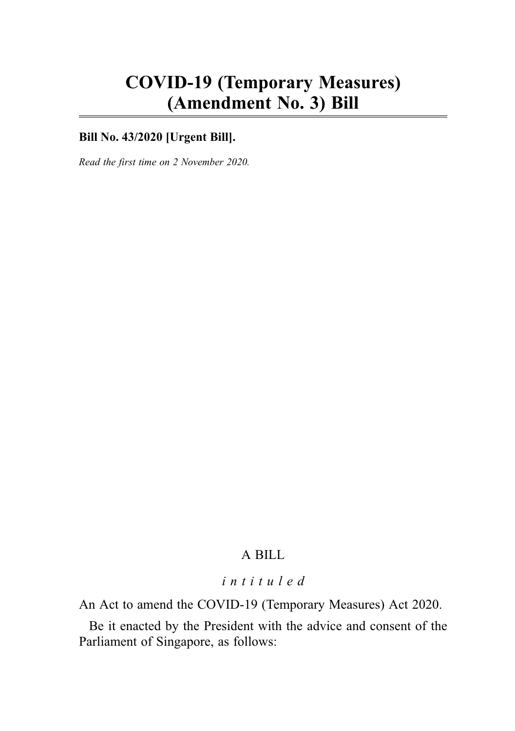# COVID-19 (Temporary Measures) (Amendment No. 3) Bill

### **Bill No. 43/2020 [Urgent Bill].**

Read the first time on 2 November 2020.

### A BILL

### intituled

An Act to amend the COVID-19 (Temporary Measures) Act 2020.

Be it enacted by the President with the advice and consent of the Parliament of Singapore, as follows: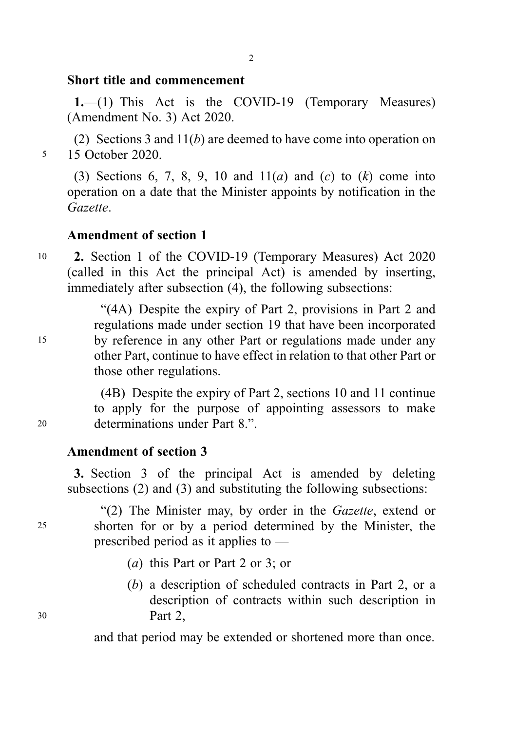#### Short title and commencement

1.—(1) This Act is the COVID-19 (Temporary Measures) (Amendment No. 3) Act 2020.

(2) Sections 3 and 11(b) are deemed to have come into operation on <sup>5</sup> 15 October 2020.

(3) Sections 6, 7, 8, 9, 10 and  $11(a)$  and (c) to (k) come into operation on a date that the Minister appoints by notification in the Gazette.

### Amendment of section 1

<sup>10</sup> 2. Section 1 of the COVID-19 (Temporary Measures) Act 2020 (called in this Act the principal Act) is amended by inserting, immediately after subsection (4), the following subsections:

"(4A) Despite the expiry of Part 2, provisions in Part 2 and regulations made under section 19 that have been incorporated <sup>15</sup> by reference in any other Part or regulations made under any other Part, continue to have effect in relation to that other Part or those other regulations.

(4B) Despite the expiry of Part 2, sections 10 and 11 continue to apply for the purpose of appointing assessors to make <sup>20</sup> determinations under Part 8.".

#### Amendment of section 3

3. Section 3 of the principal Act is amended by deleting subsections (2) and (3) and substituting the following subsections:

"(2) The Minister may, by order in the Gazette, extend or <sup>25</sup> shorten for or by a period determined by the Minister, the prescribed period as it applies to —

- (a) this Part or Part 2 or 3; or
- (b) a description of scheduled contracts in Part 2, or a description of contracts within such description in <sup>30</sup> Part 2,

and that period may be extended or shortened more than once.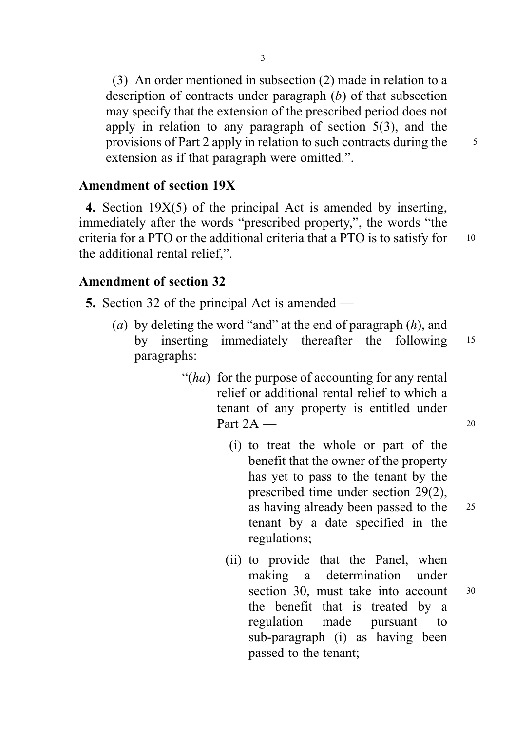(3) An order mentioned in subsection (2) made in relation to a description of contracts under paragraph (b) of that subsection may specify that the extension of the prescribed period does not apply in relation to any paragraph of section 5(3), and the provisions of Part 2 apply in relation to such contracts during the  $\frac{5}{5}$ extension as if that paragraph were omitted.".

3

#### Amendment of section 19X

4. Section 19X(5) of the principal Act is amended by inserting, immediately after the words "prescribed property,", the words "the criteria for a PTO or the additional criteria that a PTO is to satisfy for <sup>10</sup> the additional rental relief,".

### Amendment of section 32

5. Section 32 of the principal Act is amended —

- (a) by deleting the word "and" at the end of paragraph  $(h)$ , and by inserting immediately thereafter the following <sup>15</sup> paragraphs:
	- "(ha) for the purpose of accounting for any rental relief or additional rental relief to which a tenant of any property is entitled under Part  $2A \rightarrow 20$ 
		- (i) to treat the whole or part of the benefit that the owner of the property has yet to pass to the tenant by the prescribed time under section 29(2), as having already been passed to the <sup>25</sup> tenant by a date specified in the regulations;
		- (ii) to provide that the Panel, when making a determination under section 30, must take into account 30 the benefit that is treated by a regulation made pursuant to sub-paragraph (i) as having been passed to the tenant;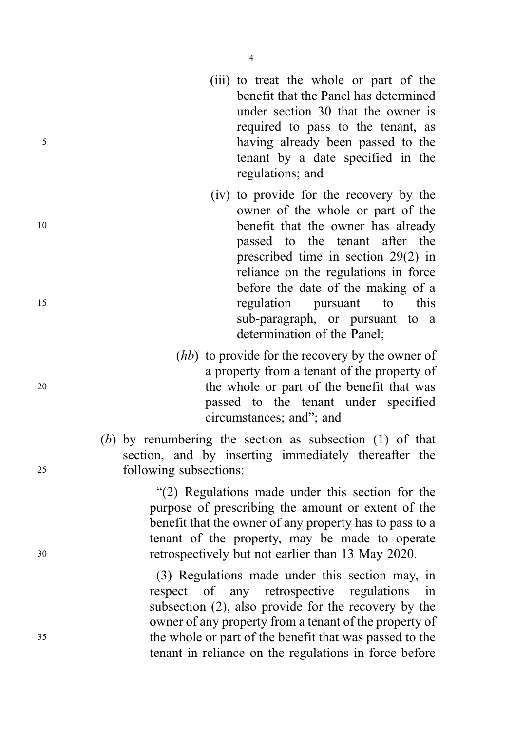- (iii) to treat the whole or part of the benefit that the Panel has determined under section 30 that the owner is required to pass to the tenant, as <sup>5</sup> having already been passed to the tenant by a date specified in the regulations; and
- (iv) to provide for the recovery by the owner of the whole or part of the 10 benefit that the owner has already passed to the tenant after the prescribed time in section 29(2) in reliance on the regulations in force before the date of the making of a <sup>15</sup> regulation pursuant to this sub-paragraph, or pursuant to a determination of the Panel;
- (*hb*) to provide for the recovery by the owner of a property from a tenant of the property of <sup>20</sup> the whole or part of the benefit that was passed to the tenant under specified circumstances; and"; and

(b) by renumbering the section as subsection (1) of that section, and by inserting immediately thereafter the <sup>25</sup> following subsections:

"(2) Regulations made under this section for the purpose of prescribing the amount or extent of the benefit that the owner of any property has to pass to a tenant of the property, may be made to operate <sup>30</sup> retrospectively but not earlier than 13 May 2020.

(3) Regulations made under this section may, in respect of any retrospective regulations in subsection (2), also provide for the recovery by the owner of any property from a tenant of the property of <sup>35</sup> the whole or part of the benefit that was passed to the tenant in reliance on the regulations in force before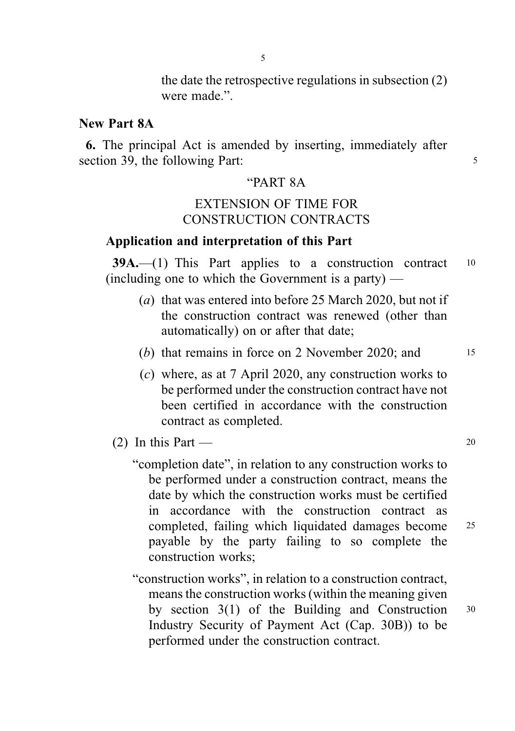the date the retrospective regulations in subsection (2) were made.".

#### New Part 8A

6. The principal Act is amended by inserting, immediately after section 39, the following Part: 5

#### "PART 8A

### EXTENSION OF TIME FOR CONSTRUCTION CONTRACTS

### Application and interpretation of this Part

 $39A$ .—(1) This Part applies to a construction contract  $10$ (including one to which the Government is a party) —

- (a) that was entered into before 25 March 2020, but not if the construction contract was renewed (other than automatically) on or after that date;
- (b) that remains in force on 2 November 2020; and  $15$
- (c) where, as at 7 April 2020, any construction works to be performed under the construction contract have not been certified in accordance with the construction contract as completed.
- (2) In this Part  $20$ 
	- "completion date", in relation to any construction works to be performed under a construction contract, means the date by which the construction works must be certified in accordance with the construction contract as completed, failing which liquidated damages become <sup>25</sup> payable by the party failing to so complete the construction works;
	- "construction works", in relation to a construction contract, means the construction works (within the meaning given by section 3(1) of the Building and Construction <sup>30</sup> Industry Security of Payment Act (Cap. 30B)) to be performed under the construction contract.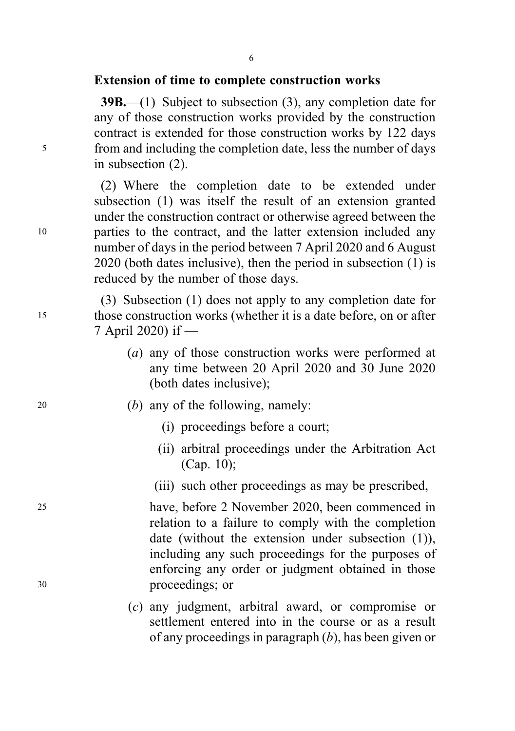#### Extension of time to complete construction works

39B.—(1) Subject to subsection (3), any completion date for any of those construction works provided by the construction contract is extended for those construction works by 122 days <sup>5</sup> from and including the completion date, less the number of days in subsection (2).

(2) Where the completion date to be extended under subsection (1) was itself the result of an extension granted under the construction contract or otherwise agreed between the <sup>10</sup> parties to the contract, and the latter extension included any number of days in the period between 7 April 2020 and 6 August 2020 (both dates inclusive), then the period in subsection (1) is reduced by the number of those days.

(3) Subsection (1) does not apply to any completion date for <sup>15</sup> those construction works (whether it is a date before, on or after 7 April 2020) if —

- (a) any of those construction works were performed at any time between 20 April 2020 and 30 June 2020 (both dates inclusive);
- <sup>20</sup> (b) any of the following, namely:
	- (i) proceedings before a court;
	- (ii) arbitral proceedings under the Arbitration Act (Cap. 10);
	- (iii) such other proceedings as may be prescribed,

<sup>25</sup> have, before 2 November 2020, been commenced in relation to a failure to comply with the completion date (without the extension under subsection (1)), including any such proceedings for the purposes of enforcing any order or judgment obtained in those <sup>30</sup> proceedings; or

> (c) any judgment, arbitral award, or compromise or settlement entered into in the course or as a result of any proceedings in paragraph  $(b)$ , has been given or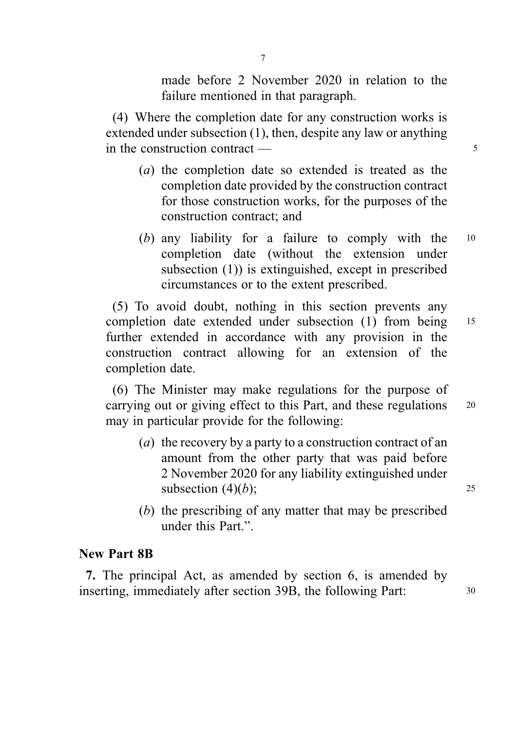made before 2 November 2020 in relation to the failure mentioned in that paragraph.

(4) Where the completion date for any construction works is extended under subsection (1), then, despite any law or anything in the construction contract — 5

- (a) the completion date so extended is treated as the completion date provided by the construction contract for those construction works, for the purposes of the construction contract; and
- (b) any liability for a failure to comply with the <sup>10</sup> completion date (without the extension under subsection (1)) is extinguished, except in prescribed circumstances or to the extent prescribed.

(5) To avoid doubt, nothing in this section prevents any completion date extended under subsection (1) from being <sup>15</sup> further extended in accordance with any provision in the construction contract allowing for an extension of the completion date.

(6) The Minister may make regulations for the purpose of carrying out or giving effect to this Part, and these regulations 20 may in particular provide for the following:

- (a) the recovery by a party to a construction contract of an amount from the other party that was paid before 2 November 2020 for any liability extinguished under subsection  $(4)(b)$ ; 25
- (b) the prescribing of any matter that may be prescribed under this Part."

### New Part 8B

7. The principal Act, as amended by section 6, is amended by inserting, immediately after section 39B, the following Part: 30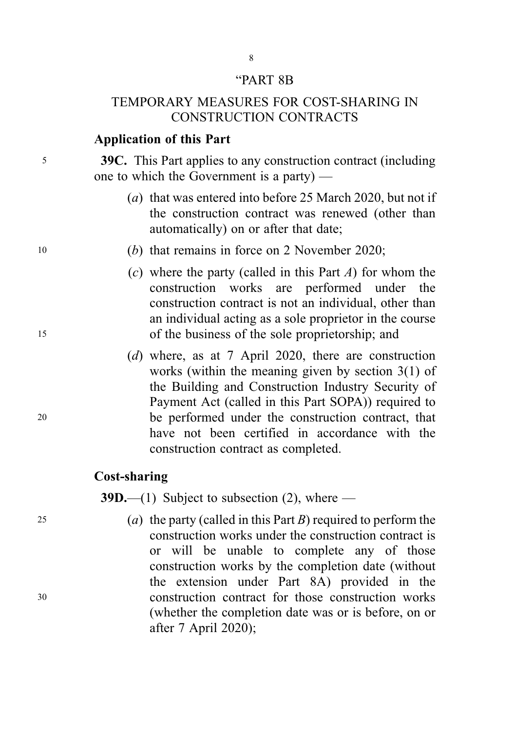#### "PART 8B

### TEMPORARY MEASURES FOR COST-SHARING IN CONSTRUCTION CONTRACTS

### Application of this Part

<sup>5</sup> 39C. This Part applies to any construction contract (including one to which the Government is a party) —

- (a) that was entered into before 25 March 2020, but not if the construction contract was renewed (other than automatically) on or after that date;
- <sup>10</sup> (b) that remains in force on 2 November 2020;
- (c) where the party (called in this Part  $A$ ) for whom the construction works are performed under the construction contract is not an individual, other than an individual acting as a sole proprietor in the course <sup>15</sup> of the business of the sole proprietorship; and
- (d) where, as at 7 April 2020, there are construction works (within the meaning given by section 3(1) of the Building and Construction Industry Security of Payment Act (called in this Part SOPA)) required to <sup>20</sup> be performed under the construction contract, that have not been certified in accordance with the construction contract as completed.

#### Cost-sharing

**39D.**—(1) Subject to subsection (2), where —

25 (a) the party (called in this Part B) required to perform the construction works under the construction contract is or will be unable to complete any of those construction works by the completion date (without the extension under Part 8A) provided in the <sup>30</sup> construction contract for those construction works (whether the completion date was or is before, on or after 7 April 2020);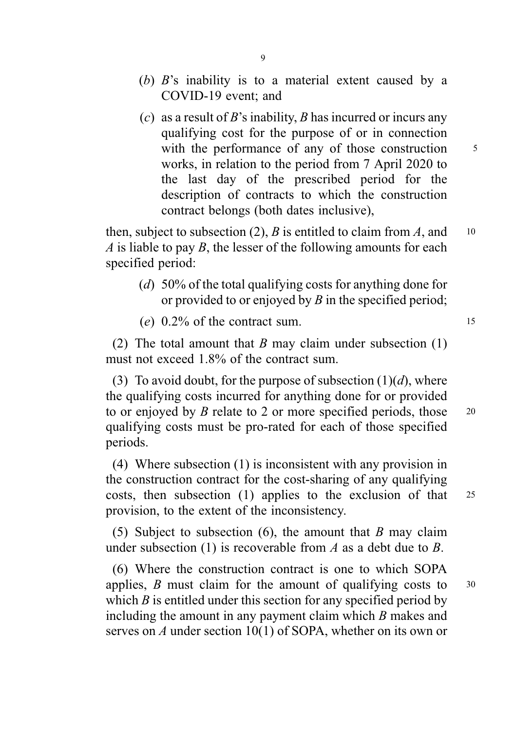- (b) B's inability is to a material extent caused by a COVID-19 event; and
- (c) as a result of B's inability, B has incurred or incurs any qualifying cost for the purpose of or in connection with the performance of any of those construction  $5$ works, in relation to the period from 7 April 2020 to the last day of the prescribed period for the description of contracts to which the construction contract belongs (both dates inclusive),

then, subject to subsection (2), B is entitled to claim from A, and  $10$ A is liable to pay B, the lesser of the following amounts for each specified period:

- (d) 50% of the total qualifying costs for anything done for or provided to or enjoyed by  $B$  in the specified period;
- (e)  $0.2\%$  of the contract sum.

(2) The total amount that B may claim under subsection  $(1)$ must not exceed 1.8% of the contract sum.

(3) To avoid doubt, for the purpose of subsection  $(1)(d)$ , where the qualifying costs incurred for anything done for or provided to or enjoyed by B relate to 2 or more specified periods, those  $20$ qualifying costs must be pro-rated for each of those specified periods.

(4) Where subsection (1) is inconsistent with any provision in the construction contract for the cost-sharing of any qualifying costs, then subsection (1) applies to the exclusion of that <sup>25</sup> provision, to the extent of the inconsistency.

(5) Subject to subsection (6), the amount that  $B$  may claim under subsection (1) is recoverable from A as a debt due to B.

(6) Where the construction contract is one to which SOPA applies,  $\hat{B}$  must claim for the amount of qualifying costs to  $30$ which  $B$  is entitled under this section for any specified period by including the amount in any payment claim which B makes and serves on A under section 10(1) of SOPA, whether on its own or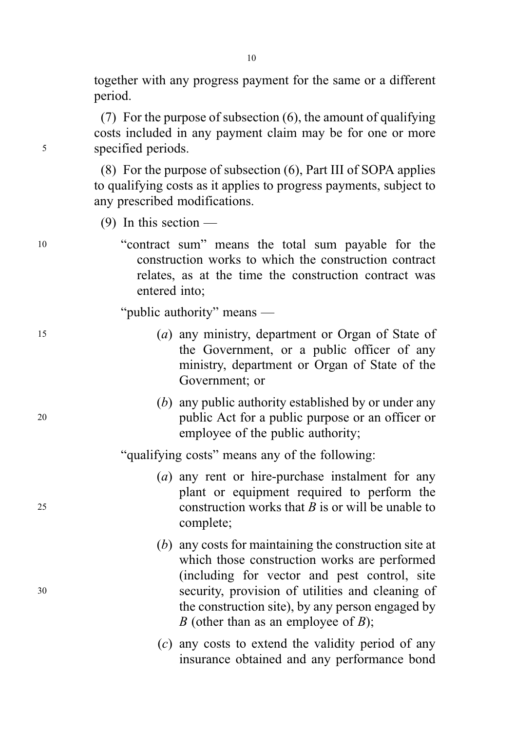together with any progress payment for the same or a different period.

(7) For the purpose of subsection (6), the amount of qualifying costs included in any payment claim may be for one or more <sup>5</sup> specified periods.

> (8) For the purpose of subsection (6), Part III of SOPA applies to qualifying costs as it applies to progress payments, subject to any prescribed modifications.

 $(9)$  In this section —

<sup>10</sup> "contract sum" means the total sum payable for the construction works to which the construction contract relates, as at the time the construction contract was entered into;

"public authority" means —

- <sup>15</sup> (a) any ministry, department or Organ of State of the Government, or a public officer of any ministry, department or Organ of State of the Government; or
- (b) any public authority established by or under any <sup>20</sup> public Act for a public purpose or an officer or employee of the public authority;

"qualifying costs" means any of the following:

- (a) any rent or hire-purchase instalment for any plant or equipment required to perform the 25 construction works that  $B$  is or will be unable to complete;
- (b) any costs for maintaining the construction site at which those construction works are performed (including for vector and pest control, site <sup>30</sup> security, provision of utilities and cleaning of the construction site), by any person engaged by B (other than as an employee of  $B$ );
	- (c) any costs to extend the validity period of any insurance obtained and any performance bond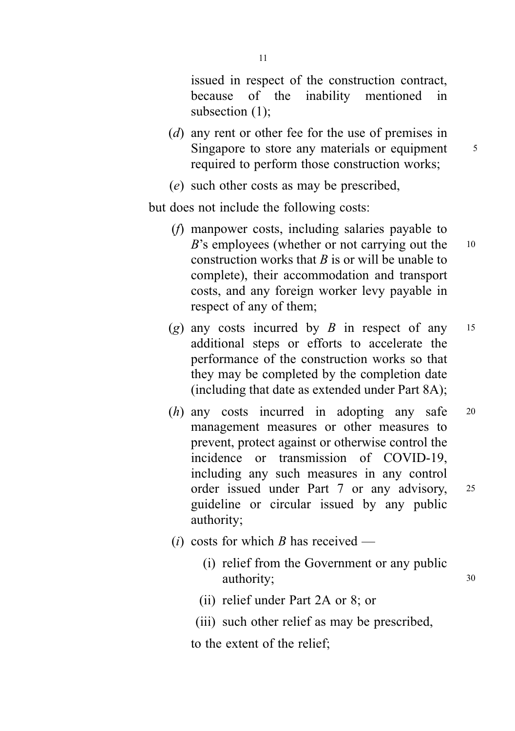issued in respect of the construction contract, because of the inability mentioned in subsection (1);

- (d) any rent or other fee for the use of premises in Singapore to store any materials or equipment  $\frac{5}{5}$ required to perform those construction works;
- (e) such other costs as may be prescribed,

but does not include the following costs:

- (f) manpower costs, including salaries payable to  $B$ 's employees (whether or not carrying out the  $10$ construction works that  $B$  is or will be unable to complete), their accommodation and transport costs, and any foreign worker levy payable in respect of any of them;
- (g) any costs incurred by  $\hat{B}$  in respect of any 15 additional steps or efforts to accelerate the performance of the construction works so that they may be completed by the completion date (including that date as extended under Part 8A);
- (h) any costs incurred in adopting any safe <sup>20</sup> management measures or other measures to prevent, protect against or otherwise control the incidence or transmission of COVID-19, including any such measures in any control order issued under Part 7 or any advisory, <sup>25</sup> guideline or circular issued by any public authority;
- (*i*) costs for which B has received
	- (i) relief from the Government or any public authority; 30
	- (ii) relief under Part 2A or 8; or
	- (iii) such other relief as may be prescribed,

to the extent of the relief;

11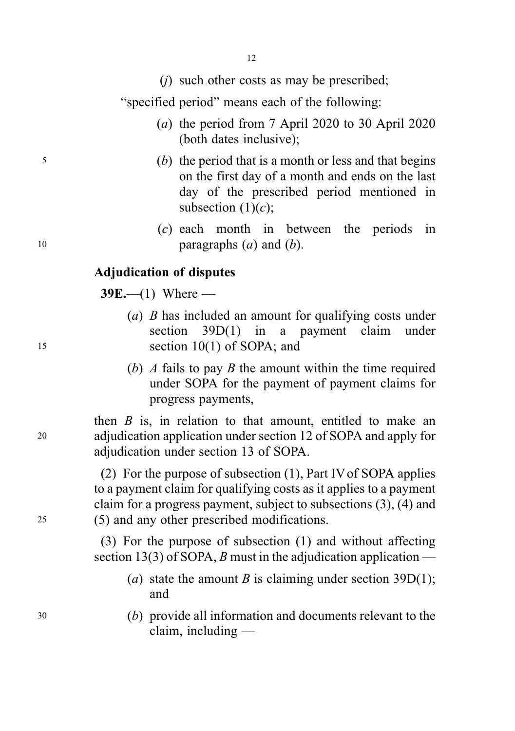(j) such other costs as may be prescribed;

"specified period" means each of the following:

- (a) the period from 7 April 2020 to 30 April 2020 (both dates inclusive);
- <sup>5</sup> (b) the period that is a month or less and that begins on the first day of a month and ends on the last day of the prescribed period mentioned in subsection  $(1)(c)$ ;
- (c) each month in between the periods in 10 **paragraphs**  $(a)$  and  $(b)$ .

### Adjudication of disputes

 $39E$ —(1) Where —

- (a) B has included an amount for qualifying costs under section 39D(1) in a payment claim under <sup>15</sup> section 10(1) of SOPA; and
	- (b) A fails to pay B the amount within the time required under SOPA for the payment of payment claims for progress payments,

then  $B$  is, in relation to that amount, entitled to make an <sup>20</sup> adjudication application under section 12 of SOPA and apply for adjudication under section 13 of SOPA.

(2) For the purpose of subsection (1), Part IV of SOPA applies to a payment claim for qualifying costs as it applies to a payment claim for a progress payment, subject to subsections (3), (4) and <sup>25</sup> (5) and any other prescribed modifications.

> (3) For the purpose of subsection (1) and without affecting section 13(3) of SOPA, B must in the adjudication application —

- (a) state the amount *B* is claiming under section 39D(1); and
- <sup>30</sup> (b) provide all information and documents relevant to the claim, including —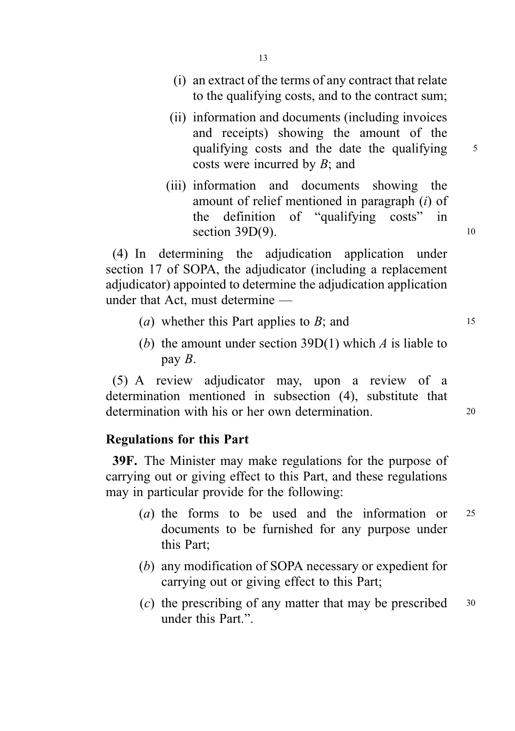- (i) an extract of the terms of any contract that relate to the qualifying costs, and to the contract sum;
- (ii) information and documents (including invoices and receipts) showing the amount of the qualifying costs and the date the qualifying 5 costs were incurred by B; and
- (iii) information and documents showing the amount of relief mentioned in paragraph (i) of the definition of "qualifying costs" in section  $39D(9)$ . 10

(4) In determining the adjudication application under section 17 of SOPA, the adjudicator (including a replacement adjudicator) appointed to determine the adjudication application under that Act, must determine —

- (*a*) whether this Part applies to  $B$ ; and  $15$
- (b) the amount under section 39D(1) which  $A$  is liable to pay B.

(5) A review adjudicator may, upon a review of a determination mentioned in subsection (4), substitute that determination with his or her own determination.

### Regulations for this Part

39F. The Minister may make regulations for the purpose of carrying out or giving effect to this Part, and these regulations may in particular provide for the following:

- (a) the forms to be used and the information or  $25$ documents to be furnished for any purpose under this Part;
- (b) any modification of SOPA necessary or expedient for carrying out or giving effect to this Part;
- (c) the prescribing of any matter that may be prescribed  $30$ under this Part."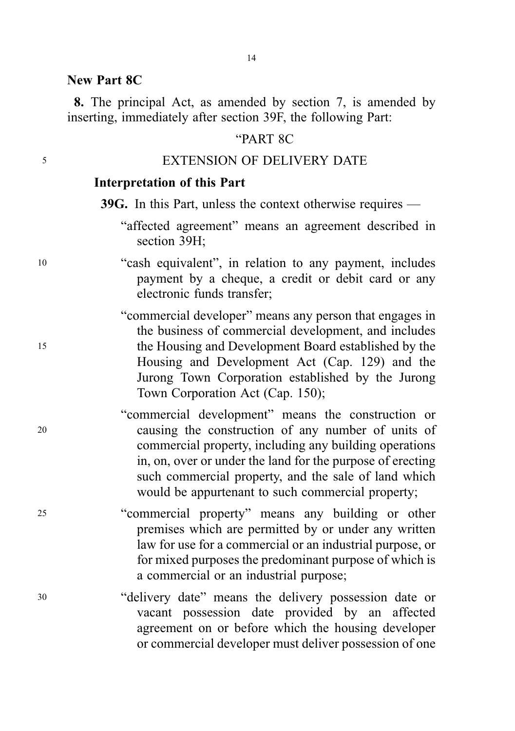#### New Part 8C

8. The principal Act, as amended by section 7, is amended by inserting, immediately after section 39F, the following Part:

### "PART 8C

#### <sup>5</sup> EXTENSION OF DELIVERY DATE

#### Interpretation of this Part

39G. In this Part, unless the context otherwise requires —

- "affected agreement" means an agreement described in section 39H;
- <sup>10</sup> "cash equivalent", in relation to any payment, includes payment by a cheque, a credit or debit card or any electronic funds transfer;

"commercial developer" means any person that engages in the business of commercial development, and includes <sup>15</sup> the Housing and Development Board established by the Housing and Development Act (Cap. 129) and the Jurong Town Corporation established by the Jurong Town Corporation Act (Cap. 150);

- "commercial development" means the construction or <sup>20</sup> causing the construction of any number of units of commercial property, including any building operations in, on, over or under the land for the purpose of erecting such commercial property, and the sale of land which would be appurtenant to such commercial property;
- <sup>25</sup> "commercial property" means any building or other premises which are permitted by or under any written law for use for a commercial or an industrial purpose, or for mixed purposes the predominant purpose of which is a commercial or an industrial purpose;
- <sup>30</sup> "delivery date" means the delivery possession date or vacant possession date provided by an affected agreement on or before which the housing developer or commercial developer must deliver possession of one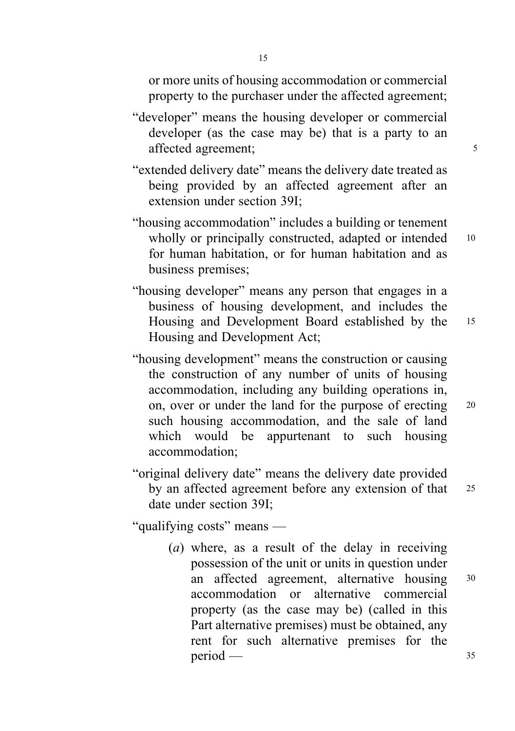or more units of housing accommodation or commercial property to the purchaser under the affected agreement;

- "developer" means the housing developer or commercial developer (as the case may be) that is a party to an affected agreement; 5
- "extended delivery date" means the delivery date treated as being provided by an affected agreement after an extension under section 39I;
- "housing accommodation" includes a building or tenement wholly or principally constructed, adapted or intended 10 for human habitation, or for human habitation and as business premises;
- "housing developer" means any person that engages in a business of housing development, and includes the Housing and Development Board established by the <sup>15</sup> Housing and Development Act;
- "housing development" means the construction or causing the construction of any number of units of housing accommodation, including any building operations in, on, over or under the land for the purpose of erecting <sup>20</sup> such housing accommodation, and the sale of land which would be appurtenant to such housing accommodation;
- "original delivery date" means the delivery date provided by an affected agreement before any extension of that <sup>25</sup> date under section 39I;

"qualifying costs" means —

(a) where, as a result of the delay in receiving possession of the unit or units in question under an affected agreement, alternative housing <sup>30</sup> accommodation or alternative commercial property (as the case may be) (called in this Part alternative premises) must be obtained, any rent for such alternative premises for the  $period -$  35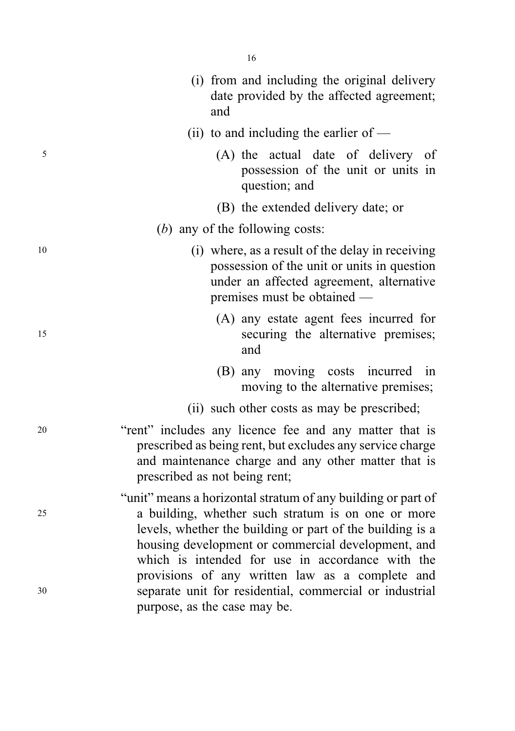|    | (i) from and including the original delivery<br>date provided by the affected agreement;<br>and                                                                                                                                       |
|----|---------------------------------------------------------------------------------------------------------------------------------------------------------------------------------------------------------------------------------------|
|    | (ii) to and including the earlier of $-$                                                                                                                                                                                              |
| 5  | (A) the actual date of delivery of<br>possession of the unit or units in<br>question; and                                                                                                                                             |
|    | (B) the extended delivery date; or                                                                                                                                                                                                    |
|    | (b) any of the following costs:                                                                                                                                                                                                       |
| 10 | (i) where, as a result of the delay in receiving<br>possession of the unit or units in question<br>under an affected agreement, alternative<br>premises must be obtained —                                                            |
| 15 | (A) any estate agent fees incurred for<br>securing the alternative premises;<br>and                                                                                                                                                   |
|    | (B) any moving costs incurred in<br>moving to the alternative premises;                                                                                                                                                               |
|    | (ii) such other costs as may be prescribed;                                                                                                                                                                                           |
| 20 | "rent" includes any licence fee and any matter that is<br>prescribed as being rent, but excludes any service charge<br>and maintenance charge and any other matter that is<br>prescribed as not being rent;                           |
| 25 | "unit" means a horizontal stratum of any building or part of<br>a building, whether such stratum is on one or more<br>levels, whether the building or part of the building is a<br>housing development or commercial development, and |
| 30 | which is intended for use in accordance with the<br>provisions of any written law as a complete and<br>separate unit for residential, commercial or industrial<br>purpose, as the case may be.                                        |

16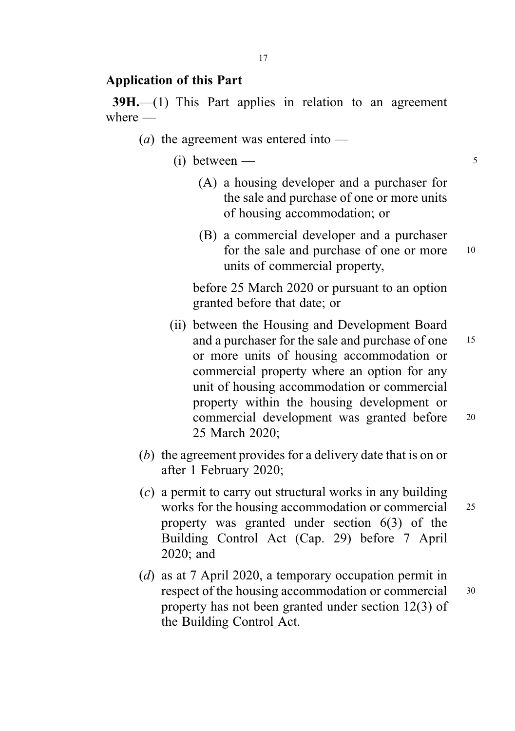#### Application of this Part

39H.—(1) This Part applies in relation to an agreement where —

- (*a*) the agreement was entered into  $-$ 
	- $(i)$  between 5
		- (A) a housing developer and a purchaser for the sale and purchase of one or more units of housing accommodation; or
		- (B) a commercial developer and a purchaser for the sale and purchase of one or more 10 units of commercial property,

before 25 March 2020 or pursuant to an option granted before that date; or

- (ii) between the Housing and Development Board and a purchaser for the sale and purchase of one 15 or more units of housing accommodation or commercial property where an option for any unit of housing accommodation or commercial property within the housing development or commercial development was granted before <sup>20</sup> 25 March 2020;
- (b) the agreement provides for a delivery date that is on or after 1 February 2020;
- (c) a permit to carry out structural works in any building works for the housing accommodation or commercial 25 property was granted under section 6(3) of the Building Control Act (Cap. 29) before 7 April 2020; and
- (d) as at 7 April 2020, a temporary occupation permit in respect of the housing accommodation or commercial 30 property has not been granted under section 12(3) of the Building Control Act.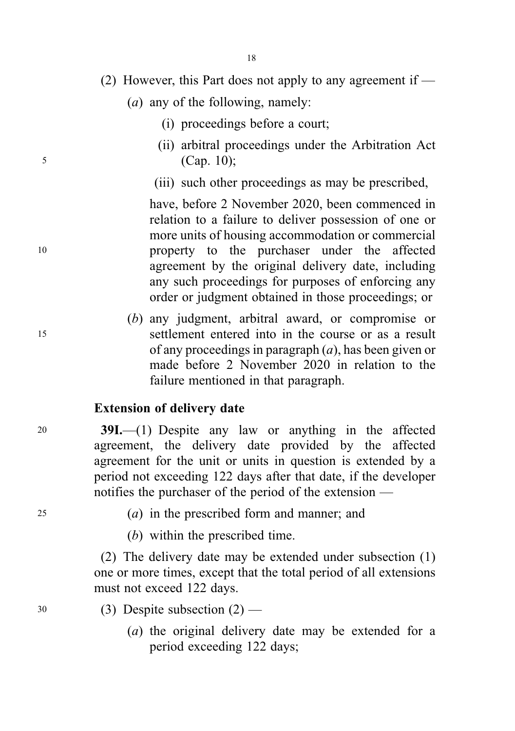- (2) However, this Part does not apply to any agreement if
	- (a) any of the following, namely:
		- (i) proceedings before a court;
- (ii) arbitral proceedings under the Arbitration Act <sup>5</sup> (Cap. 10);
	- (iii) such other proceedings as may be prescribed,

have, before 2 November 2020, been commenced in relation to a failure to deliver possession of one or more units of housing accommodation or commercial <sup>10</sup> property to the purchaser under the affected agreement by the original delivery date, including any such proceedings for purposes of enforcing any order or judgment obtained in those proceedings; or

(b) any judgment, arbitral award, or compromise or <sup>15</sup> settlement entered into in the course or as a result of any proceedings in paragraph  $(a)$ , has been given or made before 2 November 2020 in relation to the failure mentioned in that paragraph.

### Extension of delivery date

<sup>20</sup> 39I.—(1) Despite any law or anything in the affected agreement, the delivery date provided by the affected agreement for the unit or units in question is extended by a period not exceeding 122 days after that date, if the developer notifies the purchaser of the period of the extension —

 $(a)$  in the prescribed form and manner; and

(b) within the prescribed time.

(2) The delivery date may be extended under subsection (1) one or more times, except that the total period of all extensions must not exceed 122 days.

- $30$  (3) Despite subsection  $(2)$ 
	- (a) the original delivery date may be extended for a period exceeding 122 days;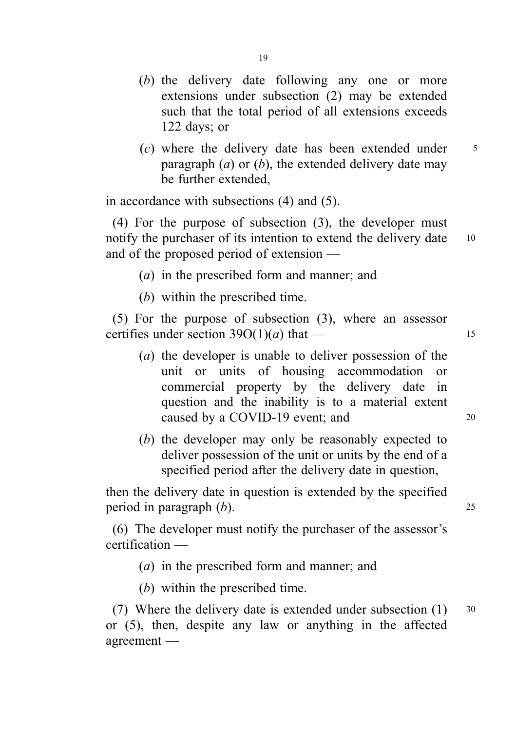- (b) the delivery date following any one or more extensions under subsection (2) may be extended such that the total period of all extensions exceeds 122 days; or
- $(c)$  where the delivery date has been extended under  $5$ paragraph  $(a)$  or  $(b)$ , the extended delivery date may be further extended,

in accordance with subsections (4) and (5).

(4) For the purpose of subsection (3), the developer must notify the purchaser of its intention to extend the delivery date 10 and of the proposed period of extension —

(a) in the prescribed form and manner; and

(b) within the prescribed time.

(5) For the purpose of subsection (3), where an assessor certifies under section  $39O(1)(a)$  that — 15

- (a) the developer is unable to deliver possession of the unit or units of housing accommodation or commercial property by the delivery date in question and the inability is to a material extent caused by a COVID-19 event; and 20
- (b) the developer may only be reasonably expected to deliver possession of the unit or units by the end of a specified period after the delivery date in question,

then the delivery date in question is extended by the specified period in paragraph  $(b)$ . 25

(6) The developer must notify the purchaser of the assessor's certification —

- (a) in the prescribed form and manner; and
- (b) within the prescribed time.

(7) Where the delivery date is extended under subsection  $(1)$  30 or (5), then, despite any law or anything in the affected agreement —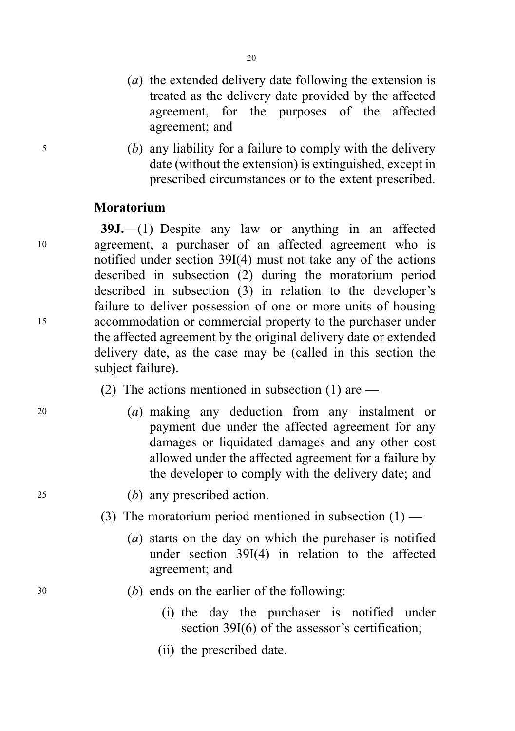- (a) the extended delivery date following the extension is treated as the delivery date provided by the affected agreement, for the purposes of the affected agreement; and
- <sup>5</sup> (b) any liability for a failure to comply with the delivery date (without the extension) is extinguished, except in prescribed circumstances or to the extent prescribed.

#### Moratorium

39J.—(1) Despite any law or anything in an affected <sup>10</sup> agreement, a purchaser of an affected agreement who is notified under section 39I(4) must not take any of the actions described in subsection (2) during the moratorium period described in subsection (3) in relation to the developer's failure to deliver possession of one or more units of housing <sup>15</sup> accommodation or commercial property to the purchaser under the affected agreement by the original delivery date or extended delivery date, as the case may be (called in this section the subject failure).

- (2) The actions mentioned in subsection (1) are —
- <sup>20</sup> (a) making any deduction from any instalment or payment due under the affected agreement for any damages or liquidated damages and any other cost allowed under the affected agreement for a failure by the developer to comply with the delivery date; and
- <sup>25</sup> (b) any prescribed action.
	- (3) The moratorium period mentioned in subsection  $(1)$ 
		- (a) starts on the day on which the purchaser is notified under section 39I(4) in relation to the affected agreement; and
- <sup>30</sup> (b) ends on the earlier of the following:
	- (i) the day the purchaser is notified under section 39I(6) of the assessor's certification;
	- (ii) the prescribed date.

20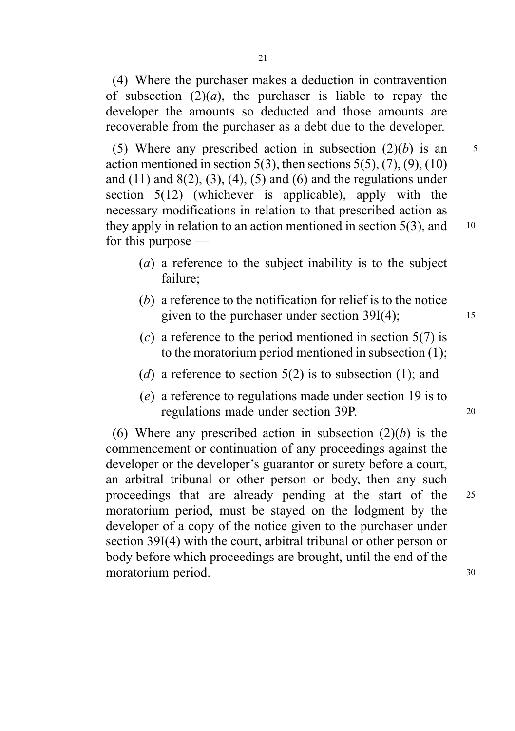(4) Where the purchaser makes a deduction in contravention of subsection  $(2)(a)$ , the purchaser is liable to repay the developer the amounts so deducted and those amounts are recoverable from the purchaser as a debt due to the developer.

(5) Where any prescribed action in subsection  $(2)(b)$  is an  $5$ action mentioned in section  $5(3)$ , then sections  $5(5)$ ,  $(7)$ ,  $(9)$ ,  $(10)$ and  $(11)$  and  $8(2)$ ,  $(3)$ ,  $(4)$ ,  $(5)$  and  $(6)$  and the regulations under section 5(12) (whichever is applicable), apply with the necessary modifications in relation to that prescribed action as they apply in relation to an action mentioned in section  $5(3)$ , and 10 for this purpose —

- (a) a reference to the subject inability is to the subject failure;
- (b) a reference to the notification for relief is to the notice given to the purchaser under section 39I(4); 15
- (c) a reference to the period mentioned in section  $5(7)$  is to the moratorium period mentioned in subsection (1);
- (d) a reference to section  $5(2)$  is to subsection (1); and
- (e) a reference to regulations made under section 19 is to regulations made under section 39P. 20

(6) Where any prescribed action in subsection  $(2)(b)$  is the commencement or continuation of any proceedings against the developer or the developer's guarantor or surety before a court, an arbitral tribunal or other person or body, then any such proceedings that are already pending at the start of the <sup>25</sup> moratorium period, must be stayed on the lodgment by the developer of a copy of the notice given to the purchaser under section 39I(4) with the court, arbitral tribunal or other person or body before which proceedings are brought, until the end of the moratorium period. 30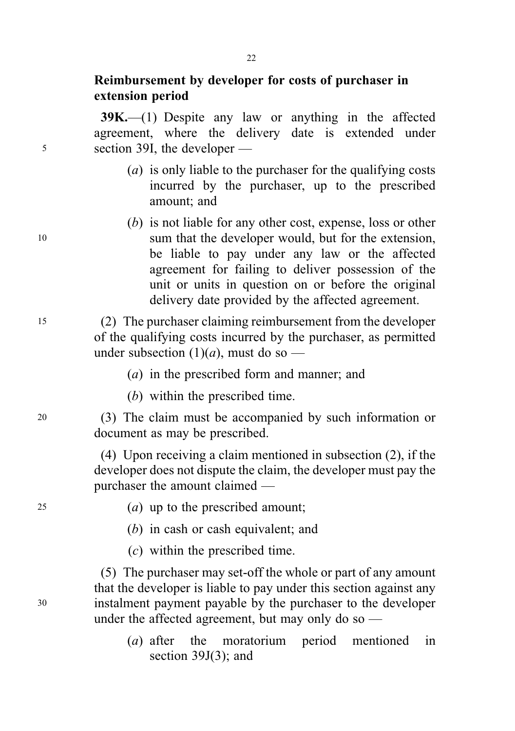### Reimbursement by developer for costs of purchaser in extension period

39K.—(1) Despite any law or anything in the affected agreement, where the delivery date is extended under <sup>5</sup> section 39I, the developer —

- (a) is only liable to the purchaser for the qualifying costs incurred by the purchaser, up to the prescribed amount; and
- (b) is not liable for any other cost, expense, loss or other <sup>10</sup> sum that the developer would, but for the extension, be liable to pay under any law or the affected agreement for failing to deliver possession of the unit or units in question on or before the original delivery date provided by the affected agreement.

<sup>15</sup> (2) The purchaser claiming reimbursement from the developer of the qualifying costs incurred by the purchaser, as permitted under subsection  $(1)(a)$ , must do so —

- (a) in the prescribed form and manner; and
- (b) within the prescribed time.

<sup>20</sup> (3) The claim must be accompanied by such information or document as may be prescribed.

> (4) Upon receiving a claim mentioned in subsection (2), if the developer does not dispute the claim, the developer must pay the purchaser the amount claimed —

<sup>25</sup> (a) up to the prescribed amount;

- (b) in cash or cash equivalent; and
- (c) within the prescribed time.

(5) The purchaser may set-off the whole or part of any amount that the developer is liable to pay under this section against any <sup>30</sup> instalment payment payable by the purchaser to the developer under the affected agreement, but may only do so  $-$ 

> (a) after the moratorium period mentioned in section 39J(3); and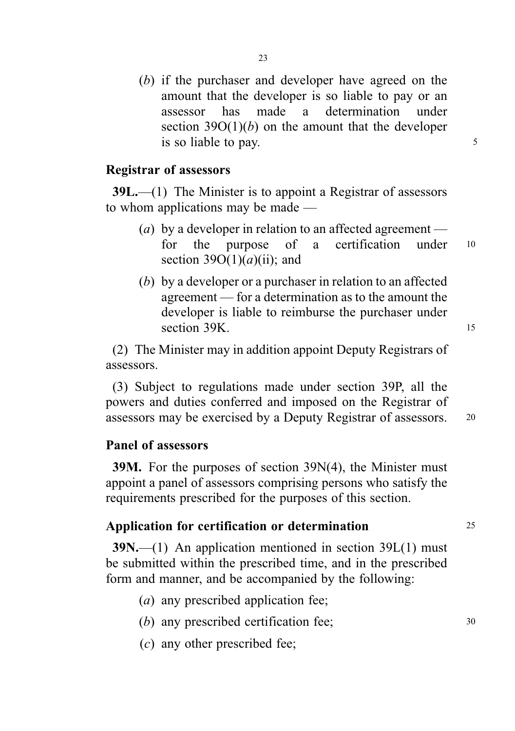(b) if the purchaser and developer have agreed on the amount that the developer is so liable to pay or an assessor has made a determination under section  $39O(1)(b)$  on the amount that the developer is so liable to pay.

#### Registrar of assessors

39L.—(1) The Minister is to appoint a Registrar of assessors to whom applications may be made —

- (a) by a developer in relation to an affected agreement for the purpose of a certification under <sup>10</sup> section  $39O(1)(a)(ii)$ ; and
- (b) by a developer or a purchaser in relation to an affected agreement — for a determination as to the amount the developer is liable to reimburse the purchaser under section 39K. 15

(2) The Minister may in addition appoint Deputy Registrars of assessors.

(3) Subject to regulations made under section 39P, all the powers and duties conferred and imposed on the Registrar of assessors may be exercised by a Deputy Registrar of assessors. <sup>20</sup>

#### Panel of assessors

39M. For the purposes of section 39N(4), the Minister must appoint a panel of assessors comprising persons who satisfy the requirements prescribed for the purposes of this section.

#### Application for certification or determination 25

 $39N$ ,—(1) An application mentioned in section 39L(1) must be submitted within the prescribed time, and in the prescribed form and manner, and be accompanied by the following:

- (a) any prescribed application fee;
- (b) any prescribed certification fee; 30
- (c) any other prescribed fee;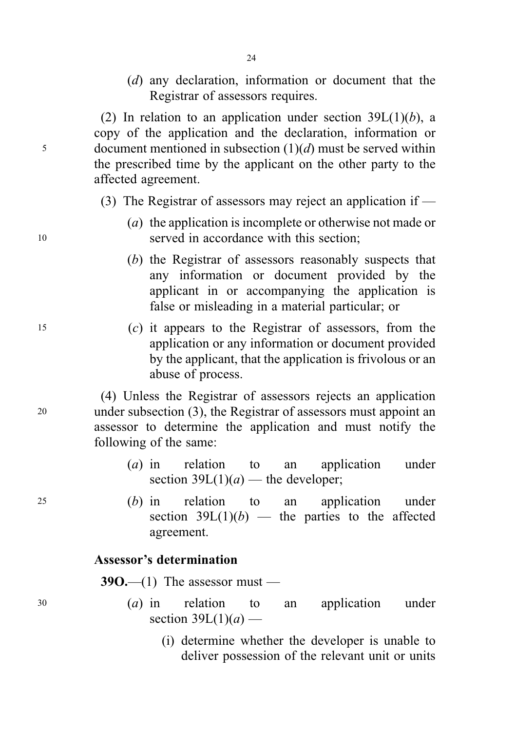(d) any declaration, information or document that the Registrar of assessors requires.

(2) In relation to an application under section  $39L(1)(b)$ , a copy of the application and the declaration, information or 5 document mentioned in subsection  $(1)(d)$  must be served within the prescribed time by the applicant on the other party to the affected agreement.

- (3) The Registrar of assessors may reject an application if —
- (a) the application is incomplete or otherwise not made or <sup>10</sup> served in accordance with this section;
	- (b) the Registrar of assessors reasonably suspects that any information or document provided by the applicant in or accompanying the application is false or misleading in a material particular; or
- <sup>15</sup> (c) it appears to the Registrar of assessors, from the application or any information or document provided by the applicant, that the application is frivolous or an abuse of process.

(4) Unless the Registrar of assessors rejects an application <sup>20</sup> under subsection (3), the Registrar of assessors must appoint an assessor to determine the application and must notify the following of the same:

- (a) in relation to an application under section  $39L(1)(a)$  — the developer;
- <sup>25</sup> (b) in relation to an application under section  $39L(1)(b)$  — the parties to the affected agreement.

### Assessor's determination

 $390$ —(1) The assessor must —

- <sup>30</sup> (a) in relation to an application under section  $39L(1)(a)$  —
	- (i) determine whether the developer is unable to deliver possession of the relevant unit or units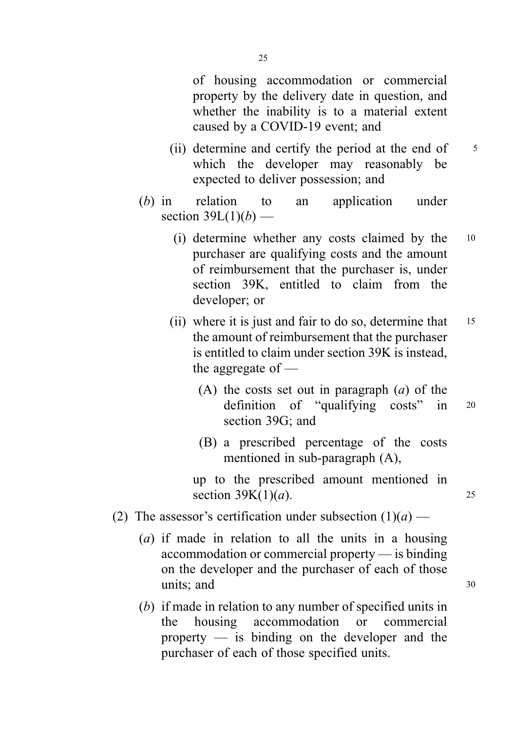of housing accommodation or commercial property by the delivery date in question, and whether the inability is to a material extent caused by a COVID-19 event; and

- (ii) determine and certify the period at the end of  $\frac{5}{5}$ which the developer may reasonably be expected to deliver possession; and
- (b) in relation to an application under section  $39L(1)(b)$  —
	- (i) determine whether any costs claimed by the <sup>10</sup> purchaser are qualifying costs and the amount of reimbursement that the purchaser is, under section 39K, entitled to claim from the developer; or
	- (ii) where it is just and fair to do so, determine that 15 the amount of reimbursement that the purchaser is entitled to claim under section 39K is instead, the aggregate of —
		- (A) the costs set out in paragraph  $(a)$  of the definition of "qualifying costs" in <sup>20</sup> section 39G; and
		- (B) a prescribed percentage of the costs mentioned in sub-paragraph (A),

up to the prescribed amount mentioned in section  $39K(1)(a)$ . 25

- (2) The assessor's certification under subsection  $(1)(a)$ 
	- (a) if made in relation to all the units in a housing accommodation or commercial property — is binding on the developer and the purchaser of each of those units; and 30
	- (b) if made in relation to any number of specified units in the housing accommodation or commercial property — is binding on the developer and the purchaser of each of those specified units.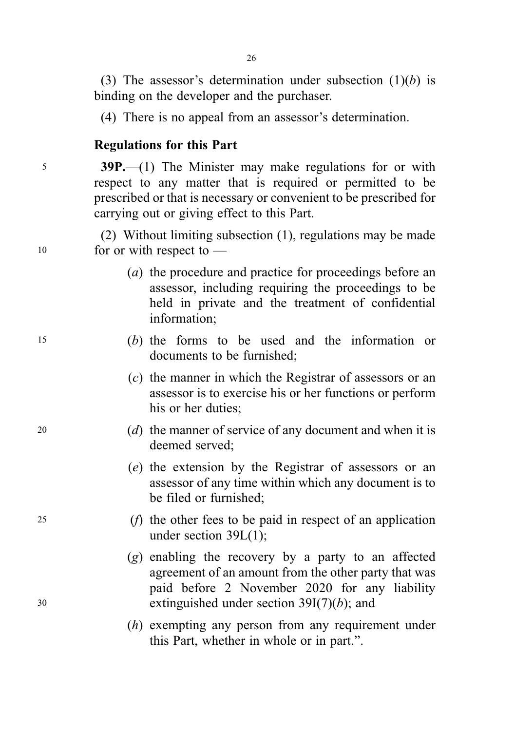(3) The assessor's determination under subsection  $(1)(b)$  is binding on the developer and the purchaser.

(4) There is no appeal from an assessor's determination.

### Regulations for this Part

<sup>5</sup> 39P.—(1) The Minister may make regulations for or with respect to any matter that is required or permitted to be prescribed or that is necessary or convenient to be prescribed for carrying out or giving effect to this Part.

(2) Without limiting subsection (1), regulations may be made <sup>10</sup> for or with respect to —

- (a) the procedure and practice for proceedings before an assessor, including requiring the proceedings to be held in private and the treatment of confidential information;
- <sup>15</sup> (b) the forms to be used and the information or documents to be furnished;
	- (c) the manner in which the Registrar of assessors or an assessor is to exercise his or her functions or perform his or her duties;
- <sup>20</sup> (d) the manner of service of any document and when it is deemed served;
	- (e) the extension by the Registrar of assessors or an assessor of any time within which any document is to be filed or furnished;
- <sup>25</sup> (f) the other fees to be paid in respect of an application under section 39L(1);
- (g) enabling the recovery by a party to an affected agreement of an amount from the other party that was paid before 2 November 2020 for any liability 30 extinguished under section  $39I(7)(b)$ ; and
	- (h) exempting any person from any requirement under this Part, whether in whole or in part.".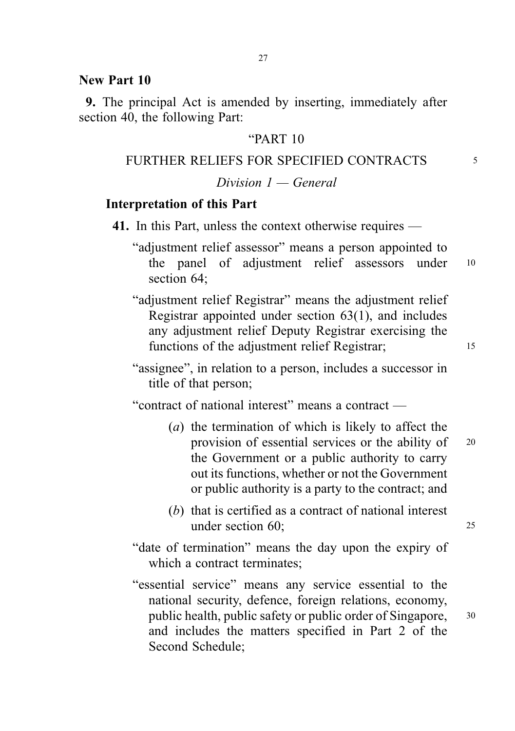#### New Part 10

9. The principal Act is amended by inserting, immediately after section 40, the following Part:

#### "PART 10

#### FURTHER RELIEFS FOR SPECIFIED CONTRACTS 5

### $Division I - General$

#### Interpretation of this Part

- 41. In this Part, unless the context otherwise requires
	- "adjustment relief assessor" means a person appointed to the panel of adjustment relief assessors under <sup>10</sup> section 64:
	- "adjustment relief Registrar" means the adjustment relief Registrar appointed under section 63(1), and includes any adjustment relief Deputy Registrar exercising the functions of the adjustment relief Registrar; 15

"assignee", in relation to a person, includes a successor in title of that person;

"contract of national interest" means a contract —

- (a) the termination of which is likely to affect the provision of essential services or the ability of <sup>20</sup> the Government or a public authority to carry out its functions, whether or not the Government or public authority is a party to the contract; and
- (b) that is certified as a contract of national interest under section 60; 25
- "date of termination" means the day upon the expiry of which a contract terminates:
- "essential service" means any service essential to the national security, defence, foreign relations, economy, public health, public safety or public order of Singapore, <sup>30</sup> and includes the matters specified in Part 2 of the Second Schedule;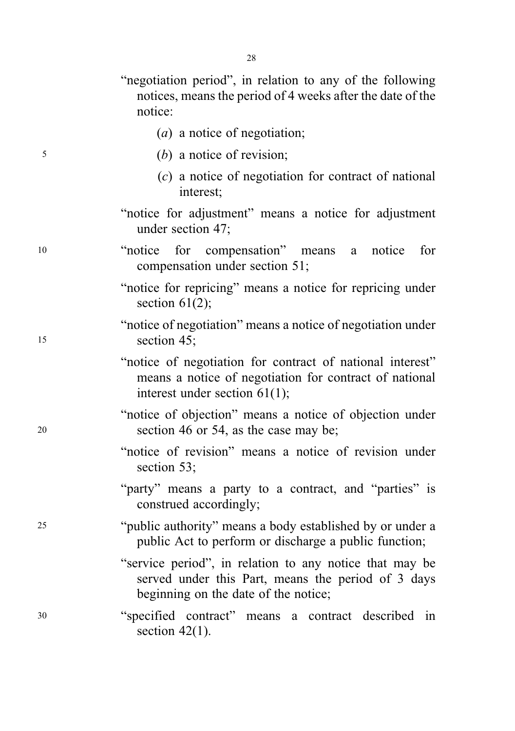| "negotiation period", in relation to any of the following |                                                            |  |  |  |  |
|-----------------------------------------------------------|------------------------------------------------------------|--|--|--|--|
|                                                           | notices, means the period of 4 weeks after the date of the |  |  |  |  |
| notice:                                                   |                                                            |  |  |  |  |

- (*a*) a notice of negotiation;
- <sup>5</sup> (b) a notice of revision;
	- (c) a notice of negotiation for contract of national interest;
	- "notice for adjustment" means a notice for adjustment under section 47;
- <sup>10</sup> "notice for compensation" means a notice for compensation under section 51;
	- "notice for repricing" means a notice for repricing under section 61(2):
- "notice of negotiation" means a notice of negotiation under <sup>15</sup> section 45;
	- "notice of negotiation for contract of national interest" means a notice of negotiation for contract of national interest under section 61(1);
- "notice of objection" means a notice of objection under <sup>20</sup> section 46 or 54, as the case may be;
	- "notice of revision" means a notice of revision under section 53;
	- "party" means a party to a contract, and "parties" is construed accordingly;
- <sup>25</sup> "public authority" means a body established by or under a public Act to perform or discharge a public function;
	- "service period", in relation to any notice that may be served under this Part, means the period of 3 days beginning on the date of the notice;
- <sup>30</sup> "specified contract" means a contract described in section  $42(1)$ .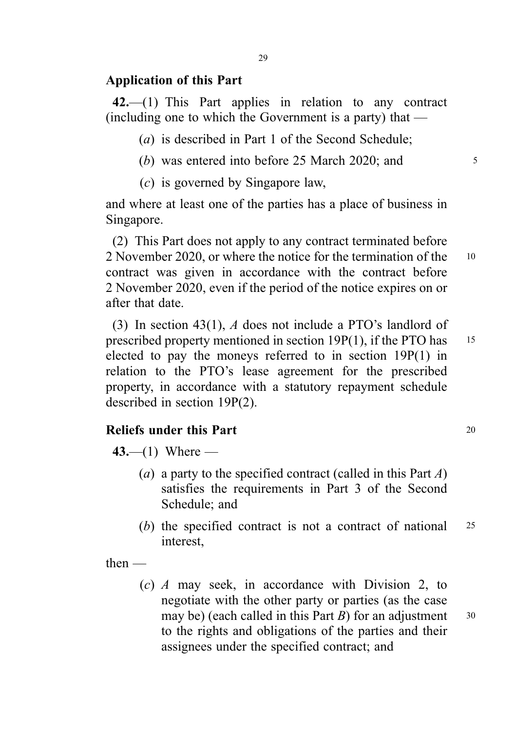#### Application of this Part

42.—(1) This Part applies in relation to any contract (including one to which the Government is a party) that —

(a) is described in Part 1 of the Second Schedule;

(b) was entered into before  $25$  March  $2020$ ; and  $5$ 

(c) is governed by Singapore law,

and where at least one of the parties has a place of business in Singapore.

(2) This Part does not apply to any contract terminated before 2 November 2020, or where the notice for the termination of the 10 contract was given in accordance with the contract before 2 November 2020, even if the period of the notice expires on or after that date.

(3) In section 43(1), A does not include a PTO's landlord of prescribed property mentioned in section 19P(1), if the PTO has 15 elected to pay the moneys referred to in section 19P(1) in relation to the PTO's lease agreement for the prescribed property, in accordance with a statutory repayment schedule described in section 19P(2).

### Reliefs under this Part 20

 $43- (1)$  Where —

- (a) a party to the specified contract (called in this Part  $A$ ) satisfies the requirements in Part 3 of the Second Schedule; and
- (b) the specified contract is not a contract of national <sup>25</sup> interest,

then —

(c) A may seek, in accordance with Division 2, to negotiate with the other party or parties (as the case may be) (each called in this Part  $B$ ) for an adjustment  $30$ to the rights and obligations of the parties and their assignees under the specified contract; and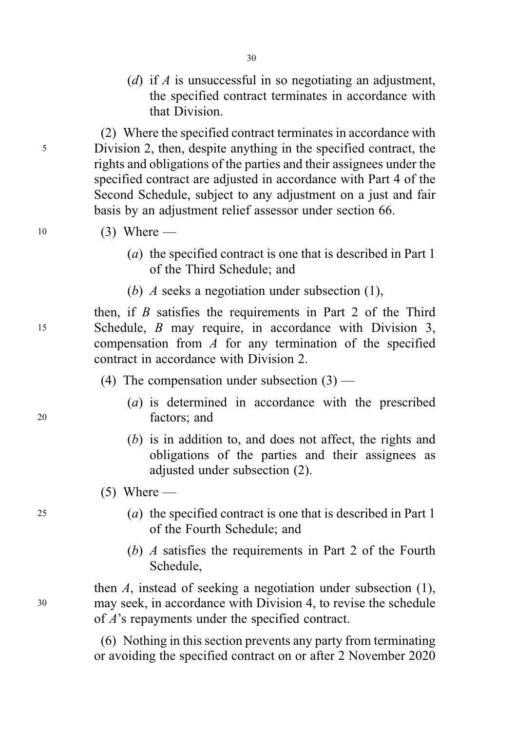(d) if A is unsuccessful in so negotiating an adjustment, the specified contract terminates in accordance with that Division.

(2) Where the specified contract terminates in accordance with <sup>5</sup> Division 2, then, despite anything in the specified contract, the rights and obligations of the parties and their assignees under the specified contract are adjusted in accordance with Part 4 of the Second Schedule, subject to any adjustment on a just and fair basis by an adjustment relief assessor under section 66.

- 10 (3) Where
	- (a) the specified contract is one that is described in Part 1 of the Third Schedule; and
	- (b) A seeks a negotiation under subsection (1),

then, if  $B$  satisfies the requirements in Part 2 of the Third <sup>15</sup> Schedule, B may require, in accordance with Division 3, compensation from  $A$  for any termination of the specified contract in accordance with Division 2.

- (4) The compensation under subsection  $(3)$  —
- (a) is determined in accordance with the prescribed <sup>20</sup> factors; and
	- (b) is in addition to, and does not affect, the rights and obligations of the parties and their assignees as adjusted under subsection (2).
	- $(5)$  Where —
- <sup>25</sup> (a) the specified contract is one that is described in Part 1 of the Fourth Schedule; and
	- (b) A satisfies the requirements in Part 2 of the Fourth Schedule,

then A, instead of seeking a negotiation under subsection (1), <sup>30</sup> may seek, in accordance with Division 4, to revise the schedule of A's repayments under the specified contract.

> (6) Nothing in this section prevents any party from terminating or avoiding the specified contract on or after 2 November 2020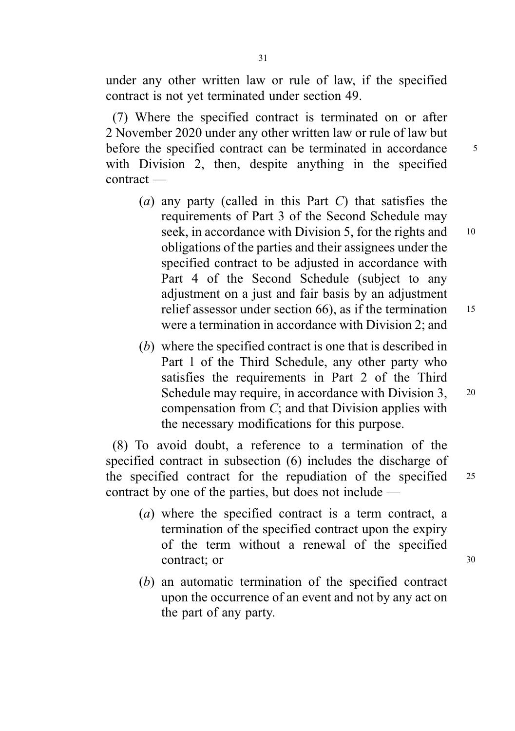under any other written law or rule of law, if the specified contract is not yet terminated under section 49.

(7) Where the specified contract is terminated on or after 2 November 2020 under any other written law or rule of law but before the specified contract can be terminated in accordance 5 with Division 2, then, despite anything in the specified contract —

- (a) any party (called in this Part  $C$ ) that satisfies the requirements of Part 3 of the Second Schedule may seek, in accordance with Division 5, for the rights and 10 obligations of the parties and their assignees under the specified contract to be adjusted in accordance with Part 4 of the Second Schedule (subject to any adjustment on a just and fair basis by an adjustment relief assessor under section  $66$ ), as if the termination  $15$ were a termination in accordance with Division 2; and
- (b) where the specified contract is one that is described in Part 1 of the Third Schedule, any other party who satisfies the requirements in Part 2 of the Third Schedule may require, in accordance with Division 3, 20 compensation from C; and that Division applies with the necessary modifications for this purpose.

(8) To avoid doubt, a reference to a termination of the specified contract in subsection (6) includes the discharge of the specified contract for the repudiation of the specified 25 contract by one of the parties, but does not include —

- (a) where the specified contract is a term contract, a termination of the specified contract upon the expiry of the term without a renewal of the specified contract; or 30
- (b) an automatic termination of the specified contract upon the occurrence of an event and not by any act on the part of any party.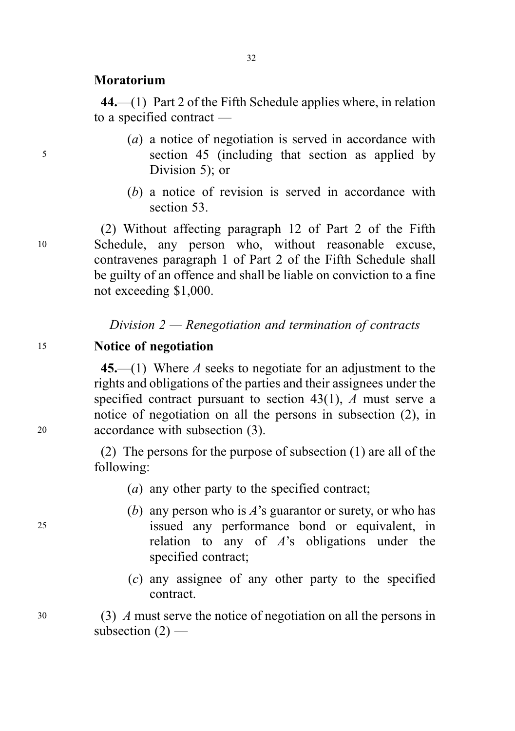#### Moratorium

44.—(1) Part 2 of the Fifth Schedule applies where, in relation to a specified contract —

32

- (a) a notice of negotiation is served in accordance with <sup>5</sup> section 45 (including that section as applied by Division 5); or
	- (b) a notice of revision is served in accordance with section 53.

(2) Without affecting paragraph 12 of Part 2 of the Fifth <sup>10</sup> Schedule, any person who, without reasonable excuse, contravenes paragraph 1 of Part 2 of the Fifth Schedule shall be guilty of an offence and shall be liable on conviction to a fine not exceeding \$1,000.

Division  $2$  — Renegotiation and termination of contracts

#### <sup>15</sup> Notice of negotiation

45.—(1) Where A seeks to negotiate for an adjustment to the rights and obligations of the parties and their assignees under the specified contract pursuant to section 43(1), A must serve a notice of negotiation on all the persons in subsection (2), in <sup>20</sup> accordance with subsection (3).

> (2) The persons for the purpose of subsection (1) are all of the following:

- (a) any other party to the specified contract;
- (b) any person who is  $A$ 's guarantor or surety, or who has <sup>25</sup> issued any performance bond or equivalent, in relation to any of  $A$ 's obligations under the specified contract;
	- (c) any assignee of any other party to the specified contract.

<sup>30</sup> (3) A must serve the notice of negotiation on all the persons in subsection  $(2)$  —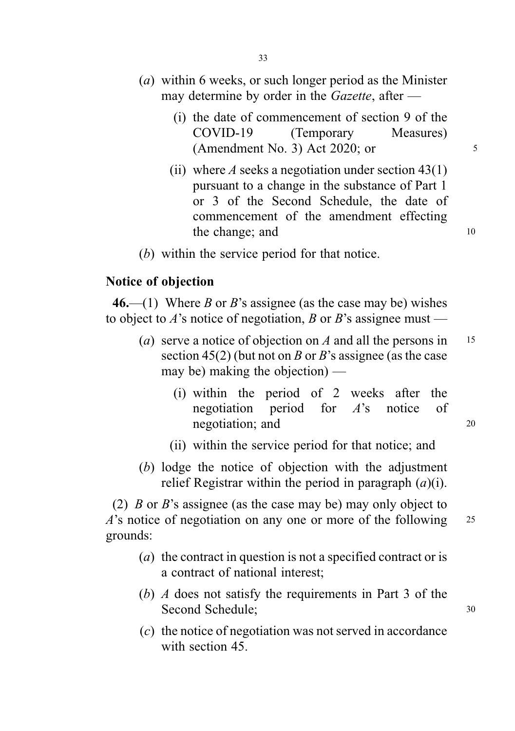- (a) within 6 weeks, or such longer period as the Minister may determine by order in the Gazette, after —
	- (i) the date of commencement of section 9 of the COVID-19 (Temporary Measures) (Amendment No. 3) Act 2020; or  $5$
	- (ii) where A seeks a negotiation under section  $43(1)$ pursuant to a change in the substance of Part 1 or 3 of the Second Schedule, the date of commencement of the amendment effecting the change; and 10
- (b) within the service period for that notice.

#### Notice of objection

46.—(1) Where B or B's assignee (as the case may be) wishes to object to A's notice of negotiation, B or B's assignee must —

- (a) serve a notice of objection on A and all the persons in  $15$ section 45(2) (but not on B or B's assignee (as the case may be) making the objection) —
	- (i) within the period of 2 weeks after the negotiation period for A's notice of negotiation; and 20
	- (ii) within the service period for that notice; and
- (b) lodge the notice of objection with the adjustment relief Registrar within the period in paragraph  $(a)(i)$ .

(2) B or B's assignee (as the case may be) may only object to  $A$ 's notice of negotiation on any one or more of the following 25 grounds:

- (*a*) the contract in question is not a specified contract or is a contract of national interest;
- (b) A does not satisfy the requirements in Part 3 of the Second Schedule: 30
- (c) the notice of negotiation was not served in accordance with section 45.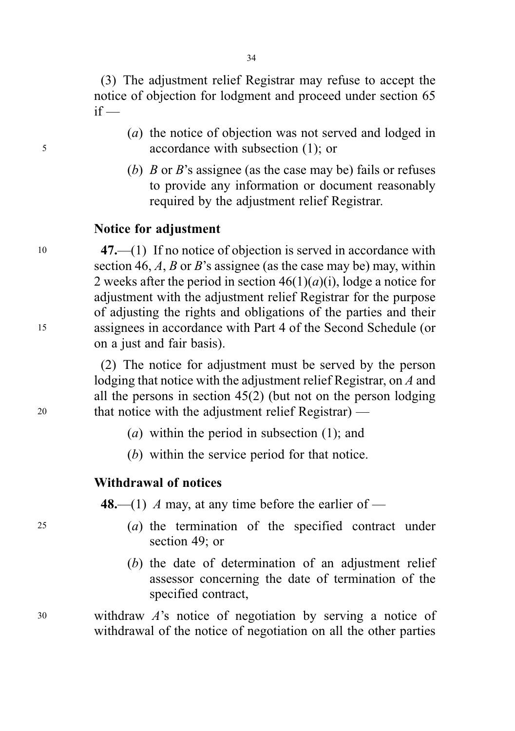(3) The adjustment relief Registrar may refuse to accept the notice of objection for lodgment and proceed under section 65  $if -$ 

- (a) the notice of objection was not served and lodged in <sup>5</sup> accordance with subsection (1); or
	- (b) B or B's assignee (as the case may be) fails or refuses to provide any information or document reasonably required by the adjustment relief Registrar.

## Notice for adjustment

<sup>10</sup> 47.—(1) If no notice of objection is served in accordance with section 46,  $A$ ,  $B$  or  $B$ 's assignee (as the case may be) may, within 2 weeks after the period in section  $46(1)(a)(i)$ , lodge a notice for adjustment with the adjustment relief Registrar for the purpose of adjusting the rights and obligations of the parties and their <sup>15</sup> assignees in accordance with Part 4 of the Second Schedule (or on a just and fair basis).

(2) The notice for adjustment must be served by the person lodging that notice with the adjustment relief Registrar, on A and all the persons in section 45(2) (but not on the person lodging <sup>20</sup> that notice with the adjustment relief Registrar) —

- (a) within the period in subsection (1); and
- (b) within the service period for that notice.

# Withdrawal of notices

48.—(1) A may, at any time before the earlier of —

- <sup>25</sup> (a) the termination of the specified contract under section 49; or
	- (b) the date of determination of an adjustment relief assessor concerning the date of termination of the specified contract,

<sup>30</sup> withdraw A's notice of negotiation by serving a notice of withdrawal of the notice of negotiation on all the other parties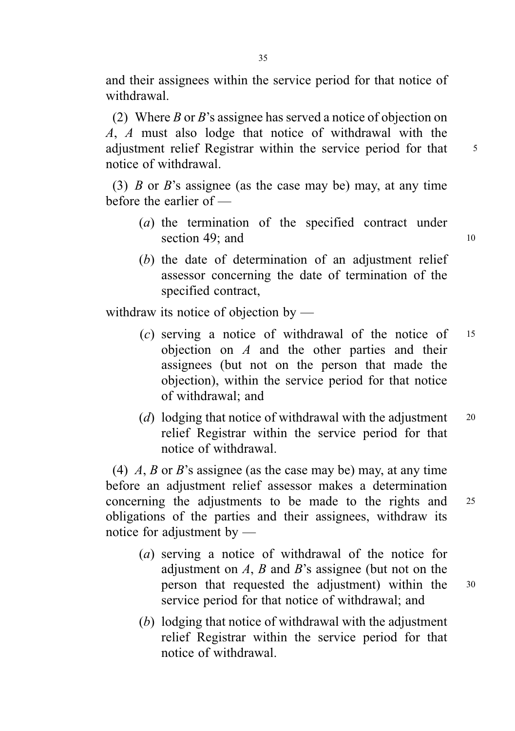and their assignees within the service period for that notice of withdrawal.

(2) Where B or B's assignee has served a notice of objection on A, A must also lodge that notice of withdrawal with the adjustment relief Registrar within the service period for that 5 notice of withdrawal.

(3) B or B's assignee (as the case may be) may, at any time before the earlier of —

- (a) the termination of the specified contract under section 49; and  $10$
- (b) the date of determination of an adjustment relief assessor concerning the date of termination of the specified contract,

withdraw its notice of objection by —

- $(c)$  serving a notice of withdrawal of the notice of 15 objection on  $A$  and the other parties and their assignees (but not on the person that made the objection), within the service period for that notice of withdrawal; and
- (d) lodging that notice of withdrawal with the adjustment  $20$ relief Registrar within the service period for that notice of withdrawal.

(4)  $A$ ,  $B$  or  $B$ 's assignee (as the case may be) may, at any time before an adjustment relief assessor makes a determination concerning the adjustments to be made to the rights and <sup>25</sup> obligations of the parties and their assignees, withdraw its notice for adjustment by —

- (a) serving a notice of withdrawal of the notice for adjustment on  $A$ ,  $B$  and  $B$ 's assignee (but not on the person that requested the adjustment) within the <sup>30</sup> service period for that notice of withdrawal; and
- (b) lodging that notice of withdrawal with the adjustment relief Registrar within the service period for that notice of withdrawal.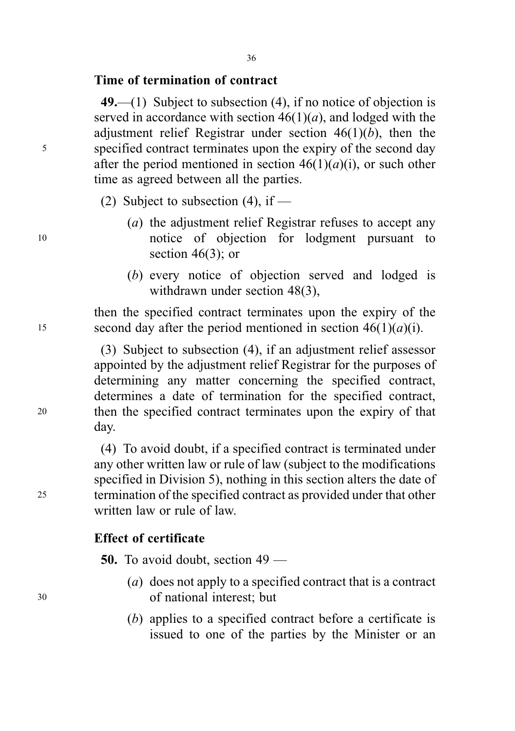#### Time of termination of contract

49.—(1) Subject to subsection (4), if no notice of objection is served in accordance with section  $46(1)(a)$ , and lodged with the adjustment relief Registrar under section  $46(1)(b)$ , then the <sup>5</sup> specified contract terminates upon the expiry of the second day after the period mentioned in section  $46(1)(a)(i)$ , or such other time as agreed between all the parties.

- (2) Subject to subsection  $(4)$ , if —
- (a) the adjustment relief Registrar refuses to accept any <sup>10</sup> notice of objection for lodgment pursuant to section  $46(3)$ ; or
	- (b) every notice of objection served and lodged is withdrawn under section 48(3),

then the specified contract terminates upon the expiry of the 15 second day after the period mentioned in section  $46(1)(a)(i)$ .

(3) Subject to subsection (4), if an adjustment relief assessor appointed by the adjustment relief Registrar for the purposes of determining any matter concerning the specified contract, determines a date of termination for the specified contract, <sup>20</sup> then the specified contract terminates upon the expiry of that day.

(4) To avoid doubt, if a specified contract is terminated under any other written law or rule of law (subject to the modifications specified in Division 5), nothing in this section alters the date of <sup>25</sup> termination of the specified contract as provided under that other written law or rule of law.

### Effect of certificate

50. To avoid doubt, section 49 —

- (a) does not apply to a specified contract that is a contract <sup>30</sup> of national interest; but
	- (b) applies to a specified contract before a certificate is issued to one of the parties by the Minister or an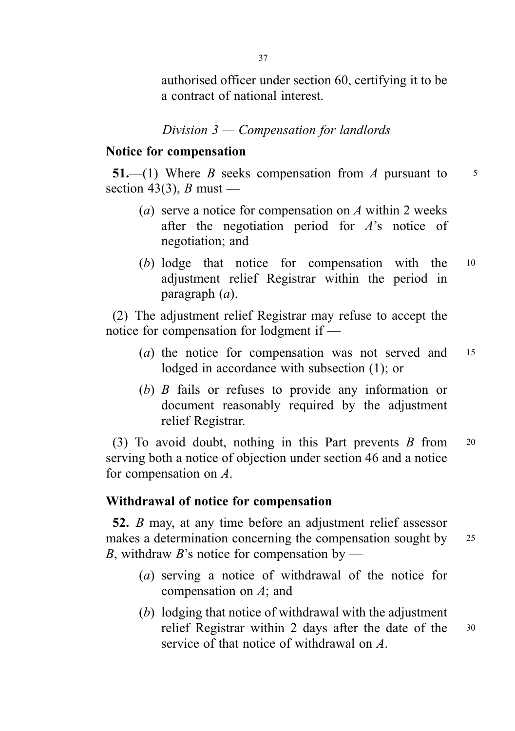authorised officer under section 60, certifying it to be a contract of national interest.

## Division 3 — Compensation for landlords

#### Notice for compensation

51.—(1) Where B seeks compensation from A pursuant to  $5$ section 43(3), B must —

- (a) serve a notice for compensation on A within 2 weeks after the negotiation period for  $A$ 's notice of negotiation; and
- (b) lodge that notice for compensation with the <sup>10</sup> adjustment relief Registrar within the period in paragraph (a).

(2) The adjustment relief Registrar may refuse to accept the notice for compensation for lodgment if —

- (*a*) the notice for compensation was not served and 15 lodged in accordance with subsection (1); or
- (b) B fails or refuses to provide any information or document reasonably required by the adjustment relief Registrar.

(3) To avoid doubt, nothing in this Part prevents  $B$  from 20 serving both a notice of objection under section 46 and a notice for compensation on A.

### Withdrawal of notice for compensation

52. B may, at any time before an adjustment relief assessor makes a determination concerning the compensation sought by 25 B, withdraw B's notice for compensation by —

- (a) serving a notice of withdrawal of the notice for compensation on A; and
- (b) lodging that notice of withdrawal with the adjustment relief Registrar within 2 days after the date of the <sup>30</sup> service of that notice of withdrawal on A.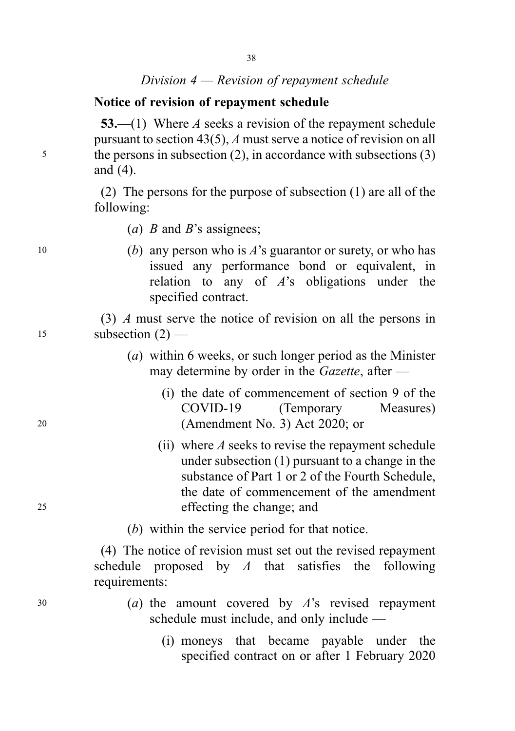## Division 4 — Revision of repayment schedule

### Notice of revision of repayment schedule

53.—(1) Where A seeks a revision of the repayment schedule pursuant to section 43(5), A must serve a notice of revision on all <sup>5</sup> the persons in subsection (2), in accordance with subsections (3) and (4).

> (2) The persons for the purpose of subsection (1) are all of the following:

(*a*) *B* and *B*'s assignees;

10 (b) any person who is  $A$ 's guarantor or surety, or who has issued any performance bond or equivalent, in relation to any of  $A$ 's obligations under the specified contract.

(3) A must serve the notice of revision on all the persons in  $15$  subsection  $(2)$  —

- (a) within 6 weeks, or such longer period as the Minister may determine by order in the Gazette, after —
- (i) the date of commencement of section 9 of the COVID-19 (Temporary Measures) <sup>20</sup> (Amendment No. 3) Act 2020; or
- (ii) where  $A$  seeks to revise the repayment schedule under subsection (1) pursuant to a change in the substance of Part 1 or 2 of the Fourth Schedule, the date of commencement of the amendment <sup>25</sup> effecting the change; and
	- (b) within the service period for that notice.

(4) The notice of revision must set out the revised repayment schedule proposed by  $A$  that satisfies the following requirements:

- $30$  (a) the amount covered by  $A$ 's revised repayment schedule must include, and only include —
	- (i) moneys that became payable under the specified contract on or after 1 February 2020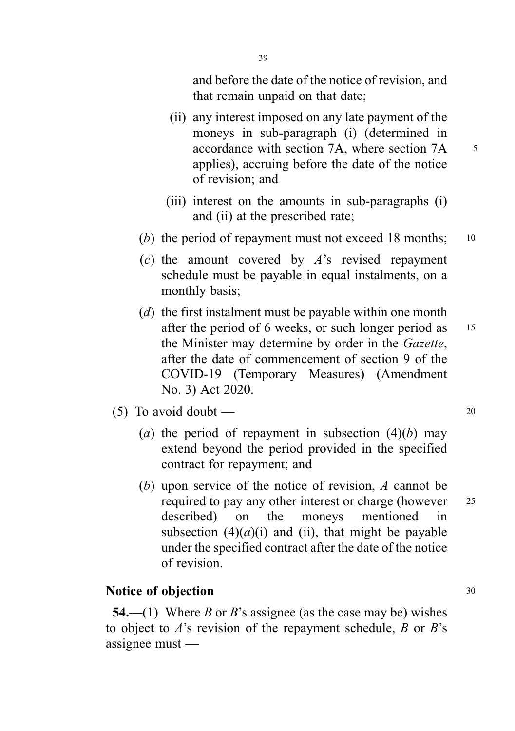and before the date of the notice of revision, and that remain unpaid on that date;

- (ii) any interest imposed on any late payment of the moneys in sub-paragraph (i) (determined in accordance with section 7A, where section 7A  $\frac{5}{5}$ applies), accruing before the date of the notice of revision; and
- (iii) interest on the amounts in sub-paragraphs (i) and (ii) at the prescribed rate;
- (b) the period of repayment must not exceed 18 months;  $10$
- (c) the amount covered by  $A$ 's revised repayment schedule must be payable in equal instalments, on a monthly basis;
- (*d*) the first instalment must be payable within one month after the period of 6 weeks, or such longer period as 15 the Minister may determine by order in the Gazette, after the date of commencement of section 9 of the COVID-19 (Temporary Measures) (Amendment No. 3) Act 2020.
- (5) To avoid doubt  $\qquad 20$ 
	- (a) the period of repayment in subsection  $(4)(b)$  may extend beyond the period provided in the specified contract for repayment; and
	- (b) upon service of the notice of revision, A cannot be required to pay any other interest or charge (however 25 described) on the moneys mentioned in subsection  $(4)(a)(i)$  and (ii), that might be payable under the specified contract after the date of the notice of revision.

### Notice of objection 30

54.—(1) Where B or B's assignee (as the case may be) wishes to object to  $A$ 's revision of the repayment schedule,  $B$  or  $B$ 's assignee must —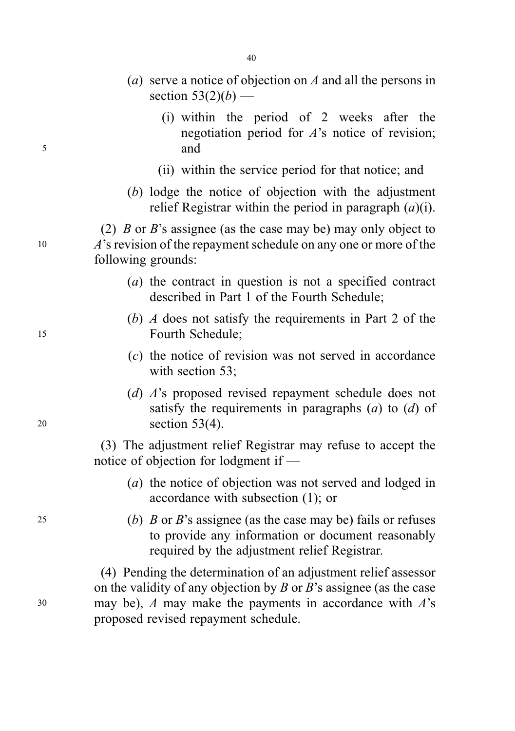- (a) serve a notice of objection on A and all the persons in section  $53(2)(b)$  —
- (i) within the period of 2 weeks after the negotiation period for A's notice of revision; <sup>5</sup> and
	- (ii) within the service period for that notice; and
	- (b) lodge the notice of objection with the adjustment relief Registrar within the period in paragraph  $(a)(i)$ .

(2)  $\hat{B}$  or  $\hat{B}$ 's assignee (as the case may be) may only object to <sup>10</sup> A's revision of the repayment schedule on any one or more of the following grounds:

- (a) the contract in question is not a specified contract described in Part 1 of the Fourth Schedule;
- (b) A does not satisfy the requirements in Part 2 of the <sup>15</sup> Fourth Schedule;
	- (c) the notice of revision was not served in accordance with section 53;
- (d) A's proposed revised repayment schedule does not satisfy the requirements in paragraphs  $(a)$  to  $(d)$  of <sup>20</sup> section 53(4).

(3) The adjustment relief Registrar may refuse to accept the notice of objection for lodgment if —

- (a) the notice of objection was not served and lodged in accordance with subsection (1); or
- 25 (b) B or B's assignee (as the case may be) fails or refuses to provide any information or document reasonably required by the adjustment relief Registrar.

(4) Pending the determination of an adjustment relief assessor on the validity of any objection by  $B$  or  $B$ 's assignee (as the case  $30$  may be), A may make the payments in accordance with A's proposed revised repayment schedule.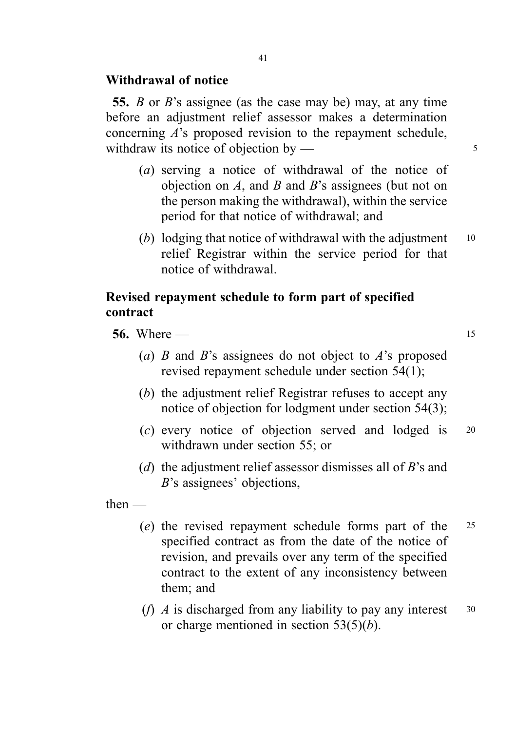## Withdrawal of notice

55. B or B's assignee (as the case may be) may, at any time before an adjustment relief assessor makes a determination concerning A's proposed revision to the repayment schedule, withdraw its notice of objection by  $\frac{3}{5}$ 

- (a) serving a notice of withdrawal of the notice of objection on  $A$ , and  $B$  and  $B$ 's assignees (but not on the person making the withdrawal), within the service period for that notice of withdrawal; and
- (b) lodging that notice of withdrawal with the adjustment  $10$ relief Registrar within the service period for that notice of withdrawal.

## Revised repayment schedule to form part of specified contract

- **56.** Where  $15$ 
	- (a) B and B's assignees do not object to A's proposed revised repayment schedule under section 54(1);
	- (b) the adjustment relief Registrar refuses to accept any notice of objection for lodgment under section 54(3);
	- (c) every notice of objection served and lodged is <sup>20</sup> withdrawn under section 55; or
	- (d) the adjustment relief assessor dismisses all of  $B$ 's and B's assignees' objections,

then —

- (e) the revised repayment schedule forms part of the <sup>25</sup> specified contract as from the date of the notice of revision, and prevails over any term of the specified contract to the extent of any inconsistency between them; and
- (*f*) *A* is discharged from any liability to pay any interest  $\frac{30}{2}$ or charge mentioned in section  $53(5)(b)$ .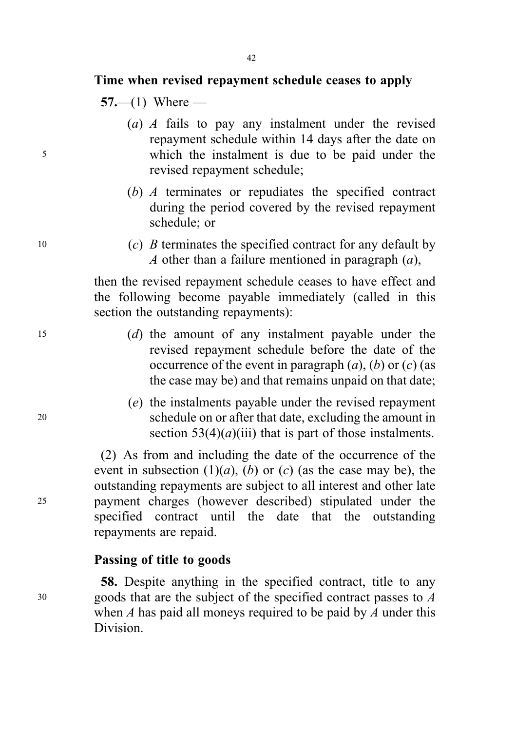### Time when revised repayment schedule ceases to apply

 $57 - (1)$  Where —

- (a) A fails to pay any instalment under the revised repayment schedule within 14 days after the date on <sup>5</sup> which the instalment is due to be paid under the revised repayment schedule;
	- (b) A terminates or repudiates the specified contract during the period covered by the revised repayment schedule; or
- $10$  (c) *B* terminates the specified contract for any default by A other than a failure mentioned in paragraph  $(a)$ ,

then the revised repayment schedule ceases to have effect and the following become payable immediately (called in this section the outstanding repayments):

- <sup>15</sup> (d) the amount of any instalment payable under the revised repayment schedule before the date of the occurrence of the event in paragraph  $(a)$ ,  $(b)$  or  $(c)$  (as the case may be) and that remains unpaid on that date;
- (e) the instalments payable under the revised repayment <sup>20</sup> schedule on or after that date, excluding the amount in section  $53(4)(a)(iii)$  that is part of those instalments.

(2) As from and including the date of the occurrence of the event in subsection  $(1)(a)$ ,  $(b)$  or  $(c)$  (as the case may be), the outstanding repayments are subject to all interest and other late <sup>25</sup> payment charges (however described) stipulated under the specified contract until the date that the outstanding repayments are repaid.

#### Passing of title to goods

58. Despite anything in the specified contract, title to any <sup>30</sup> goods that are the subject of the specified contract passes to A when  $A$  has paid all moneys required to be paid by  $A$  under this Division.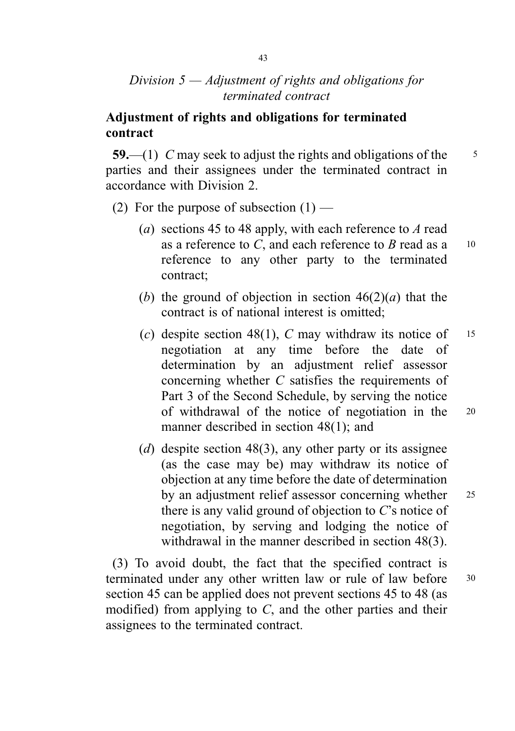# Division  $5 -$  Adjustment of rights and obligations for terminated contract

# Adjustment of rights and obligations for terminated contract

59.—(1) C may seek to adjust the rights and obligations of the  $\frac{5}{5}$ parties and their assignees under the terminated contract in accordance with Division 2.

- (2) For the purpose of subsection  $(1)$ 
	- (a) sections 45 to 48 apply, with each reference to A read as a reference to C, and each reference to B read as  $a = 10$ reference to any other party to the terminated contract;
	- (b) the ground of objection in section  $46(2)(a)$  that the contract is of national interest is omitted;
	- (c) despite section 48(1), C may withdraw its notice of  $15$ negotiation at any time before the date of determination by an adjustment relief assessor concerning whether C satisfies the requirements of Part 3 of the Second Schedule, by serving the notice of withdrawal of the notice of negotiation in the <sup>20</sup> manner described in section 48(1); and
	- (d) despite section 48(3), any other party or its assignee (as the case may be) may withdraw its notice of objection at any time before the date of determination by an adjustment relief assessor concerning whether 25 there is any valid ground of objection to C's notice of negotiation, by serving and lodging the notice of withdrawal in the manner described in section 48(3).

(3) To avoid doubt, the fact that the specified contract is terminated under any other written law or rule of law before 30 section 45 can be applied does not prevent sections 45 to 48 (as modified) from applying to  $C$ , and the other parties and their assignees to the terminated contract.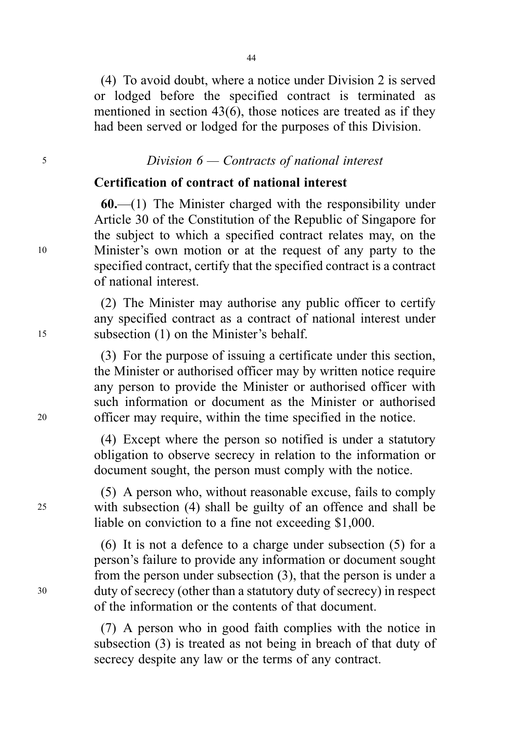(4) To avoid doubt, where a notice under Division 2 is served or lodged before the specified contract is terminated as mentioned in section 43(6), those notices are treated as if they had been served or lodged for the purposes of this Division.

## <sup>5</sup> Division 6 — Contracts of national interest

### Certification of contract of national interest

 $60$ ,  $-(1)$  The Minister charged with the responsibility under Article 30 of the Constitution of the Republic of Singapore for the subject to which a specified contract relates may, on the <sup>10</sup> Minister's own motion or at the request of any party to the specified contract, certify that the specified contract is a contract of national interest.

(2) The Minister may authorise any public officer to certify any specified contract as a contract of national interest under <sup>15</sup> subsection (1) on the Minister's behalf.

(3) For the purpose of issuing a certificate under this section, the Minister or authorised officer may by written notice require any person to provide the Minister or authorised officer with such information or document as the Minister or authorised <sup>20</sup> officer may require, within the time specified in the notice.

> (4) Except where the person so notified is under a statutory obligation to observe secrecy in relation to the information or document sought, the person must comply with the notice.

(5) A person who, without reasonable excuse, fails to comply <sup>25</sup> with subsection (4) shall be guilty of an offence and shall be liable on conviction to a fine not exceeding \$1,000.

(6) It is not a defence to a charge under subsection (5) for a person's failure to provide any information or document sought from the person under subsection (3), that the person is under a <sup>30</sup> duty of secrecy (other than a statutory duty of secrecy) in respect of the information or the contents of that document.

> (7) A person who in good faith complies with the notice in subsection (3) is treated as not being in breach of that duty of secrecy despite any law or the terms of any contract.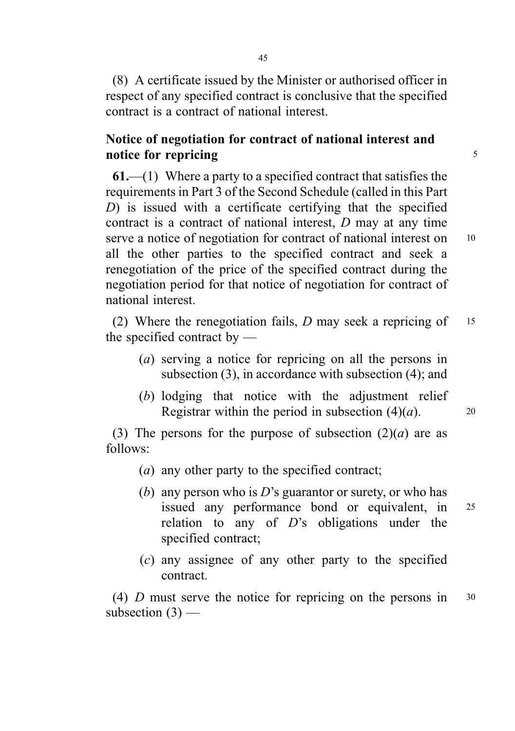(8) A certificate issued by the Minister or authorised officer in respect of any specified contract is conclusive that the specified contract is a contract of national interest.

# Notice of negotiation for contract of national interest and notice for repricing 5

 $61$ ,—(1) Where a party to a specified contract that satisfies the requirements in Part 3 of the Second Schedule (called in this Part D) is issued with a certificate certifying that the specified contract is a contract of national interest, D may at any time serve a notice of negotiation for contract of national interest on 10 all the other parties to the specified contract and seek a renegotiation of the price of the specified contract during the negotiation period for that notice of negotiation for contract of national interest.

(2) Where the renegotiation fails,  $D$  may seek a repricing of  $15$ the specified contract by —

- (a) serving a notice for repricing on all the persons in subsection (3), in accordance with subsection (4); and
- (b) lodging that notice with the adjustment relief Registrar within the period in subsection  $(4)(a)$ . 20

(3) The persons for the purpose of subsection  $(2)(a)$  are as follows:

- (a) any other party to the specified contract;
- (b) any person who is  $D$ 's guarantor or surety, or who has issued any performance bond or equivalent, in <sup>25</sup> relation to any of  $D$ 's obligations under the specified contract;
- (c) any assignee of any other party to the specified contract.

(4) D must serve the notice for repricing on the persons in <sup>30</sup> subsection  $(3)$  —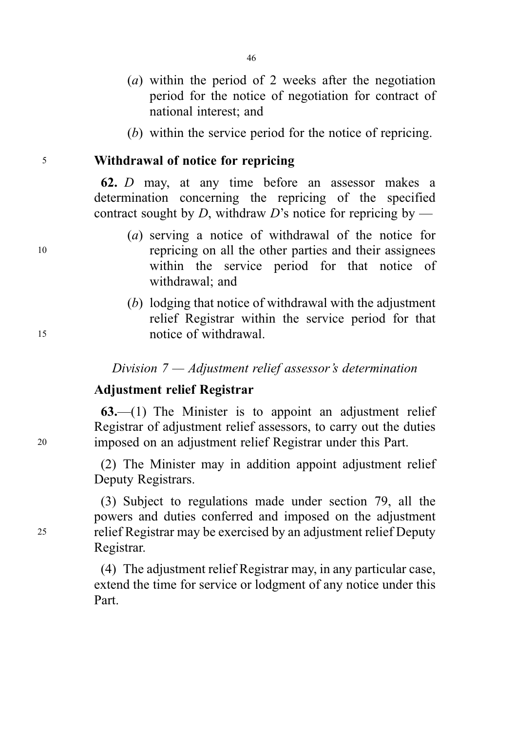- (a) within the period of 2 weeks after the negotiation period for the notice of negotiation for contract of national interest; and
- (b) within the service period for the notice of repricing.

<sup>5</sup> Withdrawal of notice for repricing

62. D may, at any time before an assessor makes a determination concerning the repricing of the specified contract sought by D, withdraw D's notice for repricing by —

- (a) serving a notice of withdrawal of the notice for <sup>10</sup> repricing on all the other parties and their assignees within the service period for that notice of withdrawal; and
- (b) lodging that notice of withdrawal with the adjustment relief Registrar within the service period for that <sup>15</sup> notice of withdrawal.

Division 7 — Adjustment relief assessor's determination

### Adjustment relief Registrar

 $63$ —(1) The Minister is to appoint an adjustment relief Registrar of adjustment relief assessors, to carry out the duties <sup>20</sup> imposed on an adjustment relief Registrar under this Part.

> (2) The Minister may in addition appoint adjustment relief Deputy Registrars.

(3) Subject to regulations made under section 79, all the powers and duties conferred and imposed on the adjustment <sup>25</sup> relief Registrar may be exercised by an adjustment relief Deputy Registrar.

> (4) The adjustment relief Registrar may, in any particular case, extend the time for service or lodgment of any notice under this Part.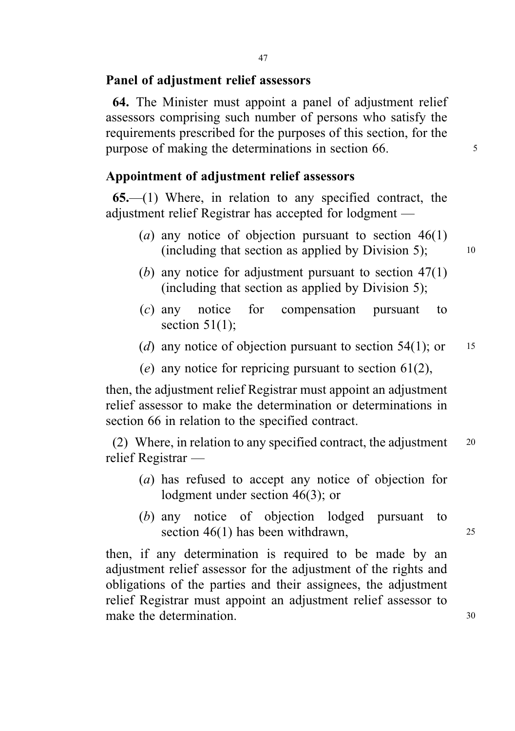#### Panel of adjustment relief assessors

64. The Minister must appoint a panel of adjustment relief assessors comprising such number of persons who satisfy the requirements prescribed for the purposes of this section, for the purpose of making the determinations in section 66.

## Appointment of adjustment relief assessors

 $65$ — $(1)$  Where, in relation to any specified contract, the adjustment relief Registrar has accepted for lodgment —

- (a) any notice of objection pursuant to section  $46(1)$ (including that section as applied by Division 5);  $\qquad \qquad$  10
- (b) any notice for adjustment pursuant to section  $47(1)$ (including that section as applied by Division 5);
- (c) any notice for compensation pursuant to section  $51(1)$ ;
- (d) any notice of objection pursuant to section 54(1); or  $15$
- (e) any notice for repricing pursuant to section  $61(2)$ ,

then, the adjustment relief Registrar must appoint an adjustment relief assessor to make the determination or determinations in section 66 in relation to the specified contract.

(2) Where, in relation to any specified contract, the adjustment  $20$ relief Registrar —

- (a) has refused to accept any notice of objection for lodgment under section 46(3); or
- (b) any notice of objection lodged pursuant to section  $46(1)$  has been withdrawn,  $25$

then, if any determination is required to be made by an adjustment relief assessor for the adjustment of the rights and obligations of the parties and their assignees, the adjustment relief Registrar must appoint an adjustment relief assessor to make the determination. 30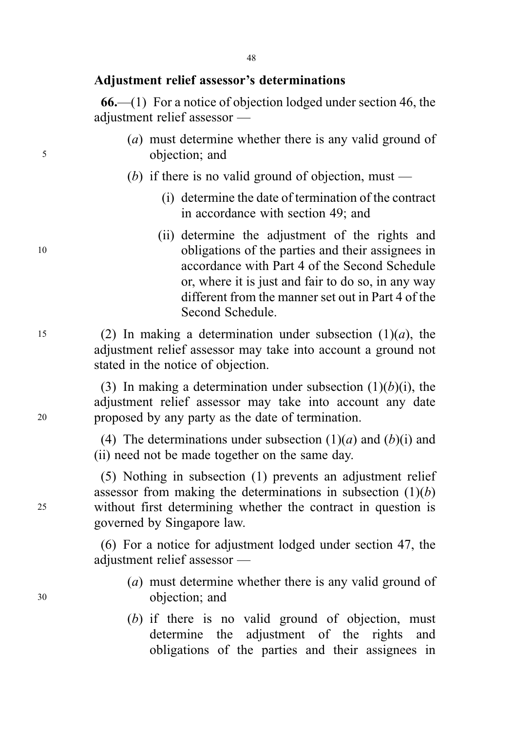## Adjustment relief assessor's determinations

66.—(1) For a notice of objection lodged under section 46, the adjustment relief assessor —

- (a) must determine whether there is any valid ground of <sup>5</sup> objection; and
	- (b) if there is no valid ground of objection, must  $-$ 
		- (i) determine the date of termination of the contract in accordance with section 49; and
- (ii) determine the adjustment of the rights and <sup>10</sup> obligations of the parties and their assignees in accordance with Part 4 of the Second Schedule or, where it is just and fair to do so, in any way different from the manner set out in Part 4 of the Second Schedule.

15 (2) In making a determination under subsection  $(1)(a)$ , the adjustment relief assessor may take into account a ground not stated in the notice of objection.

(3) In making a determination under subsection  $(1)(b)(i)$ , the adjustment relief assessor may take into account any date <sup>20</sup> proposed by any party as the date of termination.

> (4) The determinations under subsection  $(1)(a)$  and  $(b)(i)$  and (ii) need not be made together on the same day.

(5) Nothing in subsection (1) prevents an adjustment relief assessor from making the determinations in subsection  $(1)(b)$ <sup>25</sup> without first determining whether the contract in question is governed by Singapore law.

> (6) For a notice for adjustment lodged under section 47, the adjustment relief assessor —

- (a) must determine whether there is any valid ground of <sup>30</sup> objection; and
	- (b) if there is no valid ground of objection, must determine the adjustment of the rights and obligations of the parties and their assignees in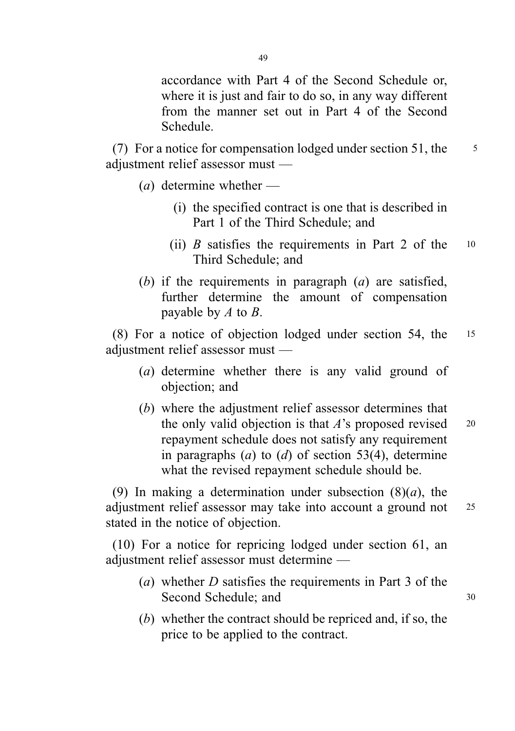accordance with Part 4 of the Second Schedule or, where it is just and fair to do so, in any way different from the manner set out in Part 4 of the Second Schedule.

(7) For a notice for compensation lodged under section 51, the  $\frac{5}{5}$ adjustment relief assessor must —

- $(a)$  determine whether
	- (i) the specified contract is one that is described in Part 1 of the Third Schedule; and
	- (ii) B satisfies the requirements in Part 2 of the  $10$ Third Schedule; and
- (b) if the requirements in paragraph  $(a)$  are satisfied, further determine the amount of compensation payable by  $A$  to  $B$ .

(8) For a notice of objection lodged under section 54, the <sup>15</sup> adjustment relief assessor must —

- (a) determine whether there is any valid ground of objection; and
- (b) where the adjustment relief assessor determines that the only valid objection is that  $A$ 's proposed revised  $20$ repayment schedule does not satisfy any requirement in paragraphs  $(a)$  to  $(d)$  of section 53(4), determine what the revised repayment schedule should be.

(9) In making a determination under subsection  $(8)(a)$ , the adjustment relief assessor may take into account a ground not <sup>25</sup> stated in the notice of objection.

(10) For a notice for repricing lodged under section 61, an adjustment relief assessor must determine —

- (a) whether  $D$  satisfies the requirements in Part 3 of the Second Schedule; and 30
- (b) whether the contract should be repriced and, if so, the price to be applied to the contract.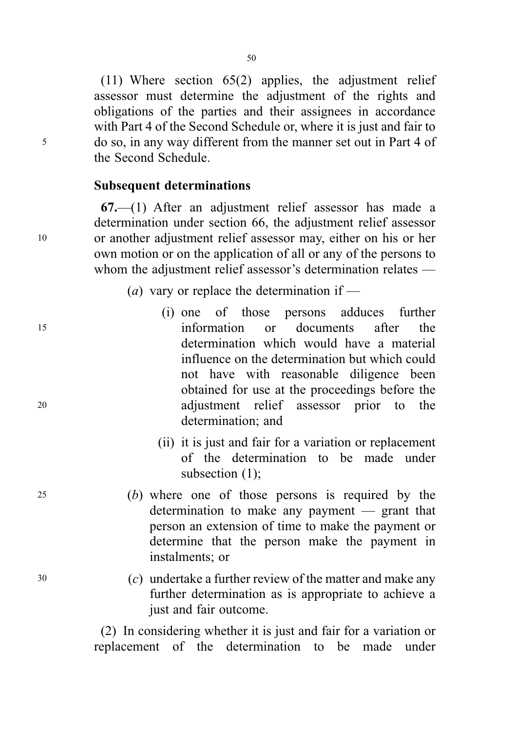(11) Where section 65(2) applies, the adjustment relief assessor must determine the adjustment of the rights and obligations of the parties and their assignees in accordance with Part 4 of the Second Schedule or, where it is just and fair to <sup>5</sup> do so, in any way different from the manner set out in Part 4 of the Second Schedule.

#### Subsequent determinations

67.—(1) After an adjustment relief assessor has made a determination under section 66, the adjustment relief assessor <sup>10</sup> or another adjustment relief assessor may, either on his or her own motion or on the application of all or any of the persons to whom the adjustment relief assessor's determination relates —

(*a*) vary or replace the determination if —

- (i) one of those persons adduces further <sup>15</sup> information or documents after the determination which would have a material influence on the determination but which could not have with reasonable diligence been obtained for use at the proceedings before the <sup>20</sup> adjustment relief assessor prior to the determination; and
	- (ii) it is just and fair for a variation or replacement of the determination to be made under subsection (1);
- <sup>25</sup> (b) where one of those persons is required by the determination to make any payment — grant that person an extension of time to make the payment or determine that the person make the payment in instalments; or
- <sup>30</sup> (c) undertake a further review of the matter and make any further determination as is appropriate to achieve a just and fair outcome.

(2) In considering whether it is just and fair for a variation or replacement of the determination to be made under

50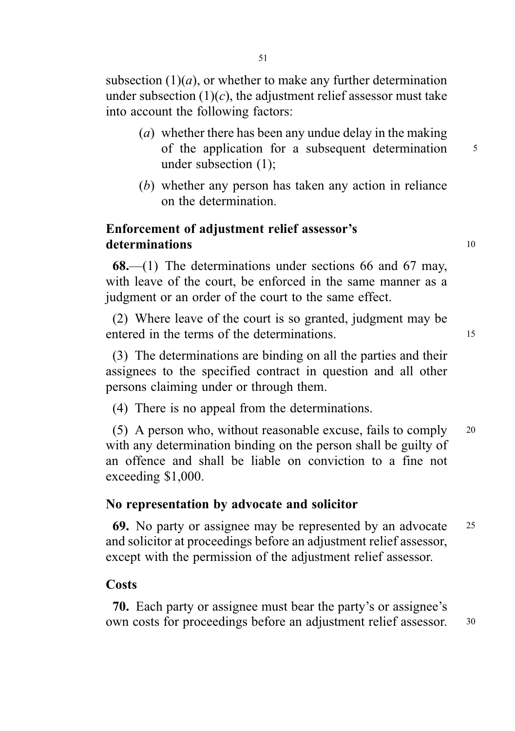subsection  $(1)(a)$ , or whether to make any further determination under subsection  $(1)(c)$ , the adjustment relief assessor must take into account the following factors:

- (a) whether there has been any undue delay in the making of the application for a subsequent determination 5 under subsection (1);
- (b) whether any person has taken any action in reliance on the determination.

## Enforcement of adjustment relief assessor's determinations 10

 $68$ —(1) The determinations under sections 66 and 67 may, with leave of the court, be enforced in the same manner as a judgment or an order of the court to the same effect.

(2) Where leave of the court is so granted, judgment may be entered in the terms of the determinations and  $\frac{15}{15}$ 

(3) The determinations are binding on all the parties and their assignees to the specified contract in question and all other persons claiming under or through them.

(4) There is no appeal from the determinations.

(5) A person who, without reasonable excuse, fails to comply <sup>20</sup> with any determination binding on the person shall be guilty of an offence and shall be liable on conviction to a fine not exceeding \$1,000.

### No representation by advocate and solicitor

69. No party or assignee may be represented by an advocate <sup>25</sup> and solicitor at proceedings before an adjustment relief assessor, except with the permission of the adjustment relief assessor.

#### **Costs**

70. Each party or assignee must bear the party's or assignee's own costs for proceedings before an adjustment relief assessor. <sup>30</sup>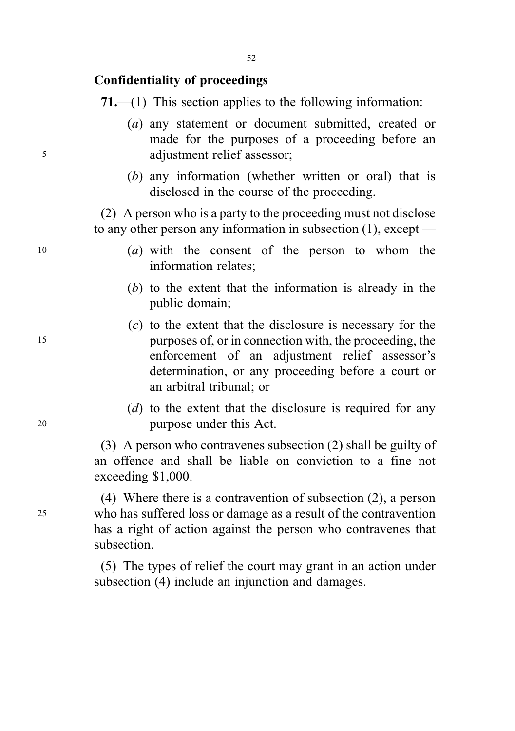## Confidentiality of proceedings

71.—(1) This section applies to the following information:

- (a) any statement or document submitted, created or made for the purposes of a proceeding before an <sup>5</sup> adjustment relief assessor;
	- (b) any information (whether written or oral) that is disclosed in the course of the proceeding.

(2) A person who is a party to the proceeding must not disclose to any other person any information in subsection (1), except —

- $10$  (a) with the consent of the person to whom the information relates;
	- (b) to the extent that the information is already in the public domain;
- (c) to the extent that the disclosure is necessary for the <sup>15</sup> purposes of, or in connection with, the proceeding, the enforcement of an adjustment relief assessor's determination, or any proceeding before a court or an arbitral tribunal; or
- (d) to the extent that the disclosure is required for any <sup>20</sup> purpose under this Act.

(3) A person who contravenes subsection (2) shall be guilty of an offence and shall be liable on conviction to a fine not exceeding \$1,000.

(4) Where there is a contravention of subsection (2), a person <sup>25</sup> who has suffered loss or damage as a result of the contravention has a right of action against the person who contravenes that subsection.

> (5) The types of relief the court may grant in an action under subsection (4) include an injunction and damages.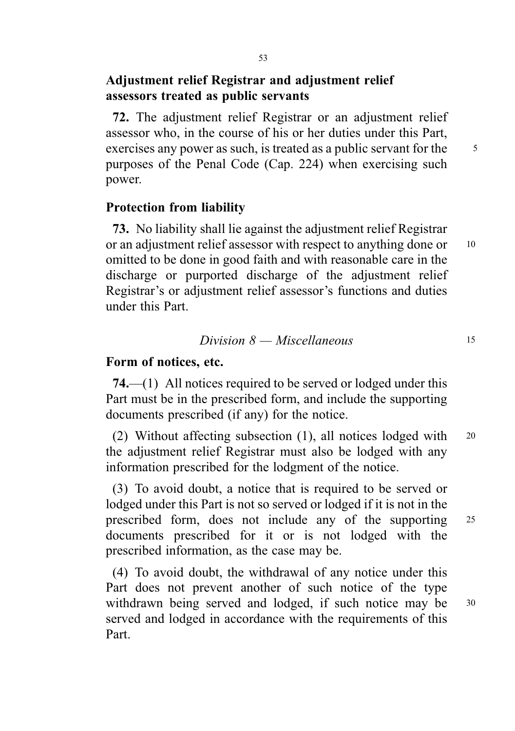# Adjustment relief Registrar and adjustment relief assessors treated as public servants

72. The adjustment relief Registrar or an adjustment relief assessor who, in the course of his or her duties under this Part, exercises any power as such, is treated as a public servant for the  $\frac{5}{5}$ purposes of the Penal Code (Cap. 224) when exercising such power.

#### Protection from liability

73. No liability shall lie against the adjustment relief Registrar or an adjustment relief assessor with respect to anything done or 10 omitted to be done in good faith and with reasonable care in the discharge or purported discharge of the adjustment relief Registrar's or adjustment relief assessor's functions and duties under this Part.

## $Division 8 - Miscellaneous$  15

#### Form of notices, etc.

74.—(1) All notices required to be served or lodged under this Part must be in the prescribed form, and include the supporting documents prescribed (if any) for the notice.

(2) Without affecting subsection (1), all notices lodged with <sup>20</sup> the adjustment relief Registrar must also be lodged with any information prescribed for the lodgment of the notice.

(3) To avoid doubt, a notice that is required to be served or lodged under this Part is not so served or lodged if it is not in the prescribed form, does not include any of the supporting <sup>25</sup> documents prescribed for it or is not lodged with the prescribed information, as the case may be.

(4) To avoid doubt, the withdrawal of any notice under this Part does not prevent another of such notice of the type withdrawn being served and lodged, if such notice may be 30 served and lodged in accordance with the requirements of this Part.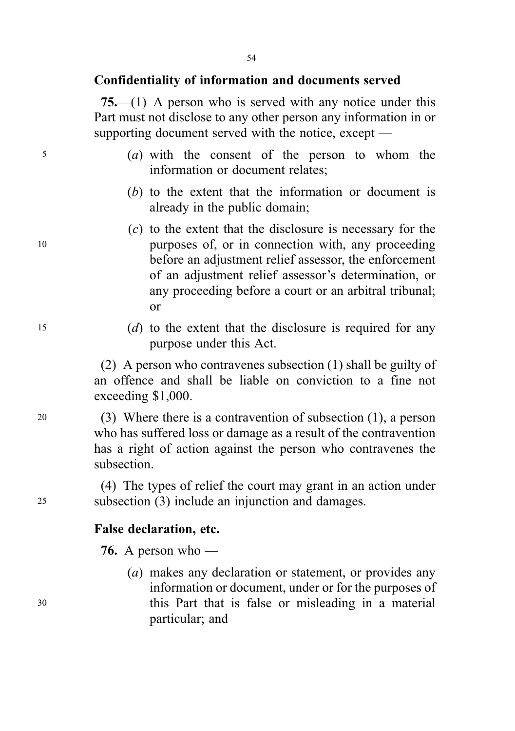### Confidentiality of information and documents served

75.—(1) A person who is served with any notice under this Part must not disclose to any other person any information in or supporting document served with the notice, except —

- <sup>5</sup> (a) with the consent of the person to whom the information or document relates;
	- (b) to the extent that the information or document is already in the public domain;
- (c) to the extent that the disclosure is necessary for the <sup>10</sup> purposes of, or in connection with, any proceeding before an adjustment relief assessor, the enforcement of an adjustment relief assessor's determination, or any proceeding before a court or an arbitral tribunal; or
- <sup>15</sup> (d) to the extent that the disclosure is required for any purpose under this Act.

(2) A person who contravenes subsection (1) shall be guilty of an offence and shall be liable on conviction to a fine not exceeding \$1,000.

<sup>20</sup> (3) Where there is a contravention of subsection (1), a person who has suffered loss or damage as a result of the contravention has a right of action against the person who contravenes the subsection.

(4) The types of relief the court may grant in an action under <sup>25</sup> subsection (3) include an injunction and damages.

#### False declaration, etc.

**76.** A person who —

(a) makes any declaration or statement, or provides any information or document, under or for the purposes of <sup>30</sup> this Part that is false or misleading in a material particular; and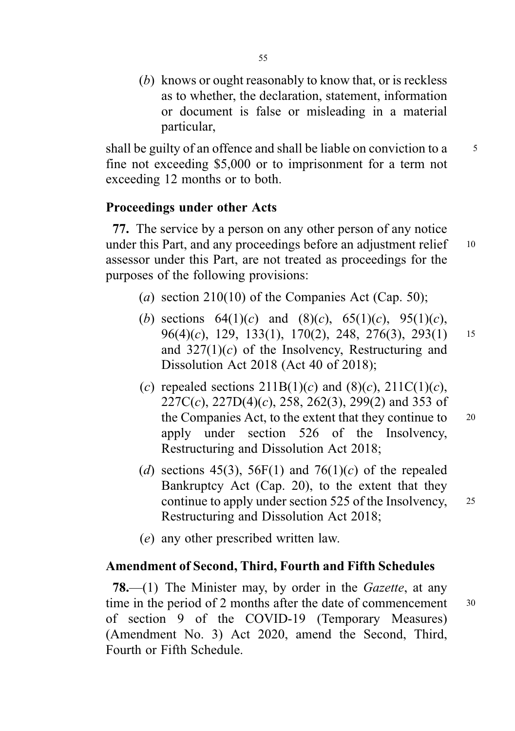(b) knows or ought reasonably to know that, or is reckless as to whether, the declaration, statement, information or document is false or misleading in a material particular,

shall be guilty of an offence and shall be liable on conviction to a 5 fine not exceeding \$5,000 or to imprisonment for a term not exceeding 12 months or to both.

## Proceedings under other Acts

77. The service by a person on any other person of any notice under this Part, and any proceedings before an adjustment relief 10 assessor under this Part, are not treated as proceedings for the purposes of the following provisions:

- (a) section  $210(10)$  of the Companies Act (Cap. 50);
- (b) sections  $64(1)(c)$  and  $(8)(c)$ ,  $65(1)(c)$ ,  $95(1)(c)$ , 96(4)(c), 129, 133(1), 170(2), 248, 276(3), 293(1) <sup>15</sup> and  $327(1)(c)$  of the Insolvency, Restructuring and Dissolution Act 2018 (Act 40 of 2018);
- (c) repealed sections  $211B(1)(c)$  and  $(8)(c)$ ,  $211C(1)(c)$ ,  $227C(c)$ ,  $227D(4)(c)$ ,  $258$ ,  $262(3)$ ,  $299(2)$  and 353 of the Companies Act, to the extent that they continue to 20 apply under section 526 of the Insolvency, Restructuring and Dissolution Act 2018;
- (d) sections 45(3), 56F(1) and 76(1)(c) of the repealed Bankruptcy Act (Cap. 20), to the extent that they continue to apply under section 525 of the Insolvency, <sup>25</sup> Restructuring and Dissolution Act 2018;
- (e) any other prescribed written law.

#### Amendment of Second, Third, Fourth and Fifth Schedules

**78.**—(1) The Minister may, by order in the *Gazette*, at any time in the period of 2 months after the date of commencement  $30$ of section 9 of the COVID-19 (Temporary Measures) (Amendment No. 3) Act 2020, amend the Second, Third, Fourth or Fifth Schedule.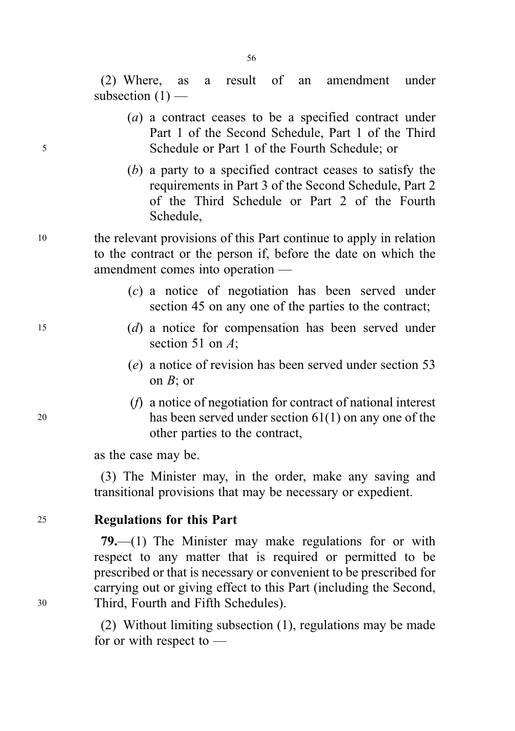(2) Where, as a result of an amendment under subsection  $(1)$  —

- (a) a contract ceases to be a specified contract under Part 1 of the Second Schedule, Part 1 of the Third <sup>5</sup> Schedule or Part 1 of the Fourth Schedule; or
	- (b) a party to a specified contract ceases to satisfy the requirements in Part 3 of the Second Schedule, Part 2 of the Third Schedule or Part 2 of the Fourth Schedule,
- <sup>10</sup> the relevant provisions of this Part continue to apply in relation to the contract or the person if, before the date on which the amendment comes into operation —
	- (c) a notice of negotiation has been served under section 45 on any one of the parties to the contract;
- <sup>15</sup> (d) a notice for compensation has been served under section 51 on A:
	- (e) a notice of revision has been served under section 53 on  $B$ ; or
- (f) a notice of negotiation for contract of national interest <sup>20</sup> has been served under section 61(1) on any one of the other parties to the contract,

as the case may be.

(3) The Minister may, in the order, make any saving and transitional provisions that may be necessary or expedient.

### <sup>25</sup> Regulations for this Part

79.—(1) The Minister may make regulations for or with respect to any matter that is required or permitted to be prescribed or that is necessary or convenient to be prescribed for carrying out or giving effect to this Part (including the Second, <sup>30</sup> Third, Fourth and Fifth Schedules).

> (2) Without limiting subsection (1), regulations may be made for or with respect to —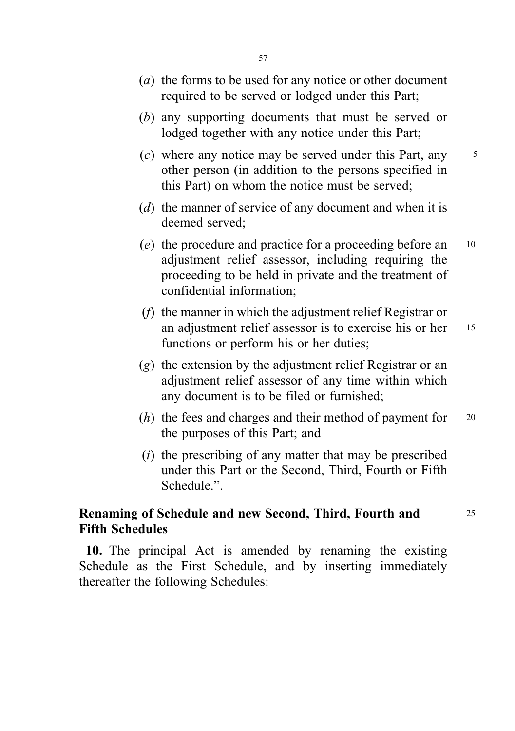- (a) the forms to be used for any notice or other document required to be served or lodged under this Part;
- (b) any supporting documents that must be served or lodged together with any notice under this Part;
- $(c)$  where any notice may be served under this Part, any  $\frac{5}{5}$ other person (in addition to the persons specified in this Part) on whom the notice must be served;
- (d) the manner of service of any document and when it is deemed served;
- (e) the procedure and practice for a proceeding before an <sup>10</sup> adjustment relief assessor, including requiring the proceeding to be held in private and the treatment of confidential information;
- (f) the manner in which the adjustment relief Registrar or an adjustment relief assessor is to exercise his or her 15 functions or perform his or her duties;
- (g) the extension by the adjustment relief Registrar or an adjustment relief assessor of any time within which any document is to be filed or furnished;
- $(h)$  the fees and charges and their method of payment for 20 the purposes of this Part; and
- $(i)$  the prescribing of any matter that may be prescribed under this Part or the Second, Third, Fourth or Fifth Schedule.".

# Renaming of Schedule and new Second, Third, Fourth and 25 Fifth Schedules

10. The principal Act is amended by renaming the existing Schedule as the First Schedule, and by inserting immediately thereafter the following Schedules: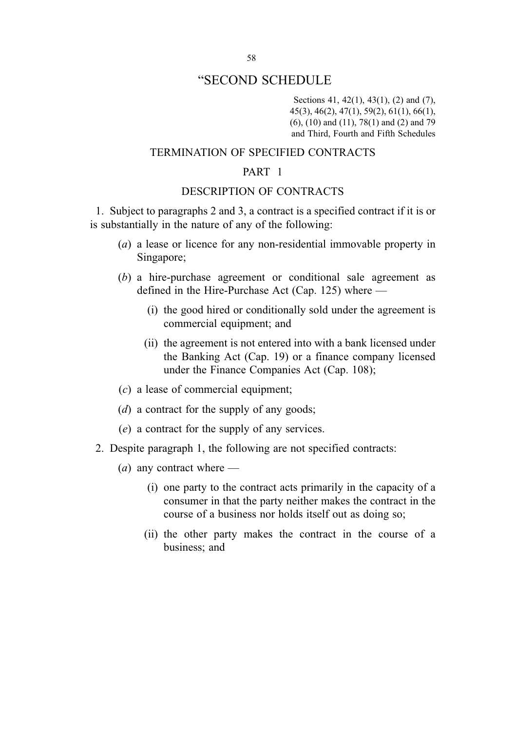Sections 41, 42(1), 43(1), (2) and (7), 45(3), 46(2), 47(1), 59(2), 61(1), 66(1), (6), (10) and (11), 78(1) and (2) and 79 and Third, Fourth and Fifth Schedules

#### TERMINATION OF SPECIFIED CONTRACTS

#### PART 1

#### DESCRIPTION OF CONTRACTS

1. Subject to paragraphs 2 and 3, a contract is a specified contract if it is or is substantially in the nature of any of the following:

- (a) a lease or licence for any non-residential immovable property in Singapore;
- (b) a hire-purchase agreement or conditional sale agreement as defined in the Hire-Purchase Act (Cap. 125) where —
	- (i) the good hired or conditionally sold under the agreement is commercial equipment; and
	- (ii) the agreement is not entered into with a bank licensed under the Banking Act (Cap. 19) or a finance company licensed under the Finance Companies Act (Cap. 108);
- (c) a lease of commercial equipment;
- ( $d$ ) a contract for the supply of any goods;
- (e) a contract for the supply of any services.
- 2. Despite paragraph 1, the following are not specified contracts:
	- (*a*) any contract where  $-$ 
		- (i) one party to the contract acts primarily in the capacity of a consumer in that the party neither makes the contract in the course of a business nor holds itself out as doing so;
		- (ii) the other party makes the contract in the course of a business; and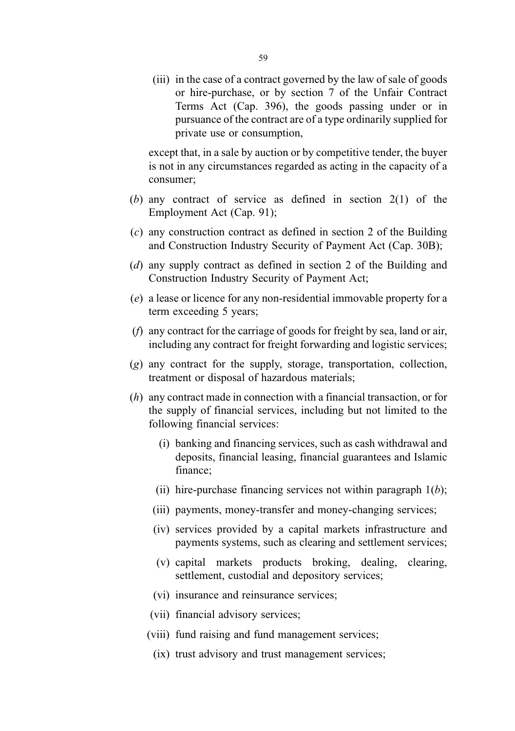(iii) in the case of a contract governed by the law of sale of goods or hire-purchase, or by section 7 of the Unfair Contract Terms Act (Cap. 396), the goods passing under or in pursuance of the contract are of a type ordinarily supplied for private use or consumption,

except that, in a sale by auction or by competitive tender, the buyer is not in any circumstances regarded as acting in the capacity of a consumer;

- (b) any contract of service as defined in section 2(1) of the Employment Act (Cap. 91);
- (c) any construction contract as defined in section 2 of the Building and Construction Industry Security of Payment Act (Cap. 30B);
- (d) any supply contract as defined in section 2 of the Building and Construction Industry Security of Payment Act;
- (e) a lease or licence for any non-residential immovable property for a term exceeding 5 years;
- (f) any contract for the carriage of goods for freight by sea, land or air, including any contract for freight forwarding and logistic services;
- (g) any contract for the supply, storage, transportation, collection, treatment or disposal of hazardous materials;
- (h) any contract made in connection with a financial transaction, or for the supply of financial services, including but not limited to the following financial services:
	- (i) banking and financing services, such as cash withdrawal and deposits, financial leasing, financial guarantees and Islamic finance;
	- (ii) hire-purchase financing services not within paragraph  $1(b)$ ;
	- (iii) payments, money-transfer and money-changing services;
	- (iv) services provided by a capital markets infrastructure and payments systems, such as clearing and settlement services;
	- (v) capital markets products broking, dealing, clearing, settlement, custodial and depository services;
	- (vi) insurance and reinsurance services;
	- (vii) financial advisory services;
	- (viii) fund raising and fund management services;
		- (ix) trust advisory and trust management services;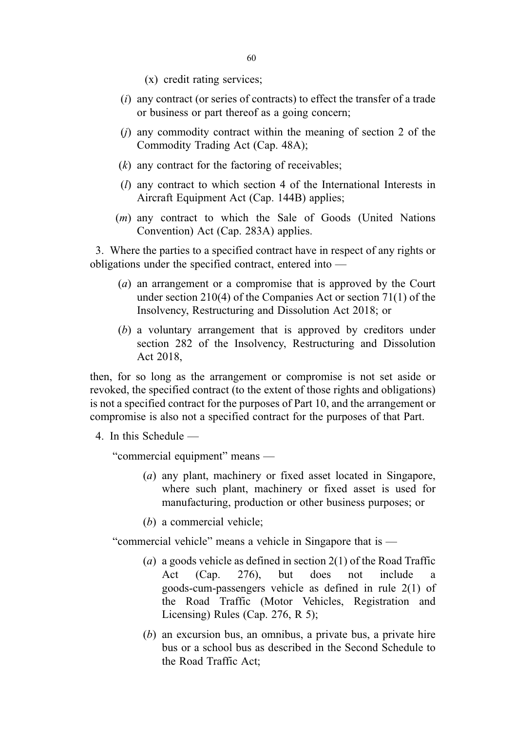(x) credit rating services;

- $(i)$  any contract (or series of contracts) to effect the transfer of a trade or business or part thereof as a going concern;
- $(i)$  any commodity contract within the meaning of section 2 of the Commodity Trading Act (Cap. 48A);
- $(k)$  any contract for the factoring of receivables;
- (l) any contract to which section 4 of the International Interests in Aircraft Equipment Act (Cap. 144B) applies;
- (m) any contract to which the Sale of Goods (United Nations Convention) Act (Cap. 283A) applies.

3. Where the parties to a specified contract have in respect of any rights or obligations under the specified contract, entered into —

- (a) an arrangement or a compromise that is approved by the Court under section 210(4) of the Companies Act or section 71(1) of the Insolvency, Restructuring and Dissolution Act 2018; or
- (b) a voluntary arrangement that is approved by creditors under section 282 of the Insolvency, Restructuring and Dissolution Act 2018,

then, for so long as the arrangement or compromise is not set aside or revoked, the specified contract (to the extent of those rights and obligations) is not a specified contract for the purposes of Part 10, and the arrangement or compromise is also not a specified contract for the purposes of that Part.

4. In this Schedule —

"commercial equipment" means —

- (a) any plant, machinery or fixed asset located in Singapore, where such plant, machinery or fixed asset is used for manufacturing, production or other business purposes; or
- (b) a commercial vehicle;

"commercial vehicle" means a vehicle in Singapore that is —

- (a) a goods vehicle as defined in section  $2(1)$  of the Road Traffic Act  $(Cap. 276)$ , but does not include goods-cum-passengers vehicle as defined in rule 2(1) of the Road Traffic (Motor Vehicles, Registration and Licensing) Rules (Cap. 276, R 5);
- (b) an excursion bus, an omnibus, a private bus, a private hire bus or a school bus as described in the Second Schedule to the Road Traffic Act;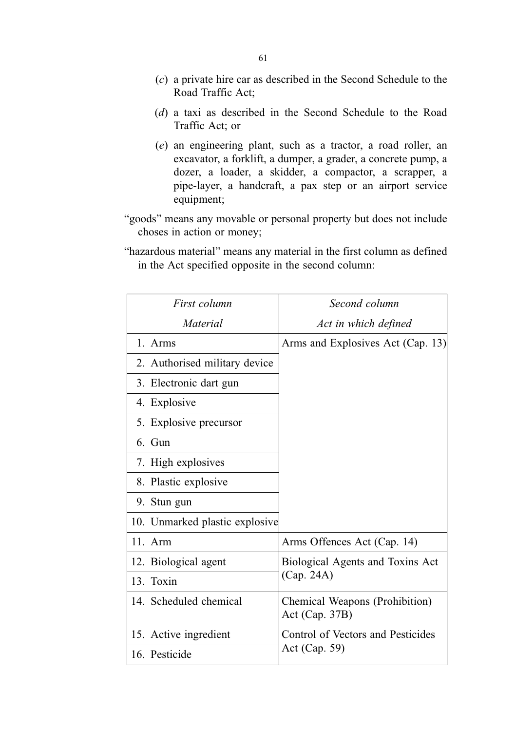- (c) a private hire car as described in the Second Schedule to the Road Traffic Act;
- (d) a taxi as described in the Second Schedule to the Road Traffic Act; or
- (e) an engineering plant, such as a tractor, a road roller, an excavator, a forklift, a dumper, a grader, a concrete pump, a dozer, a loader, a skidder, a compactor, a scrapper, a pipe-layer, a handcraft, a pax step or an airport service equipment;
- "goods" means any movable or personal property but does not include choses in action or money;
- "hazardous material" means any material in the first column as defined in the Act specified opposite in the second column:

| First column                   | Second column                                       |
|--------------------------------|-----------------------------------------------------|
| Material                       | Act in which defined                                |
| 1. Arms                        | Arms and Explosives Act (Cap. 13)                   |
| 2. Authorised military device  |                                                     |
| 3. Electronic dart gun         |                                                     |
| 4. Explosive                   |                                                     |
| 5. Explosive precursor         |                                                     |
| 6. Gun                         |                                                     |
| 7. High explosives             |                                                     |
| 8. Plastic explosive           |                                                     |
| 9. Stun gun                    |                                                     |
| 10. Unmarked plastic explosive |                                                     |
| $11.$ Arm                      | Arms Offences Act (Cap. 14)                         |
| 12. Biological agent           | Biological Agents and Toxins Act<br>(Cap. 24A)      |
| 13. Toxin                      |                                                     |
| 14. Scheduled chemical         | Chemical Weapons (Prohibition)<br>Act (Cap. $37B$ ) |
| 15. Active ingredient          | Control of Vectors and Pesticides<br>Act (Cap. 59)  |
| 16. Pesticide                  |                                                     |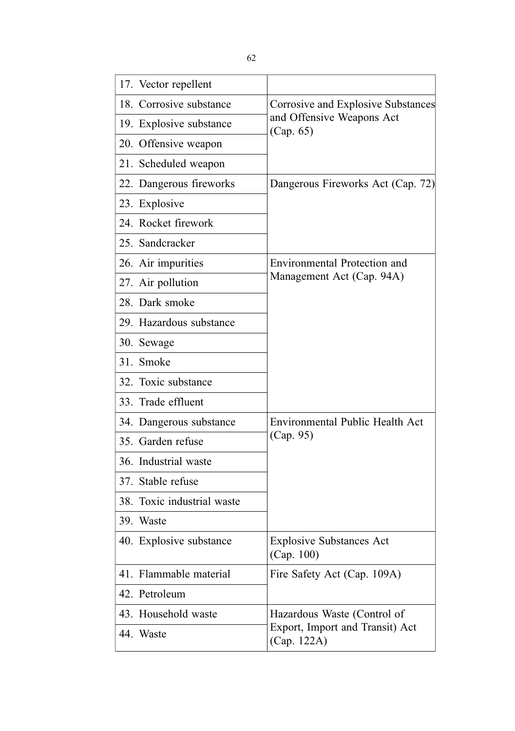| 17. Vector repellent       |                                                                              |
|----------------------------|------------------------------------------------------------------------------|
| 18. Corrosive substance    | Corrosive and Explosive Substances<br>and Offensive Weapons Act<br>(Cap. 65) |
| 19. Explosive substance    |                                                                              |
| 20. Offensive weapon       |                                                                              |
| 21. Scheduled weapon       |                                                                              |
| 22. Dangerous fireworks    | Dangerous Fireworks Act (Cap. 72)                                            |
| 23. Explosive              |                                                                              |
| 24. Rocket firework        |                                                                              |
| 25. Sandcracker            |                                                                              |
| 26. Air impurities         | Environmental Protection and<br>Management Act (Cap. 94A)                    |
| 27. Air pollution          |                                                                              |
| 28. Dark smoke             |                                                                              |
| 29. Hazardous substance    |                                                                              |
| 30. Sewage                 |                                                                              |
| 31. Smoke                  |                                                                              |
| 32. Toxic substance        |                                                                              |
| 33. Trade effluent         |                                                                              |
| 34. Dangerous substance    | Environmental Public Health Act                                              |
| 35. Garden refuse          | (Cap. 95)                                                                    |
| 36. Industrial waste       |                                                                              |
| 37. Stable refuse          |                                                                              |
| 38. Toxic industrial waste |                                                                              |
| 39. Waste                  |                                                                              |
| 40. Explosive substance    | <b>Explosive Substances Act</b><br>(Cap. 100)                                |
| 41. Flammable material     | Fire Safety Act (Cap. 109A)                                                  |
| 42. Petroleum              |                                                                              |
| 43. Household waste        | Hazardous Waste (Control of                                                  |
| 44. Waste                  | Export, Import and Transit) Act<br>(Cap. 122A)                               |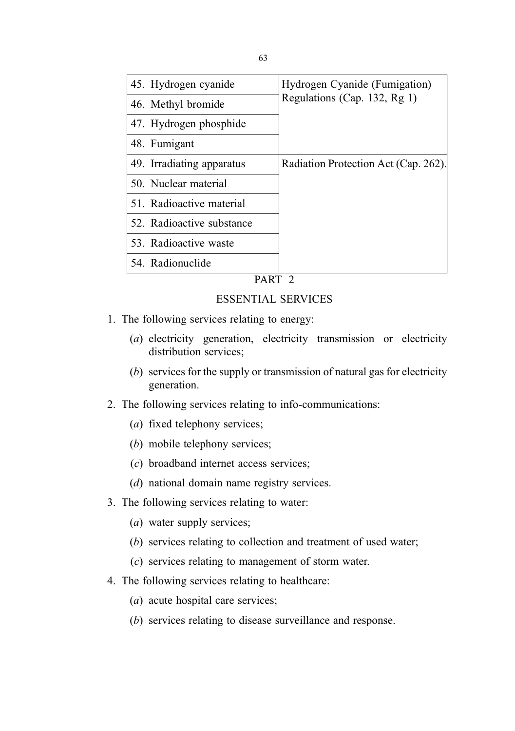| 45. Hydrogen cyanide      | Hydrogen Cyanide (Fumigation)<br>Regulations (Cap. 132, Rg 1) |
|---------------------------|---------------------------------------------------------------|
| 46. Methyl bromide        |                                                               |
| 47. Hydrogen phosphide    |                                                               |
| 48. Fumigant              |                                                               |
| 49. Irradiating apparatus | Radiation Protection Act (Cap. 262).                          |
| 50. Nuclear material      |                                                               |
| 51. Radioactive material  |                                                               |
| 52. Radioactive substance |                                                               |
| 53. Radioactive waste     |                                                               |
| 54. Radionuclide          |                                                               |
|                           |                                                               |

PART 2

#### ESSENTIAL SERVICES

- 1. The following services relating to energy:
	- (a) electricity generation, electricity transmission or electricity distribution services;
	- (b) services for the supply or transmission of natural gas for electricity generation.
- 2. The following services relating to info-communications:
	- (a) fixed telephony services;
	- (b) mobile telephony services;
	- (c) broadband internet access services;
	- (d) national domain name registry services.
- 3. The following services relating to water:
	- (a) water supply services;
	- (b) services relating to collection and treatment of used water;
	- (c) services relating to management of storm water.
- 4. The following services relating to healthcare:
	- (a) acute hospital care services;
	- (b) services relating to disease surveillance and response.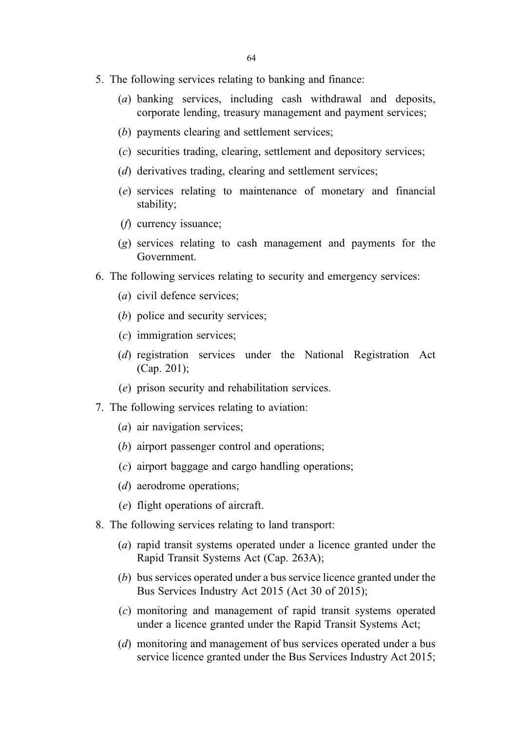- 5. The following services relating to banking and finance:
	- (a) banking services, including cash withdrawal and deposits, corporate lending, treasury management and payment services;
	- (b) payments clearing and settlement services;
	- (c) securities trading, clearing, settlement and depository services;
	- (d) derivatives trading, clearing and settlement services;
	- (e) services relating to maintenance of monetary and financial stability;
	- (f) currency issuance;
	- (g) services relating to cash management and payments for the Government.
- 6. The following services relating to security and emergency services:
	- (a) civil defence services;
	- (b) police and security services;
	- (c) immigration services;
	- (d) registration services under the National Registration Act (Cap. 201);
	- (e) prison security and rehabilitation services.
- 7. The following services relating to aviation:
	- (a) air navigation services;
	- (b) airport passenger control and operations;
	- (c) airport baggage and cargo handling operations;
	- (*d*) aerodrome operations;
	- (e) flight operations of aircraft.
- 8. The following services relating to land transport:
	- (a) rapid transit systems operated under a licence granted under the Rapid Transit Systems Act (Cap. 263A);
	- (b) bus services operated under a bus service licence granted under the Bus Services Industry Act 2015 (Act 30 of 2015);
	- (c) monitoring and management of rapid transit systems operated under a licence granted under the Rapid Transit Systems Act;
	- (d) monitoring and management of bus services operated under a bus service licence granted under the Bus Services Industry Act 2015;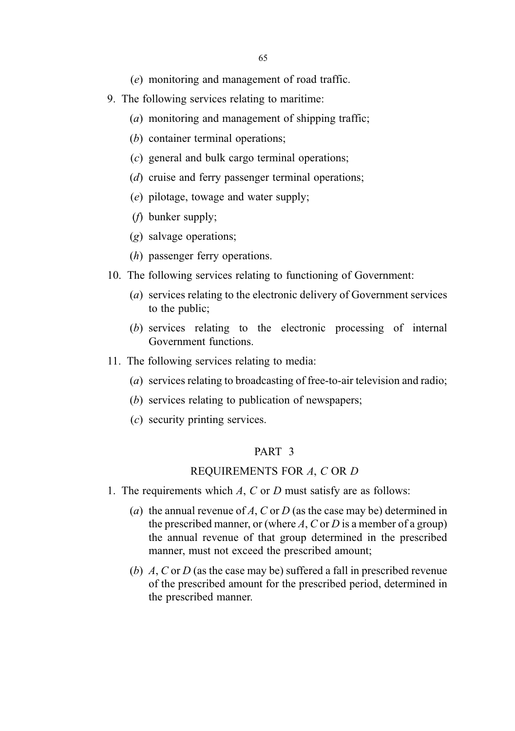(e) monitoring and management of road traffic.

- 9. The following services relating to maritime:
	- (a) monitoring and management of shipping traffic;
	- (b) container terminal operations;
	- (c) general and bulk cargo terminal operations;
	- (d) cruise and ferry passenger terminal operations;
	- (e) pilotage, towage and water supply;
	- (f) bunker supply;
	- (g) salvage operations;
	- (h) passenger ferry operations.
- 10. The following services relating to functioning of Government:
	- (a) services relating to the electronic delivery of Government services to the public;
	- (b) services relating to the electronic processing of internal Government functions.
- 11. The following services relating to media:
	- (a) services relating to broadcasting of free-to-air television and radio;
	- (b) services relating to publication of newspapers;
	- (c) security printing services.

#### PART 3

#### REQUIREMENTS FOR A, C OR D

- 1. The requirements which  $A$ ,  $C$  or  $D$  must satisfy are as follows:
	- (a) the annual revenue of A, C or D (as the case may be) determined in the prescribed manner, or (where A, C or D is a member of a group) the annual revenue of that group determined in the prescribed manner, must not exceed the prescribed amount;
	- (b) A, C or D (as the case may be) suffered a fall in prescribed revenue of the prescribed amount for the prescribed period, determined in the prescribed manner.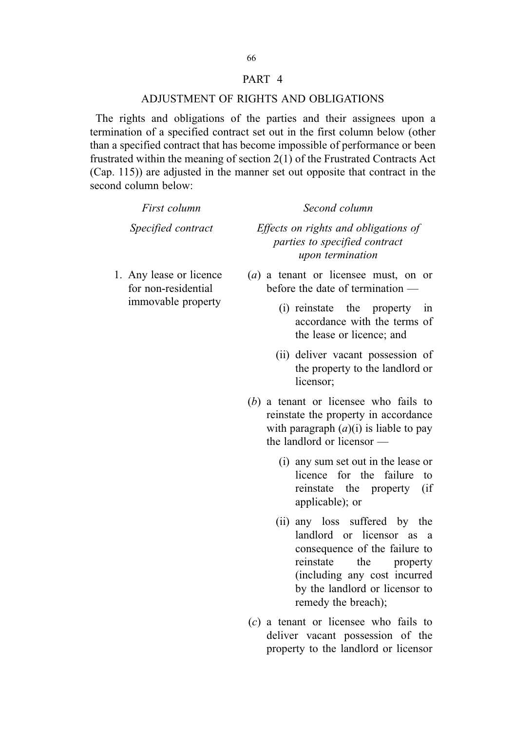# 66

#### PART 4

#### ADJUSTMENT OF RIGHTS AND OBLIGATIONS

The rights and obligations of the parties and their assignees upon a termination of a specified contract set out in the first column below (other than a specified contract that has become impossible of performance or been frustrated within the meaning of section 2(1) of the Frustrated Contracts Act (Cap. 115)) are adjusted in the manner set out opposite that contract in the second column below:

| First column                                                         | Second column                                                                                                                                                                                                        |
|----------------------------------------------------------------------|----------------------------------------------------------------------------------------------------------------------------------------------------------------------------------------------------------------------|
| Specified contract                                                   | Effects on rights and obligations of<br>parties to specified contract<br>upon termination                                                                                                                            |
| 1. Any lease or licence<br>for non-residential<br>immovable property | $(a)$ a tenant or licensee must, on or<br>before the date of termination —                                                                                                                                           |
|                                                                      | (i) reinstate the property<br>in<br>accordance with the terms of<br>the lease or licence; and                                                                                                                        |
|                                                                      | (ii) deliver vacant possession of<br>the property to the landlord or<br>licensor;                                                                                                                                    |
|                                                                      | $(b)$ a tenant or licensee who fails to<br>reinstate the property in accordance<br>with paragraph $(a)(i)$ is liable to pay<br>the landlord or licensor -                                                            |
|                                                                      | (i) any sum set out in the lease or<br>licence for the<br>failure<br>to<br>reinstate the property<br>(i f)<br>applicable); or                                                                                        |
|                                                                      | (ii) any loss suffered by the<br>landlord or licensor as a<br>consequence of the failure to<br>reinstate<br>the<br>property<br>(including any cost incurred<br>by the landlord or licensor to<br>remedy the breach); |

(c) a tenant or licensee who fails to deliver vacant possession of the property to the landlord or licensor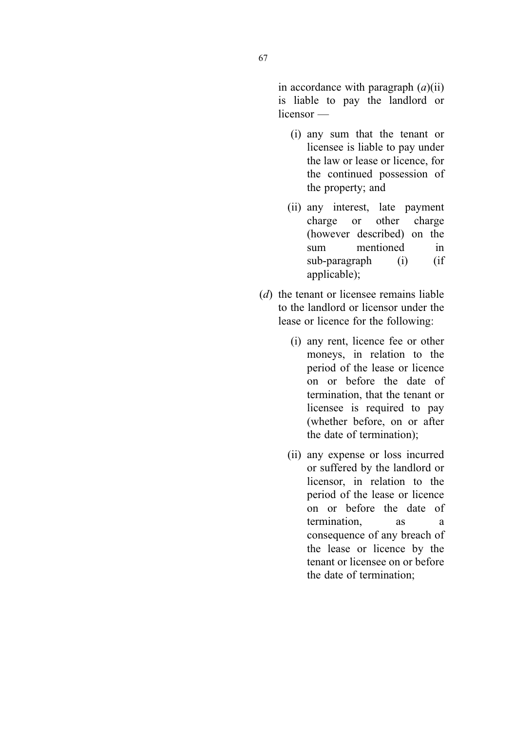in accordance with paragraph  $(a)(ii)$ is liable to pay the landlord or licensor —

- (i) any sum that the tenant or licensee is liable to pay under the law or lease or licence, for the continued possession of the property; and
- (ii) any interest, late payment charge or other charge (however described) on the sum mentioned in sub-paragraph (i) (if applicable);
- (d) the tenant or licensee remains liable to the landlord or licensor under the lease or licence for the following:
	- (i) any rent, licence fee or other moneys, in relation to the period of the lease or licence on or before the date of termination, that the tenant or licensee is required to pay (whether before, on or after the date of termination);
	- (ii) any expense or loss incurred or suffered by the landlord or licensor, in relation to the period of the lease or licence on or before the date of termination, as a consequence of any breach of the lease or licence by the tenant or licensee on or before the date of termination;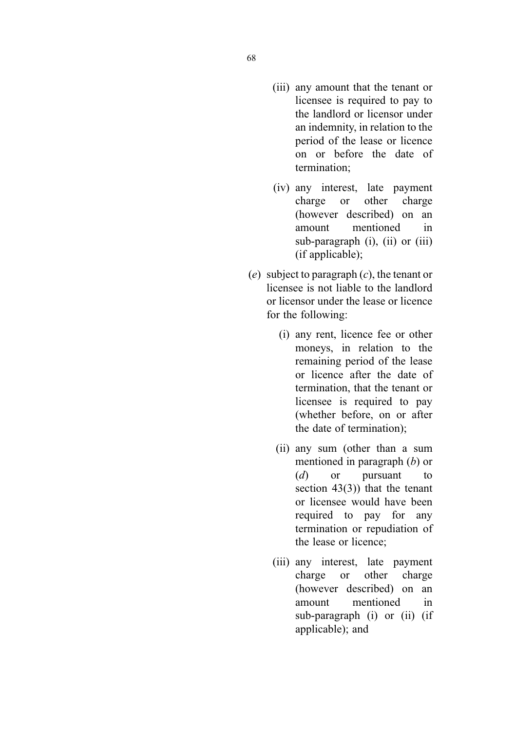- (iii) any amount that the tenant or licensee is required to pay to the landlord or licensor under an indemnity, in relation to the period of the lease or licence on or before the date of termination;
- (iv) any interest, late payment charge or other charge (however described) on an amount mentioned in sub-paragraph (i), (ii) or (iii) (if applicable);
- (e) subject to paragraph  $(c)$ , the tenant or licensee is not liable to the landlord or licensor under the lease or licence for the following:
	- (i) any rent, licence fee or other moneys, in relation to the remaining period of the lease or licence after the date of termination, that the tenant or licensee is required to pay (whether before, on or after the date of termination);
	- (ii) any sum (other than a sum mentioned in paragraph (b) or (d) or pursuant to section  $43(3)$ ) that the tenant or licensee would have been required to pay for any termination or repudiation of the lease or licence;
	- (iii) any interest, late payment charge or other charge (however described) on an amount mentioned in sub-paragraph (i) or (ii) (if applicable); and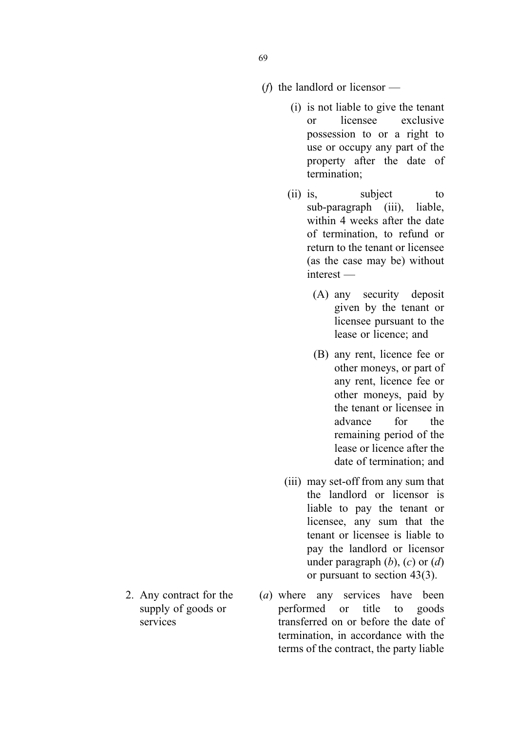- ( $f$ ) the landlord or licensor
	- (i) is not liable to give the tenant or licensee exclusive possession to or a right to use or occupy any part of the property after the date of termination;
	- (ii) is, subject to sub-paragraph (iii), liable, within 4 weeks after the date of termination, to refund or return to the tenant or licensee (as the case may be) without interest —
		- (A) any security deposit given by the tenant or licensee pursuant to the lease or licence; and
		- (B) any rent, licence fee or other moneys, or part of any rent, licence fee or other moneys, paid by the tenant or licensee in advance for the remaining period of the lease or licence after the date of termination; and
	- (iii) may set-off from any sum that the landlord or licensor is liable to pay the tenant or licensee, any sum that the tenant or licensee is liable to pay the landlord or licensor under paragraph  $(b)$ ,  $(c)$  or  $(d)$ or pursuant to section 43(3).
- (a) where any services have been performed or title to goods transferred on or before the date of termination, in accordance with the terms of the contract, the party liable
- 2. Any contract for the supply of goods or services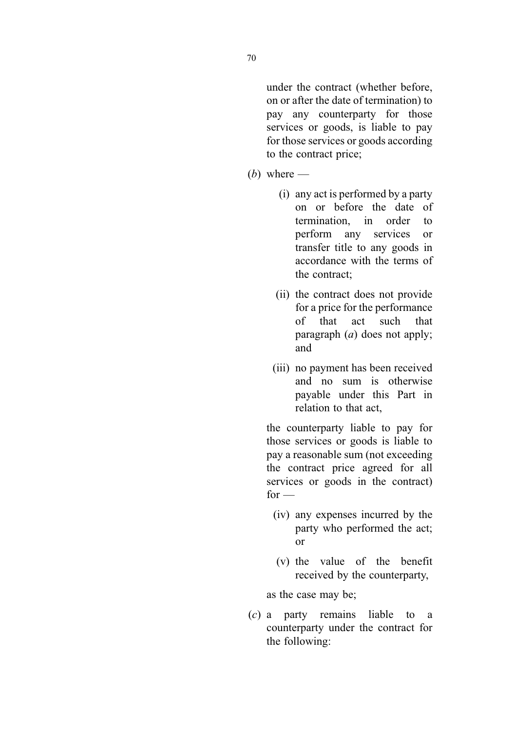under the contract (whether before, on or after the date of termination) to pay any counterparty for those services or goods, is liable to pay for those services or goods according to the contract price;

- (*b*) where  $-$ 
	- (i) any act is performed by a party on or before the date of termination, in order to perform any services or transfer title to any goods in accordance with the terms of the contract;
	- (ii) the contract does not provide for a price for the performance of that act such that paragraph  $(a)$  does not apply; and
	- (iii) no payment has been received and no sum is otherwise payable under this Part in relation to that act,

the counterparty liable to pay for those services or goods is liable to pay a reasonable sum (not exceeding the contract price agreed for all services or goods in the contract)  $for -$ 

- (iv) any expenses incurred by the party who performed the act; or
- (v) the value of the benefit received by the counterparty,

as the case may be;

(c) a party remains liable to a counterparty under the contract for the following: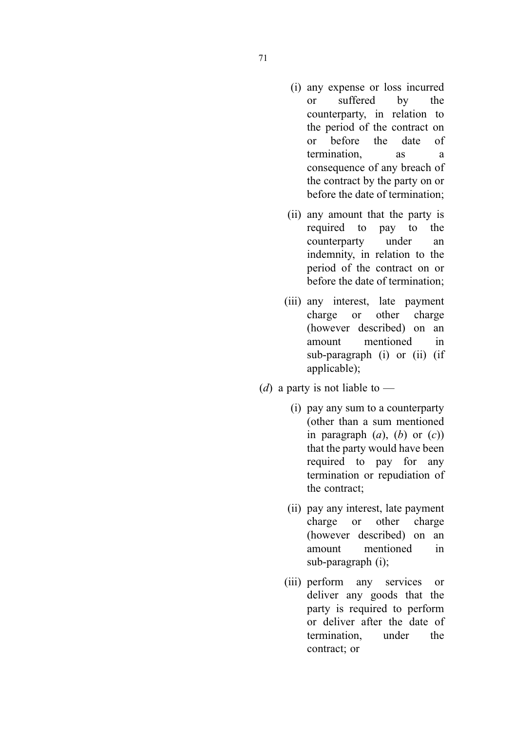- (i) any expense or loss incurred or suffered by the counterparty, in relation to the period of the contract on or before the date of termination, as a consequence of any breach of the contract by the party on or before the date of termination;
- (ii) any amount that the party is required to pay to the counterparty under an indemnity, in relation to the period of the contract on or before the date of termination;
- (iii) any interest, late payment charge or other charge (however described) on an amount mentioned in sub-paragraph (i) or (ii) (if applicable);
- (*d*) a party is not liable to
	- (i) pay any sum to a counterparty (other than a sum mentioned in paragraph  $(a)$ ,  $(b)$  or  $(c)$ ) that the party would have been required to pay for any termination or repudiation of the contract;
	- (ii) pay any interest, late payment charge or other charge (however described) on an amount mentioned in sub-paragraph (i);
	- (iii) perform any services or deliver any goods that the party is required to perform or deliver after the date of termination, under the contract; or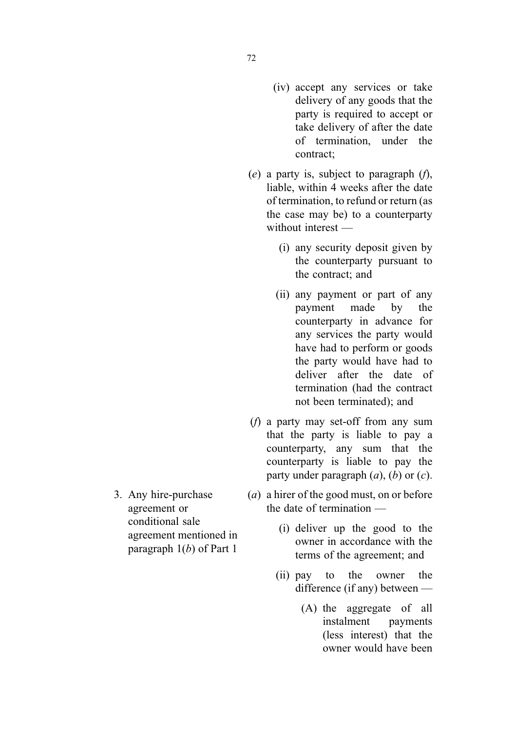- 72
- (iv) accept any services or take delivery of any goods that the party is required to accept or take delivery of after the date of termination, under the contract;
- (e) a party is, subject to paragraph  $(f)$ , liable, within 4 weeks after the date of termination, to refund or return (as the case may be) to a counterparty without interest —
	- (i) any security deposit given by the counterparty pursuant to the contract; and
	- (ii) any payment or part of any payment made by the counterparty in advance for any services the party would have had to perform or goods the party would have had to deliver after the date of termination (had the contract not been terminated); and
- (f) a party may set-off from any sum that the party is liable to pay a counterparty, any sum that the counterparty is liable to pay the party under paragraph  $(a)$ ,  $(b)$  or  $(c)$ .
- (a) a hirer of the good must, on or before the date of termination —
	- (i) deliver up the good to the owner in accordance with the terms of the agreement; and
	- (ii) pay to the owner the difference (if any) between —
		- (A) the aggregate of all instalment payments (less interest) that the owner would have been

3. Any hire-purchase agreement or conditional sale agreement mentioned in paragraph  $1(b)$  of Part 1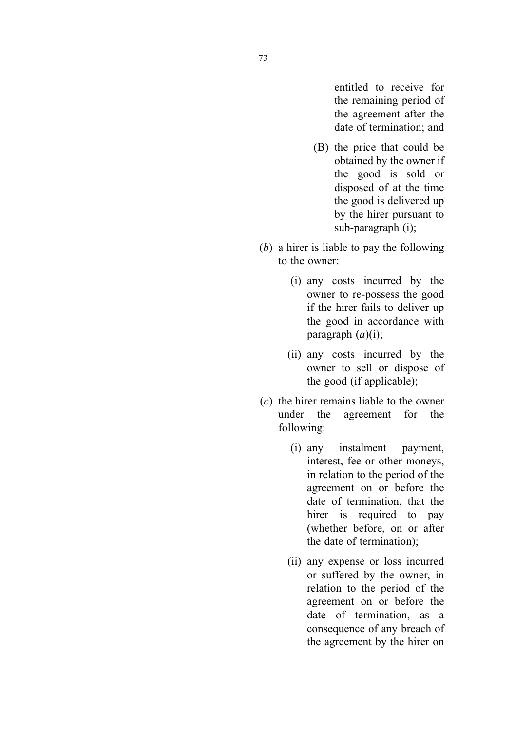entitled to receive for the remaining period of the agreement after the date of termination; and

- (B) the price that could be obtained by the owner if the good is sold or disposed of at the time the good is delivered up by the hirer pursuant to sub-paragraph (i);
- (b) a hirer is liable to pay the following to the owner:
	- (i) any costs incurred by the owner to re-possess the good if the hirer fails to deliver up the good in accordance with paragraph  $(a)(i)$ ;
	- (ii) any costs incurred by the owner to sell or dispose of the good (if applicable);
- (c) the hirer remains liable to the owner under the agreement for the following:
	- (i) any instalment payment, interest, fee or other moneys, in relation to the period of the agreement on or before the date of termination, that the hirer is required to pay (whether before, on or after the date of termination);
	- (ii) any expense or loss incurred or suffered by the owner, in relation to the period of the agreement on or before the date of termination, as a consequence of any breach of the agreement by the hirer on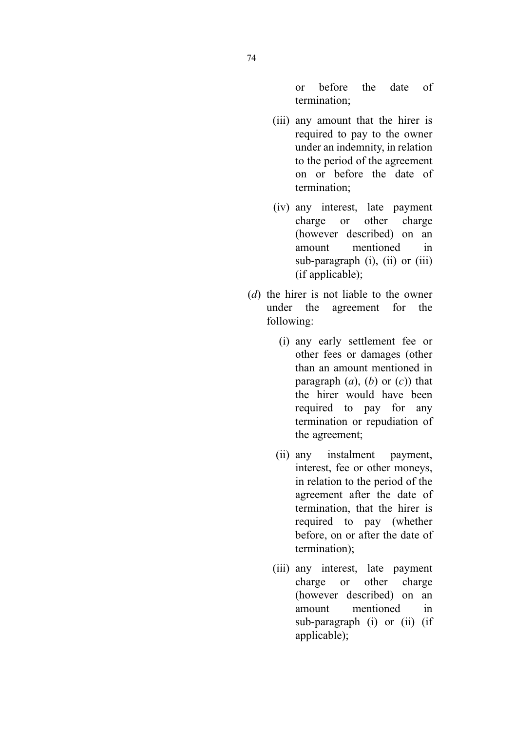or before the date of termination;

- (iii) any amount that the hirer is required to pay to the owner under an indemnity, in relation to the period of the agreement on or before the date of termination;
- (iv) any interest, late payment charge or other charge (however described) on an amount mentioned in sub-paragraph (i), (ii) or (iii) (if applicable);
- (d) the hirer is not liable to the owner under the agreement for the following:
	- (i) any early settlement fee or other fees or damages (other than an amount mentioned in paragraph  $(a)$ ,  $(b)$  or  $(c)$ ) that the hirer would have been required to pay for any termination or repudiation of the agreement;
	- (ii) any instalment payment, interest, fee or other moneys, in relation to the period of the agreement after the date of termination, that the hirer is required to pay (whether before, on or after the date of termination);
	- (iii) any interest, late payment charge or other charge (however described) on an amount mentioned in sub-paragraph (i) or (ii) (if applicable);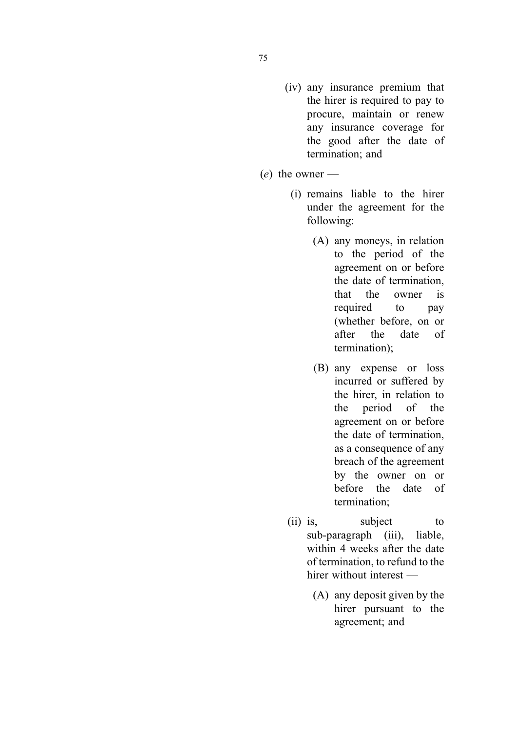- (iv) any insurance premium that the hirer is required to pay to procure, maintain or renew any insurance coverage for the good after the date of termination; and
- $(e)$  the owner
	- (i) remains liable to the hirer under the agreement for the following:
		- (A) any moneys, in relation to the period of the agreement on or before the date of termination, that the owner is required to pay (whether before, on or after the date of termination);
		- (B) any expense or loss incurred or suffered by the hirer, in relation to the period of the agreement on or before the date of termination, as a consequence of any breach of the agreement by the owner on or before the date of termination;
	- (ii) is, subject to sub-paragraph (iii), liable, within 4 weeks after the date of termination, to refund to the hirer without interest —
		- (A) any deposit given by the hirer pursuant to the agreement; and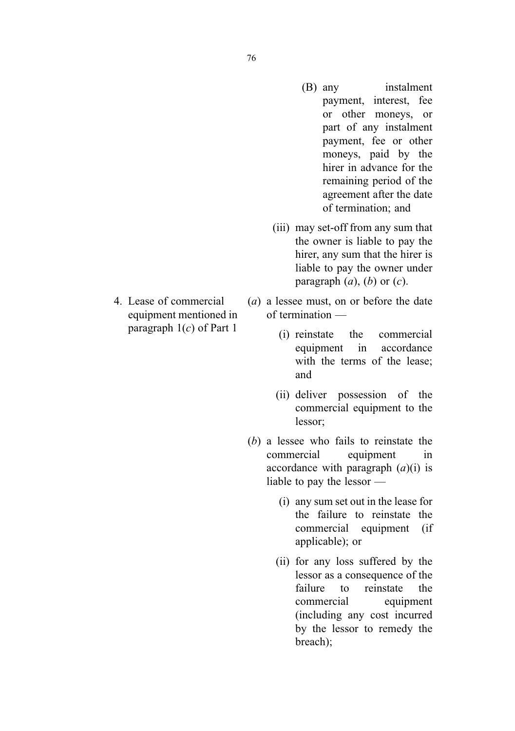- (B) any instalment payment, interest, fee or other moneys, or part of any instalment payment, fee or other moneys, paid by the hirer in advance for the remaining period of the agreement after the date of termination; and
- (iii) may set-off from any sum that the owner is liable to pay the hirer, any sum that the hirer is liable to pay the owner under paragraph  $(a)$ ,  $(b)$  or  $(c)$ .
- (a) a lessee must, on or before the date of termination —
	- (i) reinstate the commercial equipment in accordance with the terms of the lease; and
	- (ii) deliver possession of the commercial equipment to the lessor;
- (b) a lessee who fails to reinstate the commercial equipment in accordance with paragraph  $(a)(i)$  is liable to pay the lessor —
	- (i) any sum set out in the lease for the failure to reinstate the commercial equipment (if applicable); or
	- (ii) for any loss suffered by the lessor as a consequence of the failure to reinstate the commercial equipment (including any cost incurred by the lessor to remedy the breach);

4. Lease of commercial equipment mentioned in paragraph  $1(c)$  of Part 1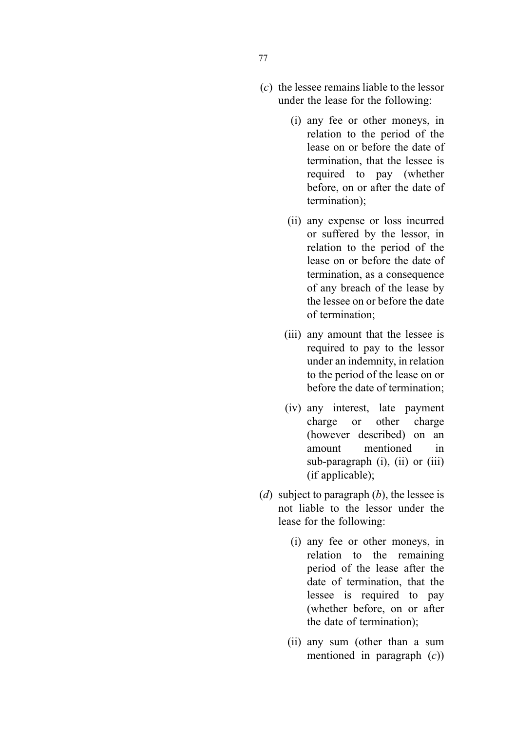- (i) any fee or other moneys, in relation to the period of the lease on or before the date of termination, that the lessee is required to pay (whether before, on or after the date of termination);
- (ii) any expense or loss incurred or suffered by the lessor, in relation to the period of the lease on or before the date of termination, as a consequence of any breach of the lease by the lessee on or before the date of termination;
- (iii) any amount that the lessee is required to pay to the lessor under an indemnity, in relation to the period of the lease on or before the date of termination;
- (iv) any interest, late payment charge or other charge (however described) on an amount mentioned in sub-paragraph (i), (ii) or (iii) (if applicable);
- (d) subject to paragraph  $(b)$ , the lessee is not liable to the lessor under the lease for the following:
	- (i) any fee or other moneys, in relation to the remaining period of the lease after the date of termination, that the lessee is required to pay (whether before, on or after the date of termination);
	- (ii) any sum (other than a sum mentioned in paragraph  $(c)$ )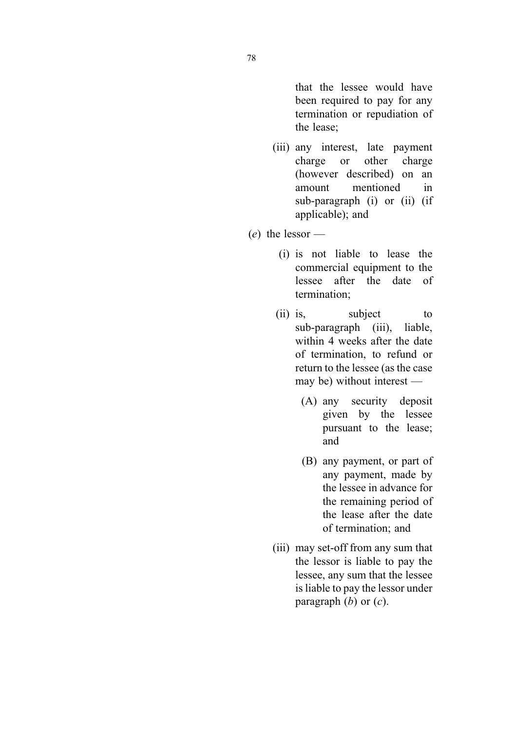that the lessee would have been required to pay for any termination or repudiation of the lease;

- (iii) any interest, late payment charge or other charge (however described) on an amount mentioned in sub-paragraph (i) or (ii) (if applicable); and
- $(e)$  the lessor
	- (i) is not liable to lease the commercial equipment to the lessee after the date of termination;
	- (ii) is, subject to sub-paragraph (iii), liable, within 4 weeks after the date of termination, to refund or return to the lessee (as the case may be) without interest —
		- (A) any security deposit given by the lessee pursuant to the lease; and
		- (B) any payment, or part of any payment, made by the lessee in advance for the remaining period of the lease after the date of termination; and
	- (iii) may set-off from any sum that the lessor is liable to pay the lessee, any sum that the lessee is liable to pay the lessor under paragraph  $(b)$  or  $(c)$ .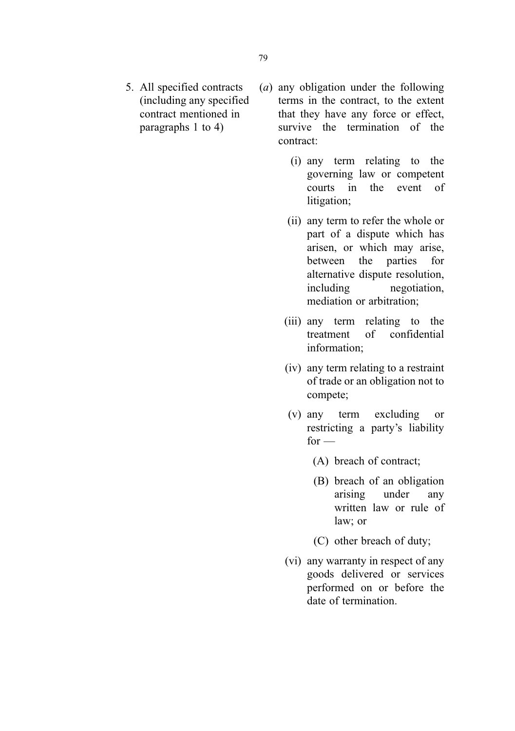- 5. All specified contracts (including any specified contract mentioned in paragraphs 1 to 4)
- (a) any obligation under the following terms in the contract, to the extent that they have any force or effect, survive the termination of the contract:
	- (i) any term relating to the governing law or competent courts in the event of litigation;
	- (ii) any term to refer the whole or part of a dispute which has arisen, or which may arise, between the parties for alternative dispute resolution, including negotiation, mediation or arbitration;
	- (iii) any term relating to the treatment of confidential information;
	- (iv) any term relating to a restraint of trade or an obligation not to compete;
	- (v) any term excluding or restricting a party's liability  $for -$ 
		- (A) breach of contract;
		- (B) breach of an obligation arising under any written law or rule of law; or
		- (C) other breach of duty;
	- (vi) any warranty in respect of any goods delivered or services performed on or before the date of termination.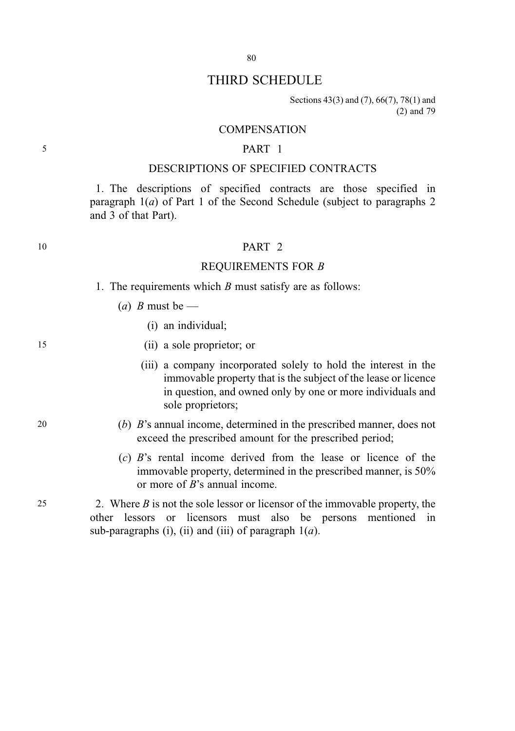## THIRD SCHEDULE

Sections 43(3) and (7), 66(7), 78(1) and (2) and 79

#### **COMPENSATION**

### 5 PART 1

### DESCRIPTIONS OF SPECIFIED CONTRACTS

1. The descriptions of specified contracts are those specified in paragraph  $1(a)$  of Part 1 of the Second Schedule (subject to paragraphs 2 and 3 of that Part).

### 10 **PART 2**

### REQUIREMENTS FOR B

- 1. The requirements which  $B$  must satisfy are as follows:
	- (a) B must be  $-$ 
		- (i) an individual;
- 15 (ii) a sole proprietor; or
	- (iii) a company incorporated solely to hold the interest in the immovable property that is the subject of the lease or licence in question, and owned only by one or more individuals and sole proprietors;
- 20 (b) B's annual income, determined in the prescribed manner, does not exceed the prescribed amount for the prescribed period;
	- (c) B's rental income derived from the lease or licence of the immovable property, determined in the prescribed manner, is 50% or more of B's annual income.

25 2. Where  $B$  is not the sole lessor or licensor of the immovable property, the other lessors or licensors must also be persons mentioned in sub-paragraphs (i), (ii) and (iii) of paragraph  $1(a)$ .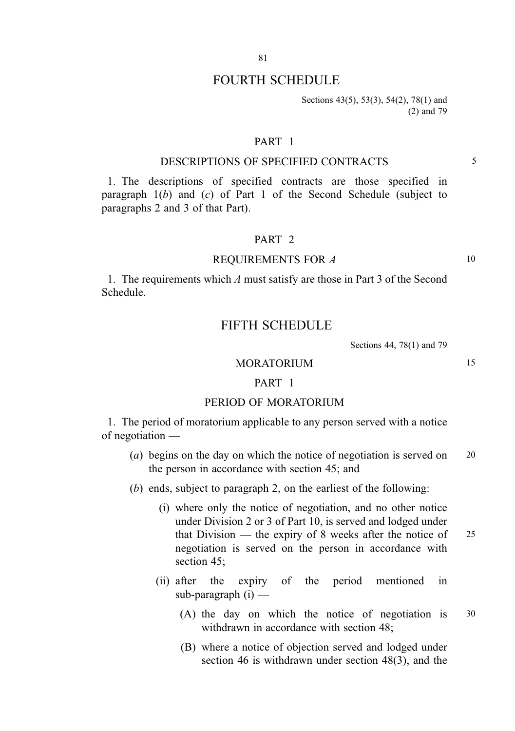## FOURTH SCHEDULE

Sections 43(5), 53(3), 54(2), 78(1) and (2) and 79

#### PART 1

### DESCRIPTIONS OF SPECIFIED CONTRACTS 5

1. The descriptions of specified contracts are those specified in paragraph  $1(b)$  and  $(c)$  of Part 1 of the Second Schedule (subject to paragraphs 2 and 3 of that Part).

### PART 2

#### REQUIREMENTS FOR A 10

1. The requirements which A must satisfy are those in Part 3 of the Second Schedule.

### FIFTH SCHEDULE

Sections 44, 78(1) and 79

### MORATORIUM 15

#### PART 1

#### PERIOD OF MORATORIUM

1. The period of moratorium applicable to any person served with a notice of negotiation —

- (a) begins on the day on which the notice of negotiation is served on 20 the person in accordance with section 45; and
- (b) ends, subject to paragraph 2, on the earliest of the following:
	- (i) where only the notice of negotiation, and no other notice under Division 2 or 3 of Part 10, is served and lodged under that Division — the expiry of 8 weeks after the notice of  $25$ negotiation is served on the person in accordance with section 45;
	- (ii) after the expiry of the period mentioned in sub-paragraph (i) —
		- (A) the day on which the notice of negotiation is 30 withdrawn in accordance with section 48;
		- (B) where a notice of objection served and lodged under section 46 is withdrawn under section 48(3), and the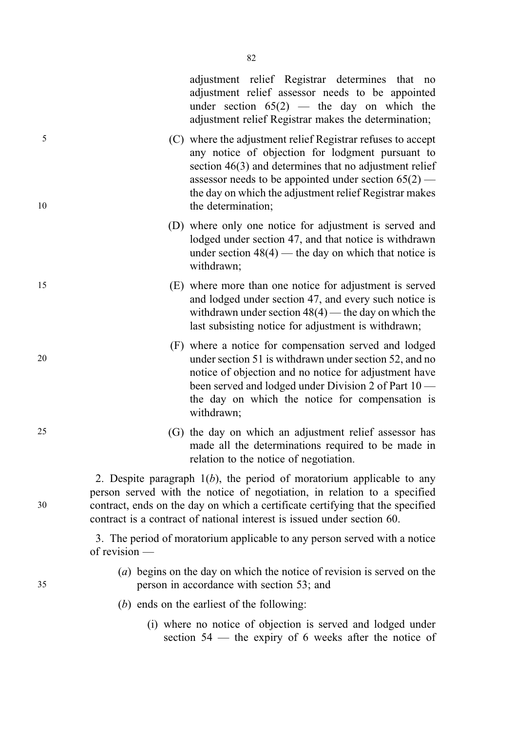adjustment relief Registrar determines that no adjustment relief assessor needs to be appointed under section  $65(2)$  — the day on which the adjustment relief Registrar makes the determination;

5 (C) where the adjustment relief Registrar refuses to accept any notice of objection for lodgment pursuant to section 46(3) and determines that no adjustment relief assessor needs to be appointed under section  $65(2)$  the day on which the adjustment relief Registrar makes 10 the determination:

- (D) where only one notice for adjustment is served and lodged under section 47, and that notice is withdrawn under section  $48(4)$  — the day on which that notice is withdrawn;
- 15 (E) where more than one notice for adjustment is served and lodged under section 47, and every such notice is withdrawn under section  $48(4)$  — the day on which the last subsisting notice for adjustment is withdrawn;
- (F) where a notice for compensation served and lodged 20 under section 51 is withdrawn under section 52, and no notice of objection and no notice for adjustment have been served and lodged under Division 2 of Part 10 the day on which the notice for compensation is withdrawn;
- 25 (G) the day on which an adjustment relief assessor has made all the determinations required to be made in relation to the notice of negotiation.

2. Despite paragraph  $1(b)$ , the period of moratorium applicable to any person served with the notice of negotiation, in relation to a specified 30 contract, ends on the day on which a certificate certifying that the specified contract is a contract of national interest is issued under section 60.

> 3. The period of moratorium applicable to any person served with a notice of revision —

- (a) begins on the day on which the notice of revision is served on the 35 person in accordance with section 53; and
	- (b) ends on the earliest of the following:
		- (i) where no notice of objection is served and lodged under section 54 — the expiry of 6 weeks after the notice of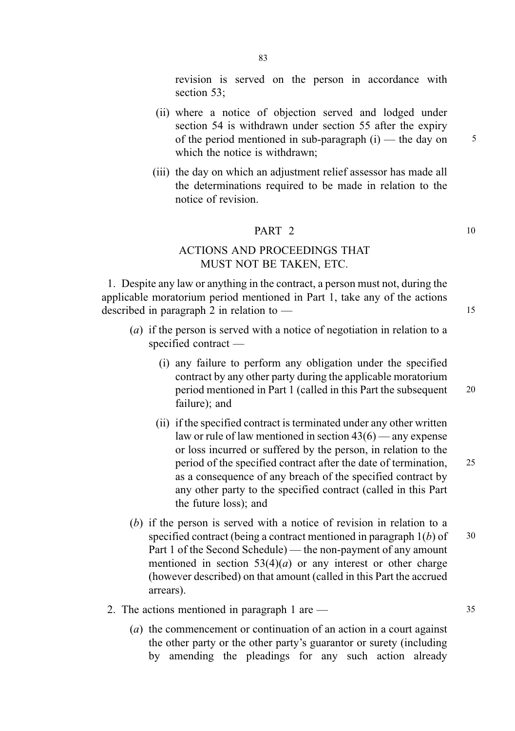revision is served on the person in accordance with section 53;

- (ii) where a notice of objection served and lodged under section 54 is withdrawn under section 55 after the expiry of the period mentioned in sub-paragraph  $(i)$  — the day on  $5$ which the notice is withdrawn:
- (iii) the day on which an adjustment relief assessor has made all the determinations required to be made in relation to the notice of revision.

### **PART 2** 10

### ACTIONS AND PROCEEDINGS THAT MUST NOT BE TAKEN, ETC.

1. Despite any law or anything in the contract, a person must not, during the applicable moratorium period mentioned in Part 1, take any of the actions described in paragraph 2 in relation to — 15

- (a) if the person is served with a notice of negotiation in relation to a specified contract —
	- (i) any failure to perform any obligation under the specified contract by any other party during the applicable moratorium period mentioned in Part 1 (called in this Part the subsequent 20 failure); and
	- (ii) if the specified contract is terminated under any other written law or rule of law mentioned in section 43(6) — any expense or loss incurred or suffered by the person, in relation to the period of the specified contract after the date of termination, 25 as a consequence of any breach of the specified contract by any other party to the specified contract (called in this Part the future loss); and
- (b) if the person is served with a notice of revision in relation to a specified contract (being a contract mentioned in paragraph  $1(b)$  of  $30$ Part 1 of the Second Schedule) — the non-payment of any amount mentioned in section  $53(4)(a)$  or any interest or other charge (however described) on that amount (called in this Part the accrued arrears).
- 2. The actions mentioned in paragraph  $1 \text{ are } -$  35
	- (a) the commencement or continuation of an action in a court against the other party or the other party's guarantor or surety (including by amending the pleadings for any such action already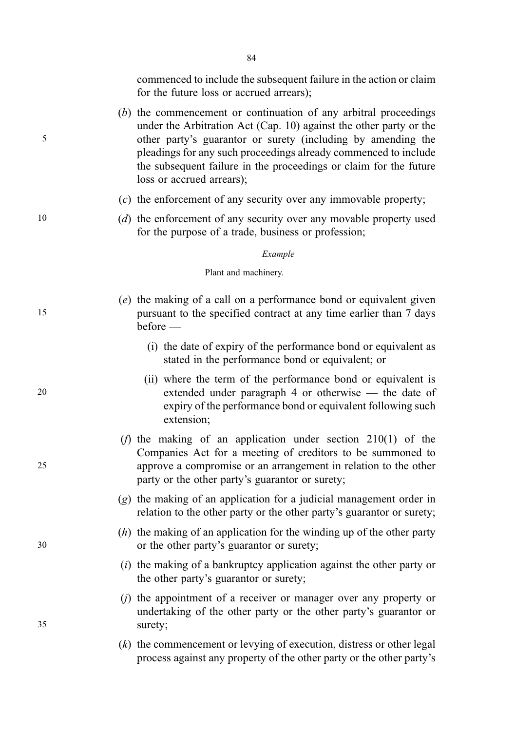84

commenced to include the subsequent failure in the action or claim for the future loss or accrued arrears);

- (b) the commencement or continuation of any arbitral proceedings under the Arbitration Act (Cap. 10) against the other party or the 5 other party's guarantor or surety (including by amending the pleadings for any such proceedings already commenced to include the subsequent failure in the proceedings or claim for the future loss or accrued arrears);
	- (c) the enforcement of any security over any immovable property;
- 10 (d) the enforcement of any security over any movable property used for the purpose of a trade, business or profession;

. Example

Plant and machinery.

- (e) the making of a call on a performance bond or equivalent given 15 pursuant to the specified contract at any time earlier than 7 days before —
	- (i) the date of expiry of the performance bond or equivalent as stated in the performance bond or equivalent; or
- (ii) where the term of the performance bond or equivalent is 20 extended under paragraph 4 or otherwise — the date of expiry of the performance bond or equivalent following such extension;
- (*f*) the making of an application under section  $210(1)$  of the Companies Act for a meeting of creditors to be summoned to 25 approve a compromise or an arrangement in relation to the other party or the other party's guarantor or surety;
	- (g) the making of an application for a judicial management order in relation to the other party or the other party's guarantor or surety;
- $(h)$  the making of an application for the winding up of the other party 30 or the other party's guarantor or surety;
	- $(i)$  the making of a bankruptcy application against the other party or the other party's guarantor or surety;
- (j) the appointment of a receiver or manager over any property or undertaking of the other party or the other party's guarantor or 35 surety;
	- (k) the commencement or levying of execution, distress or other legal process against any property of the other party or the other party's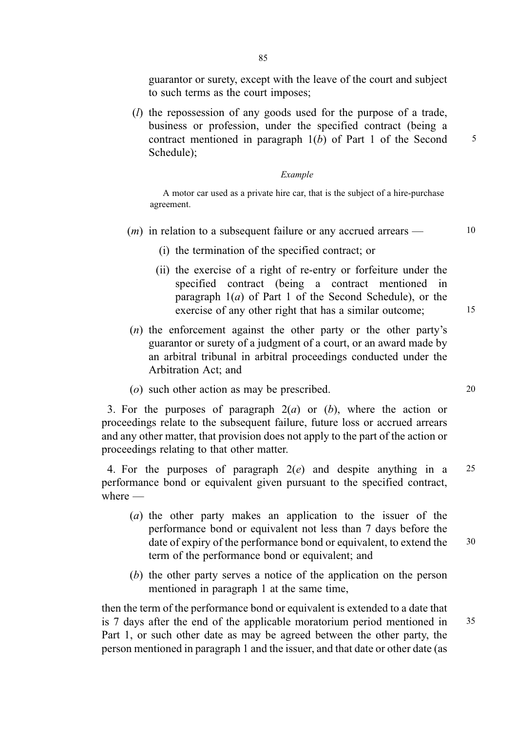guarantor or surety, except with the leave of the court and subject to such terms as the court imposes;

(l) the repossession of any goods used for the purpose of a trade, business or profession, under the specified contract (being a contract mentioned in paragraph  $1(b)$  of Part 1 of the Second  $\frac{5}{5}$ Schedule);

#### . Example

A motor car used as a private hire car, that is the subject of a hire-purchase agreement.

- $(m)$  in relation to a subsequent failure or any accrued arrears  $\sim$  10
	- (i) the termination of the specified contract; or
	- (ii) the exercise of a right of re-entry or forfeiture under the specified contract (being a contract mentioned in paragraph  $1(a)$  of Part 1 of the Second Schedule), or the exercise of any other right that has a similar outcome; 15
- (n) the enforcement against the other party or the other party's guarantor or surety of a judgment of a court, or an award made by an arbitral tribunal in arbitral proceedings conducted under the Arbitration Act; and
- (o) such other action as may be prescribed. 20

3. For the purposes of paragraph  $2(a)$  or  $(b)$ , where the action or proceedings relate to the subsequent failure, future loss or accrued arrears and any other matter, that provision does not apply to the part of the action or proceedings relating to that other matter.

4. For the purposes of paragraph  $2(e)$  and despite anything in a 25 performance bond or equivalent given pursuant to the specified contract, where —

- (a) the other party makes an application to the issuer of the performance bond or equivalent not less than 7 days before the date of expiry of the performance bond or equivalent, to extend the 30 term of the performance bond or equivalent; and
- (b) the other party serves a notice of the application on the person mentioned in paragraph 1 at the same time,

then the term of the performance bond or equivalent is extended to a date that is 7 days after the end of the applicable moratorium period mentioned in 35 Part 1, or such other date as may be agreed between the other party, the person mentioned in paragraph 1 and the issuer, and that date or other date (as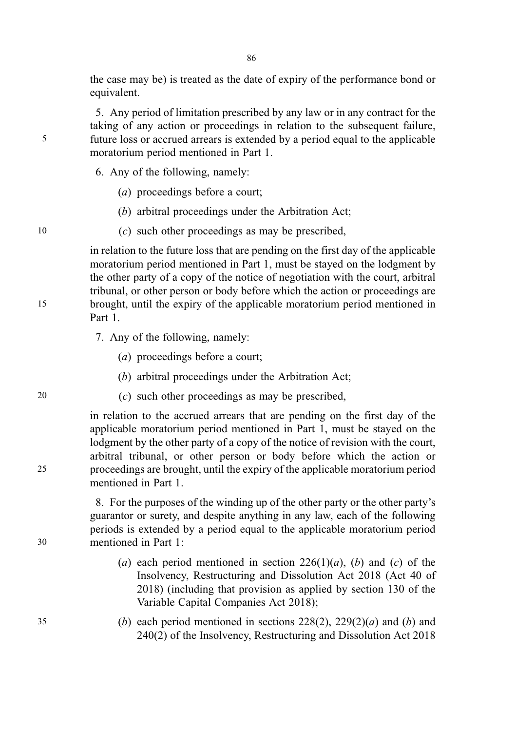the case may be) is treated as the date of expiry of the performance bond or equivalent.

86

5. Any period of limitation prescribed by any law or in any contract for the taking of any action or proceedings in relation to the subsequent failure, 5 future loss or accrued arrears is extended by a period equal to the applicable moratorium period mentioned in Part 1.

6. Any of the following, namely:

- (a) proceedings before a court;
- (b) arbitral proceedings under the Arbitration Act;
- 10 (c) such other proceedings as may be prescribed,

in relation to the future loss that are pending on the first day of the applicable moratorium period mentioned in Part 1, must be stayed on the lodgment by the other party of a copy of the notice of negotiation with the court, arbitral tribunal, or other person or body before which the action or proceedings are 15 brought, until the expiry of the applicable moratorium period mentioned in Part 1.

- 7. Any of the following, namely:
	- (a) proceedings before a court;
	- (b) arbitral proceedings under the Arbitration Act;
- 20 (c) such other proceedings as may be prescribed,

in relation to the accrued arrears that are pending on the first day of the applicable moratorium period mentioned in Part 1, must be stayed on the lodgment by the other party of a copy of the notice of revision with the court, arbitral tribunal, or other person or body before which the action or 25 proceedings are brought, until the expiry of the applicable moratorium period mentioned in Part 1.

8. For the purposes of the winding up of the other party or the other party's guarantor or surety, and despite anything in any law, each of the following periods is extended by a period equal to the applicable moratorium period 30 mentioned in Part 1:

- (a) each period mentioned in section  $226(1)(a)$ , (b) and (c) of the Insolvency, Restructuring and Dissolution Act 2018 (Act 40 of 2018) (including that provision as applied by section 130 of the Variable Capital Companies Act 2018);
- 35 (b) each period mentioned in sections  $228(2)$ ,  $229(2)(a)$  and (b) and 240(2) of the Insolvency, Restructuring and Dissolution Act 2018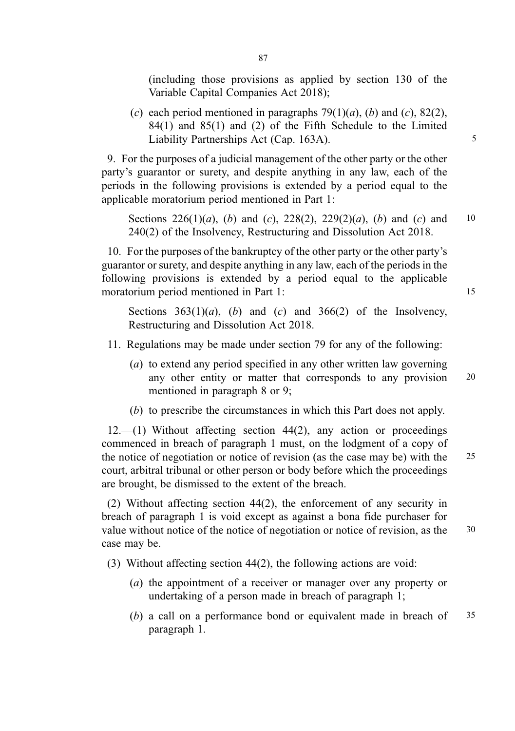(including those provisions as applied by section 130 of the Variable Capital Companies Act 2018);

(c) each period mentioned in paragraphs  $79(1)(a)$ , (b) and (c),  $82(2)$ , 84(1) and 85(1) and (2) of the Fifth Schedule to the Limited Liability Partnerships Act (Cap. 163A).

9. For the purposes of a judicial management of the other party or the other party's guarantor or surety, and despite anything in any law, each of the periods in the following provisions is extended by a period equal to the applicable moratorium period mentioned in Part 1:

Sections  $226(1)(a)$ , (b) and (c),  $228(2)$ ,  $229(2)(a)$ , (b) and (c) and 10 240(2) of the Insolvency, Restructuring and Dissolution Act 2018.

10. For the purposes of the bankruptcy of the other party or the other party's guarantor or surety, and despite anything in any law, each of the periods in the following provisions is extended by a period equal to the applicable moratorium period mentioned in Part 1: 15

Sections  $363(1)(a)$ , (b) and (c) and  $366(2)$  of the Insolvency, Restructuring and Dissolution Act 2018.

- 11. Regulations may be made under section 79 for any of the following:
	- (a) to extend any period specified in any other written law governing any other entity or matter that corresponds to any provision 20 mentioned in paragraph 8 or 9;
	- (b) to prescribe the circumstances in which this Part does not apply.

12.—(1) Without affecting section 44(2), any action or proceedings commenced in breach of paragraph 1 must, on the lodgment of a copy of the notice of negotiation or notice of revision (as the case may be) with the 25 court, arbitral tribunal or other person or body before which the proceedings are brought, be dismissed to the extent of the breach.

(2) Without affecting section 44(2), the enforcement of any security in breach of paragraph 1 is void except as against a bona fide purchaser for value without notice of the notice of negotiation or notice of revision, as the 30 case may be.

(3) Without affecting section 44(2), the following actions are void:

- (a) the appointment of a receiver or manager over any property or undertaking of a person made in breach of paragraph 1;
- (b) a call on a performance bond or equivalent made in breach of  $35$ paragraph 1.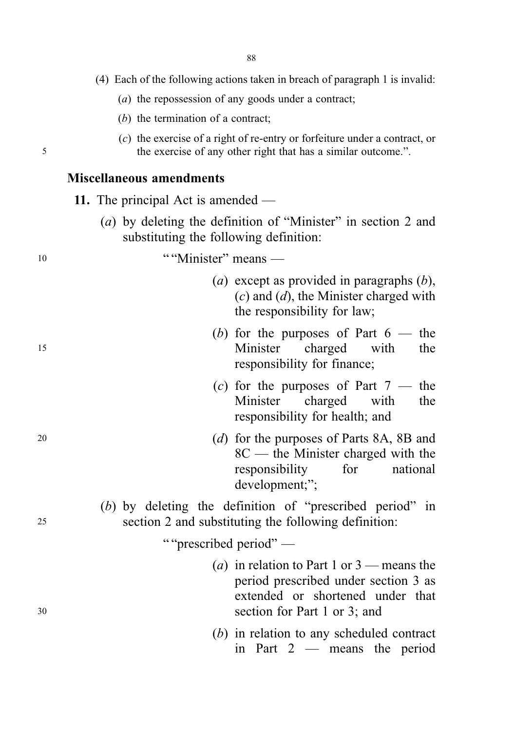|    | (4) Each of the following actions taken in breach of paragraph 1 is invalid:                                                                                      |
|----|-------------------------------------------------------------------------------------------------------------------------------------------------------------------|
|    | (a) the repossession of any goods under a contract;                                                                                                               |
|    | $(b)$ the termination of a contract;                                                                                                                              |
| 5  | $(c)$ the exercise of a right of re-entry or forfeiture under a contract, or<br>the exercise of any other right that has a similar outcome.".                     |
|    | <b>Miscellaneous amendments</b>                                                                                                                                   |
|    | 11. The principal Act is amended —                                                                                                                                |
|    | (a) by deleting the definition of "Minister" in section 2 and<br>substituting the following definition:                                                           |
| 10 | ""Minister" means —                                                                                                                                               |
|    | ( <i>a</i> ) except as provided in paragraphs $(b)$ ,<br>$(c)$ and $(d)$ , the Minister charged with<br>the responsibility for law;                               |
| 15 | (b) for the purposes of Part $6$ — the<br>Minister charged<br>with<br>the<br>responsibility for finance;                                                          |
|    | (c) for the purposes of Part $7$ — the<br>Minister<br>charged<br>with<br>the<br>responsibility for health; and                                                    |
| 20 | (d) for the purposes of Parts 8A, 8B and<br>$8C$ — the Minister charged with the<br>responsibility<br>for<br>national<br>development;";                           |
| 25 | $(b)$ by deleting the definition of "prescribed period" in<br>section 2 and substituting the following definition:                                                |
|    | ""prescribed period"-                                                                                                                                             |
| 30 | ( <i>a</i> ) in relation to Part 1 or $3$ — means the<br>period prescribed under section 3 as<br>extended or shortened under that<br>section for Part 1 or 3; and |
|    | $(b)$ in relation to any scheduled contract<br>in Part $2$ — means the period                                                                                     |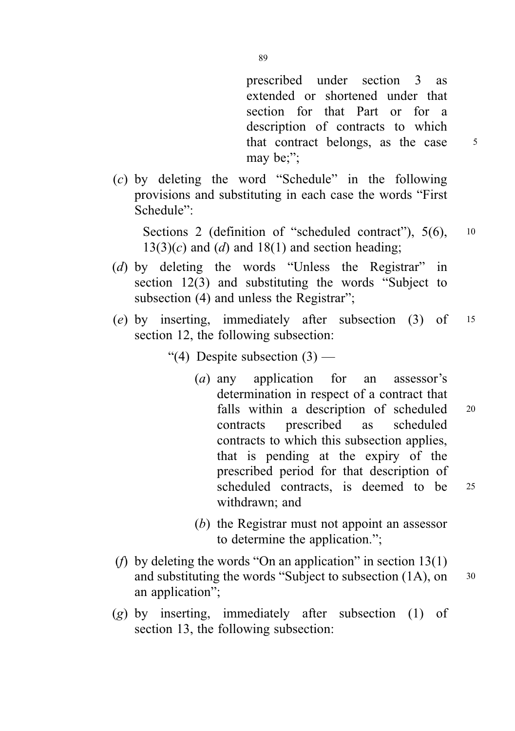prescribed under section 3 as extended or shortened under that section for that Part or for a description of contracts to which that contract belongs, as the case 5 may be;";

(c) by deleting the word "Schedule" in the following provisions and substituting in each case the words "First Schedule":

Sections 2 (definition of "scheduled contract"), 5(6), 10  $13(3)(c)$  and (d) and  $18(1)$  and section heading;

- (d) by deleting the words "Unless the Registrar" in section 12(3) and substituting the words "Subject to subsection (4) and unless the Registrar";
- (e) by inserting, immediately after subsection (3) of <sup>15</sup> section 12, the following subsection:
	- "(4) Despite subsection  $(3)$ 
		- (a) any application for an assessor's determination in respect of a contract that falls within a description of scheduled 20 contracts prescribed as scheduled contracts to which this subsection applies, that is pending at the expiry of the prescribed period for that description of scheduled contracts, is deemed to be <sup>25</sup> withdrawn; and
		- (b) the Registrar must not appoint an assessor to determine the application.";
- (*f*) by deleting the words "On an application" in section  $13(1)$ and substituting the words "Subject to subsection  $(1A)$ , on  $30$ an application";
- (g) by inserting, immediately after subsection (1) of section 13, the following subsection: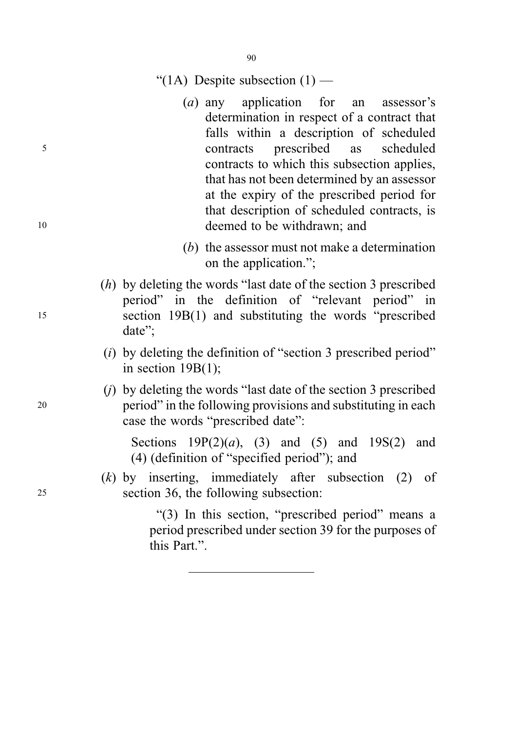90

## "(1A) Despite subsection  $(1)$  —

- (a) any application for an assessor's determination in respect of a contract that falls within a description of scheduled <sup>5</sup> contracts prescribed as scheduled contracts to which this subsection applies, that has not been determined by an assessor at the expiry of the prescribed period for that description of scheduled contracts, is <sup>10</sup> deemed to be withdrawn; and
	- (b) the assessor must not make a determination on the application.";
- (h) by deleting the words "last date of the section 3 prescribed period" in the definition of "relevant period" in <sup>15</sup> section 19B(1) and substituting the words "prescribed date";
	- $(i)$  by deleting the definition of "section 3 prescribed period" in section 19B(1);
- (j) by deleting the words "last date of the section 3 prescribed <sup>20</sup> period" in the following provisions and substituting in each case the words "prescribed date":

Sections  $19P(2)(a)$ , (3) and (5) and  $19S(2)$  and (4) (definition of "specified period"); and

(k) by inserting, immediately after subsection (2) of <sup>25</sup> section 36, the following subsection:

> "(3) In this section, "prescribed period" means a period prescribed under section 39 for the purposes of this Part.".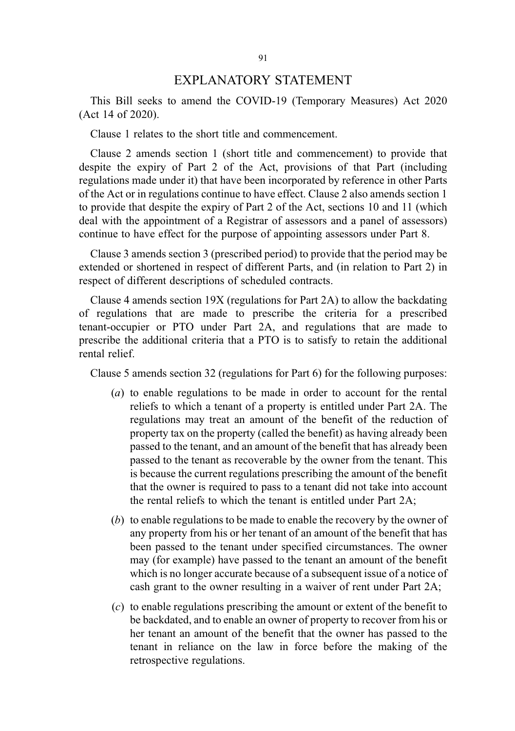### EXPLANATORY STATEMENT

This Bill seeks to amend the COVID-19 (Temporary Measures) Act 2020 (Act 14 of 2020).

Clause 1 relates to the short title and commencement.

Clause 2 amends section 1 (short title and commencement) to provide that despite the expiry of Part 2 of the Act, provisions of that Part (including regulations made under it) that have been incorporated by reference in other Parts of the Act or in regulations continue to have effect. Clause 2 also amends section 1 to provide that despite the expiry of Part 2 of the Act, sections 10 and 11 (which deal with the appointment of a Registrar of assessors and a panel of assessors) continue to have effect for the purpose of appointing assessors under Part 8.

Clause 3 amends section 3 (prescribed period) to provide that the period may be extended or shortened in respect of different Parts, and (in relation to Part 2) in respect of different descriptions of scheduled contracts.

Clause 4 amends section 19X (regulations for Part 2A) to allow the backdating of regulations that are made to prescribe the criteria for a prescribed tenant-occupier or PTO under Part 2A, and regulations that are made to prescribe the additional criteria that a PTO is to satisfy to retain the additional rental relief.

Clause 5 amends section 32 (regulations for Part 6) for the following purposes:

- (a) to enable regulations to be made in order to account for the rental reliefs to which a tenant of a property is entitled under Part 2A. The regulations may treat an amount of the benefit of the reduction of property tax on the property (called the benefit) as having already been passed to the tenant, and an amount of the benefit that has already been passed to the tenant as recoverable by the owner from the tenant. This is because the current regulations prescribing the amount of the benefit that the owner is required to pass to a tenant did not take into account the rental reliefs to which the tenant is entitled under Part 2A;
- (b) to enable regulations to be made to enable the recovery by the owner of any property from his or her tenant of an amount of the benefit that has been passed to the tenant under specified circumstances. The owner may (for example) have passed to the tenant an amount of the benefit which is no longer accurate because of a subsequent issue of a notice of cash grant to the owner resulting in a waiver of rent under Part 2A;
- (c) to enable regulations prescribing the amount or extent of the benefit to be backdated, and to enable an owner of property to recover from his or her tenant an amount of the benefit that the owner has passed to the tenant in reliance on the law in force before the making of the retrospective regulations.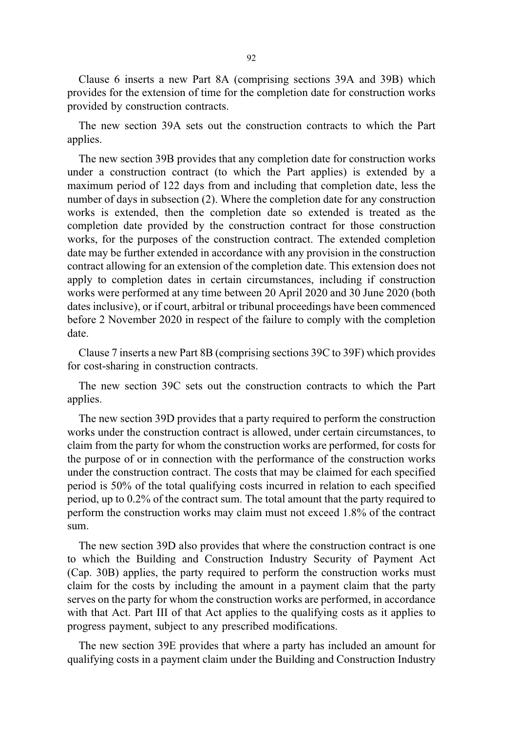Clause 6 inserts a new Part 8A (comprising sections 39A and 39B) which provides for the extension of time for the completion date for construction works provided by construction contracts.

The new section 39A sets out the construction contracts to which the Part applies.

The new section 39B provides that any completion date for construction works under a construction contract (to which the Part applies) is extended by a maximum period of 122 days from and including that completion date, less the number of days in subsection (2). Where the completion date for any construction works is extended, then the completion date so extended is treated as the completion date provided by the construction contract for those construction works, for the purposes of the construction contract. The extended completion date may be further extended in accordance with any provision in the construction contract allowing for an extension of the completion date. This extension does not apply to completion dates in certain circumstances, including if construction works were performed at any time between 20 April 2020 and 30 June 2020 (both dates inclusive), or if court, arbitral or tribunal proceedings have been commenced before 2 November 2020 in respect of the failure to comply with the completion date.

Clause 7 inserts a new Part 8B (comprising sections 39C to 39F) which provides for cost-sharing in construction contracts.

The new section 39C sets out the construction contracts to which the Part applies.

The new section 39D provides that a party required to perform the construction works under the construction contract is allowed, under certain circumstances, to claim from the party for whom the construction works are performed, for costs for the purpose of or in connection with the performance of the construction works under the construction contract. The costs that may be claimed for each specified period is 50% of the total qualifying costs incurred in relation to each specified period, up to 0.2% of the contract sum. The total amount that the party required to perform the construction works may claim must not exceed 1.8% of the contract sum.

The new section 39D also provides that where the construction contract is one to which the Building and Construction Industry Security of Payment Act (Cap. 30B) applies, the party required to perform the construction works must claim for the costs by including the amount in a payment claim that the party serves on the party for whom the construction works are performed, in accordance with that Act. Part III of that Act applies to the qualifying costs as it applies to progress payment, subject to any prescribed modifications.

The new section 39E provides that where a party has included an amount for qualifying costs in a payment claim under the Building and Construction Industry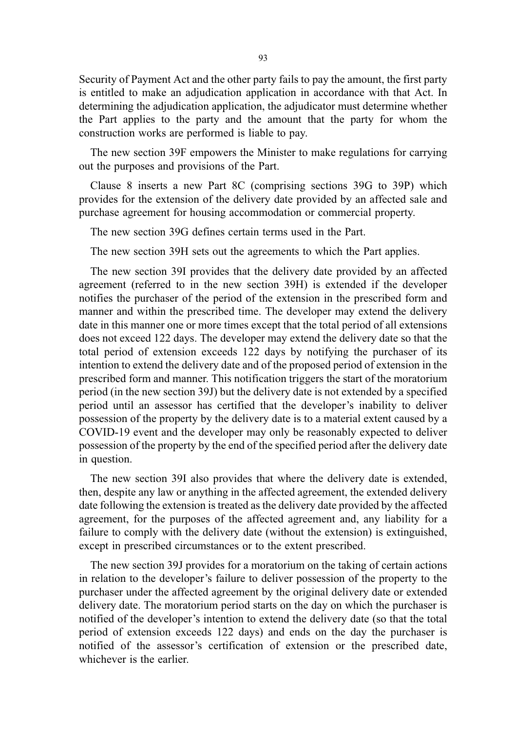Security of Payment Act and the other party fails to pay the amount, the first party is entitled to make an adjudication application in accordance with that Act. In determining the adjudication application, the adjudicator must determine whether the Part applies to the party and the amount that the party for whom the construction works are performed is liable to pay.

The new section 39F empowers the Minister to make regulations for carrying out the purposes and provisions of the Part.

Clause 8 inserts a new Part 8C (comprising sections 39G to 39P) which provides for the extension of the delivery date provided by an affected sale and purchase agreement for housing accommodation or commercial property.

The new section 39G defines certain terms used in the Part.

The new section 39H sets out the agreements to which the Part applies.

The new section 39I provides that the delivery date provided by an affected agreement (referred to in the new section 39H) is extended if the developer notifies the purchaser of the period of the extension in the prescribed form and manner and within the prescribed time. The developer may extend the delivery date in this manner one or more times except that the total period of all extensions does not exceed 122 days. The developer may extend the delivery date so that the total period of extension exceeds 122 days by notifying the purchaser of its intention to extend the delivery date and of the proposed period of extension in the prescribed form and manner. This notification triggers the start of the moratorium period (in the new section 39J) but the delivery date is not extended by a specified period until an assessor has certified that the developer's inability to deliver possession of the property by the delivery date is to a material extent caused by a COVID-19 event and the developer may only be reasonably expected to deliver possession of the property by the end of the specified period after the delivery date in question.

The new section 39I also provides that where the delivery date is extended, then, despite any law or anything in the affected agreement, the extended delivery date following the extension is treated as the delivery date provided by the affected agreement, for the purposes of the affected agreement and, any liability for a failure to comply with the delivery date (without the extension) is extinguished, except in prescribed circumstances or to the extent prescribed.

The new section 39J provides for a moratorium on the taking of certain actions in relation to the developer's failure to deliver possession of the property to the purchaser under the affected agreement by the original delivery date or extended delivery date. The moratorium period starts on the day on which the purchaser is notified of the developer's intention to extend the delivery date (so that the total period of extension exceeds 122 days) and ends on the day the purchaser is notified of the assessor's certification of extension or the prescribed date, whichever is the earlier.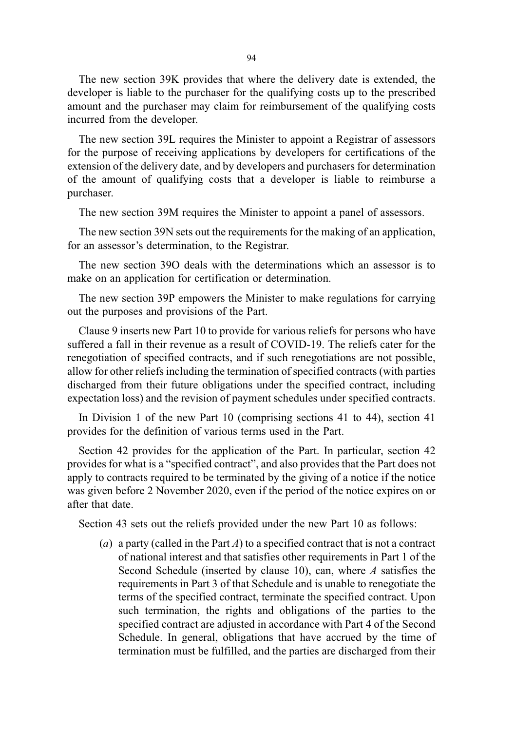The new section 39K provides that where the delivery date is extended, the developer is liable to the purchaser for the qualifying costs up to the prescribed amount and the purchaser may claim for reimbursement of the qualifying costs incurred from the developer.

The new section 39L requires the Minister to appoint a Registrar of assessors for the purpose of receiving applications by developers for certifications of the extension of the delivery date, and by developers and purchasers for determination of the amount of qualifying costs that a developer is liable to reimburse a purchaser.

The new section 39M requires the Minister to appoint a panel of assessors.

The new section 39N sets out the requirements for the making of an application, for an assessor's determination, to the Registrar.

The new section 39O deals with the determinations which an assessor is to make on an application for certification or determination.

The new section 39P empowers the Minister to make regulations for carrying out the purposes and provisions of the Part.

Clause 9 inserts new Part 10 to provide for various reliefs for persons who have suffered a fall in their revenue as a result of COVID-19. The reliefs cater for the renegotiation of specified contracts, and if such renegotiations are not possible, allow for other reliefs including the termination of specified contracts (with parties discharged from their future obligations under the specified contract, including expectation loss) and the revision of payment schedules under specified contracts.

In Division 1 of the new Part 10 (comprising sections 41 to 44), section 41 provides for the definition of various terms used in the Part.

Section 42 provides for the application of the Part. In particular, section 42 provides for what is a "specified contract", and also provides that the Part does not apply to contracts required to be terminated by the giving of a notice if the notice was given before 2 November 2020, even if the period of the notice expires on or after that date.

Section 43 sets out the reliefs provided under the new Part 10 as follows:

(a) a party (called in the Part  $A$ ) to a specified contract that is not a contract of national interest and that satisfies other requirements in Part 1 of the Second Schedule (inserted by clause 10), can, where  $A$  satisfies the requirements in Part 3 of that Schedule and is unable to renegotiate the terms of the specified contract, terminate the specified contract. Upon such termination, the rights and obligations of the parties to the specified contract are adjusted in accordance with Part 4 of the Second Schedule. In general, obligations that have accrued by the time of termination must be fulfilled, and the parties are discharged from their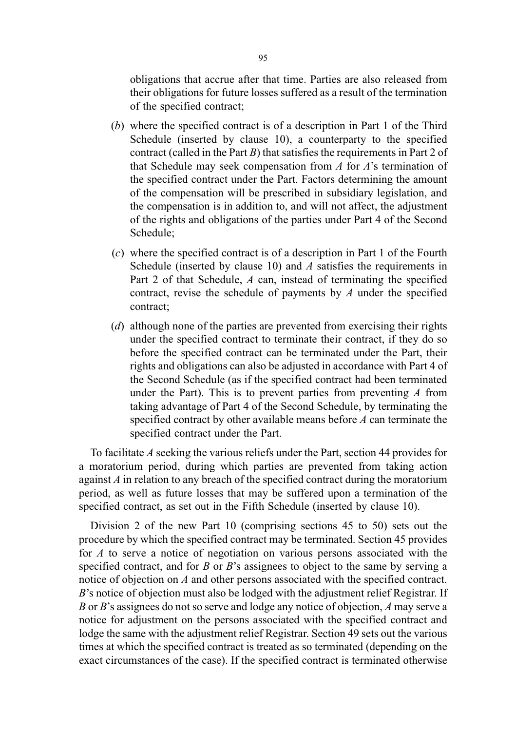obligations that accrue after that time. Parties are also released from their obligations for future losses suffered as a result of the termination of the specified contract;

- (b) where the specified contract is of a description in Part 1 of the Third Schedule (inserted by clause 10), a counterparty to the specified contract (called in the Part  $B$ ) that satisfies the requirements in Part 2 of that Schedule may seek compensation from  $A$  for  $A$ 's termination of the specified contract under the Part. Factors determining the amount of the compensation will be prescribed in subsidiary legislation, and the compensation is in addition to, and will not affect, the adjustment of the rights and obligations of the parties under Part 4 of the Second Schedule;
- (c) where the specified contract is of a description in Part 1 of the Fourth Schedule (inserted by clause 10) and  $A$  satisfies the requirements in Part 2 of that Schedule, A can, instead of terminating the specified contract, revise the schedule of payments by  $A$  under the specified contract;
- (d) although none of the parties are prevented from exercising their rights under the specified contract to terminate their contract, if they do so before the specified contract can be terminated under the Part, their rights and obligations can also be adjusted in accordance with Part 4 of the Second Schedule (as if the specified contract had been terminated under the Part). This is to prevent parties from preventing  $A$  from taking advantage of Part 4 of the Second Schedule, by terminating the specified contract by other available means before A can terminate the specified contract under the Part.

To facilitate A seeking the various reliefs under the Part, section 44 provides for a moratorium period, during which parties are prevented from taking action against A in relation to any breach of the specified contract during the moratorium period, as well as future losses that may be suffered upon a termination of the specified contract, as set out in the Fifth Schedule (inserted by clause 10).

Division 2 of the new Part 10 (comprising sections 45 to 50) sets out the procedure by which the specified contract may be terminated. Section 45 provides for A to serve a notice of negotiation on various persons associated with the specified contract, and for  $B$  or  $B$ 's assignees to object to the same by serving a notice of objection on A and other persons associated with the specified contract. B's notice of objection must also be lodged with the adjustment relief Registrar. If B or B's assignees do not so serve and lodge any notice of objection, A may serve a notice for adjustment on the persons associated with the specified contract and lodge the same with the adjustment relief Registrar. Section 49 sets out the various times at which the specified contract is treated as so terminated (depending on the exact circumstances of the case). If the specified contract is terminated otherwise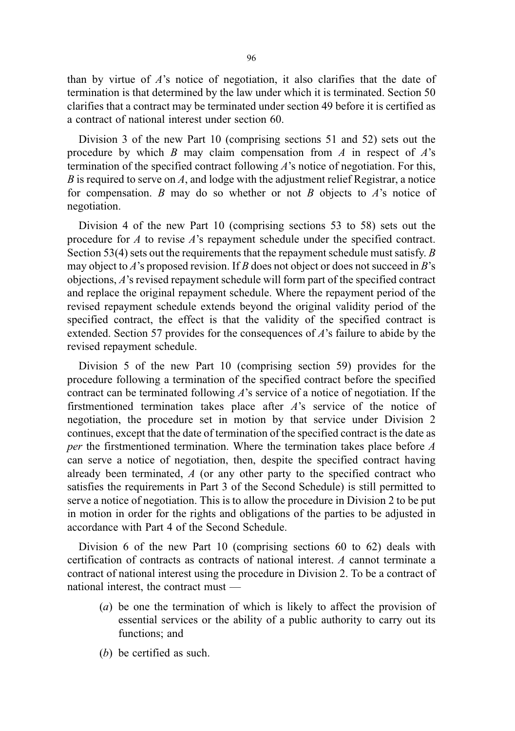than by virtue of A's notice of negotiation, it also clarifies that the date of termination is that determined by the law under which it is terminated. Section 50 clarifies that a contract may be terminated under section 49 before it is certified as a contract of national interest under section 60.

Division 3 of the new Part 10 (comprising sections 51 and 52) sets out the procedure by which B may claim compensation from A in respect of  $A$ 's termination of the specified contract following A's notice of negotiation. For this, B is required to serve on A, and lodge with the adjustment relief Registrar, a notice for compensation. B may do so whether or not B objects to  $A$ 's notice of negotiation.

Division 4 of the new Part 10 (comprising sections 53 to 58) sets out the procedure for  $\Lambda$  to revise  $\Lambda$ 's repayment schedule under the specified contract. Section 53(4) sets out the requirements that the repayment schedule must satisfy.  $B$ may object to A's proposed revision. If B does not object or does not succeed in B's objections, A's revised repayment schedule will form part of the specified contract and replace the original repayment schedule. Where the repayment period of the revised repayment schedule extends beyond the original validity period of the specified contract, the effect is that the validity of the specified contract is extended. Section 57 provides for the consequences of A's failure to abide by the revised repayment schedule.

Division 5 of the new Part 10 (comprising section 59) provides for the procedure following a termination of the specified contract before the specified contract can be terminated following  $\vec{A}$ 's service of a notice of negotiation. If the firstmentioned termination takes place after A's service of the notice of negotiation, the procedure set in motion by that service under Division 2 continues, except that the date of termination of the specified contract is the date as per the firstmentioned termination. Where the termination takes place before  $A$ can serve a notice of negotiation, then, despite the specified contract having already been terminated,  $A$  (or any other party to the specified contract who satisfies the requirements in Part 3 of the Second Schedule) is still permitted to serve a notice of negotiation. This is to allow the procedure in Division 2 to be put in motion in order for the rights and obligations of the parties to be adjusted in accordance with Part 4 of the Second Schedule.

Division 6 of the new Part 10 (comprising sections 60 to 62) deals with certification of contracts as contracts of national interest. A cannot terminate a contract of national interest using the procedure in Division 2. To be a contract of national interest, the contract must —

- (a) be one the termination of which is likely to affect the provision of essential services or the ability of a public authority to carry out its functions; and
- (b) be certified as such.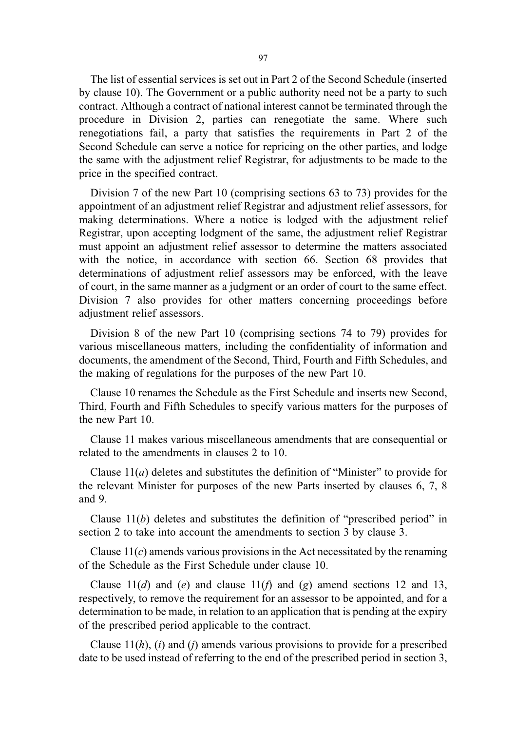The list of essential services is set out in Part 2 of the Second Schedule (inserted by clause 10). The Government or a public authority need not be a party to such contract. Although a contract of national interest cannot be terminated through the procedure in Division 2, parties can renegotiate the same. Where such renegotiations fail, a party that satisfies the requirements in Part 2 of the Second Schedule can serve a notice for repricing on the other parties, and lodge the same with the adjustment relief Registrar, for adjustments to be made to the price in the specified contract.

Division 7 of the new Part 10 (comprising sections 63 to 73) provides for the appointment of an adjustment relief Registrar and adjustment relief assessors, for making determinations. Where a notice is lodged with the adjustment relief Registrar, upon accepting lodgment of the same, the adjustment relief Registrar must appoint an adjustment relief assessor to determine the matters associated with the notice, in accordance with section 66. Section 68 provides that determinations of adjustment relief assessors may be enforced, with the leave of court, in the same manner as a judgment or an order of court to the same effect. Division 7 also provides for other matters concerning proceedings before adjustment relief assessors.

Division 8 of the new Part 10 (comprising sections 74 to 79) provides for various miscellaneous matters, including the confidentiality of information and documents, the amendment of the Second, Third, Fourth and Fifth Schedules, and the making of regulations for the purposes of the new Part 10.

Clause 10 renames the Schedule as the First Schedule and inserts new Second, Third, Fourth and Fifth Schedules to specify various matters for the purposes of the new Part 10.

Clause 11 makes various miscellaneous amendments that are consequential or related to the amendments in clauses 2 to 10.

Clause  $11(a)$  deletes and substitutes the definition of "Minister" to provide for the relevant Minister for purposes of the new Parts inserted by clauses 6, 7, 8 and 9.

Clause  $11(b)$  deletes and substitutes the definition of "prescribed period" in section 2 to take into account the amendments to section 3 by clause 3.

Clause  $11(c)$  amends various provisions in the Act necessitated by the renaming of the Schedule as the First Schedule under clause 10.

Clause  $11(d)$  and (e) and clause  $11(f)$  and (g) amend sections 12 and 13, respectively, to remove the requirement for an assessor to be appointed, and for a determination to be made, in relation to an application that is pending at the expiry of the prescribed period applicable to the contract.

Clause  $11(h)$ , (i) and (j) amends various provisions to provide for a prescribed date to be used instead of referring to the end of the prescribed period in section 3,